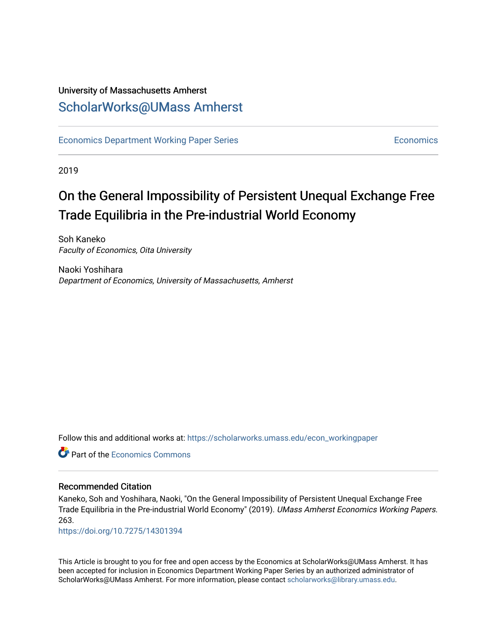# University of Massachusetts Amherst [ScholarWorks@UMass Amherst](https://scholarworks.umass.edu/)

[Economics Department Working Paper Series](https://scholarworks.umass.edu/econ_workingpaper) **Economics** [Economics](https://scholarworks.umass.edu/economics) Economics

2019

# On the General Impossibility of Persistent Unequal Exchange Free Trade Equilibria in the Pre-industrial World Economy

Soh Kaneko Faculty of Economics, Oita University

Naoki Yoshihara Department of Economics, University of Massachusetts, Amherst

Follow this and additional works at: [https://scholarworks.umass.edu/econ\\_workingpaper](https://scholarworks.umass.edu/econ_workingpaper?utm_source=scholarworks.umass.edu%2Fecon_workingpaper%2F263&utm_medium=PDF&utm_campaign=PDFCoverPages) 

**C** Part of the [Economics Commons](http://network.bepress.com/hgg/discipline/340?utm_source=scholarworks.umass.edu%2Fecon_workingpaper%2F263&utm_medium=PDF&utm_campaign=PDFCoverPages)

#### Recommended Citation

Kaneko, Soh and Yoshihara, Naoki, "On the General Impossibility of Persistent Unequal Exchange Free Trade Equilibria in the Pre-industrial World Economy" (2019). UMass Amherst Economics Working Papers. 263.

<https://doi.org/10.7275/14301394>

This Article is brought to you for free and open access by the Economics at ScholarWorks@UMass Amherst. It has been accepted for inclusion in Economics Department Working Paper Series by an authorized administrator of ScholarWorks@UMass Amherst. For more information, please contact [scholarworks@library.umass.edu.](mailto:scholarworks@library.umass.edu)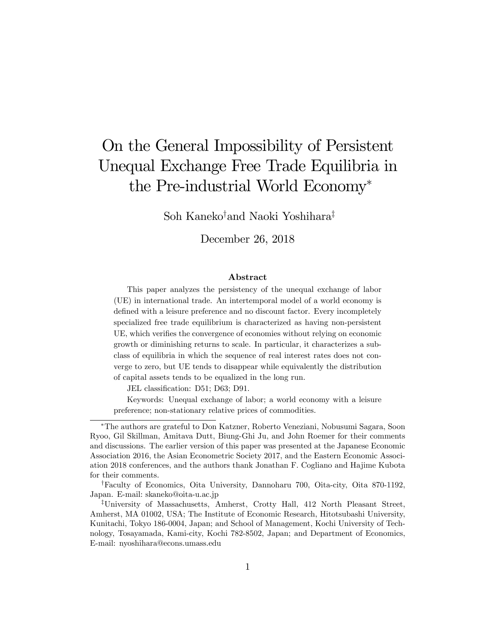# On the General Impossibility of Persistent Unequal Exchange Free Trade Equilibria in the Pre-industrial World Economy

Soh Kaneko<sup>†</sup>and Naoki Yoshihara<sup>‡</sup>

December 26, 2018

#### Abstract

This paper analyzes the persistency of the unequal exchange of labor (UE) in international trade. An intertemporal model of a world economy is defined with a leisure preference and no discount factor. Every incompletely specialized free trade equilibrium is characterized as having non-persistent UE, which verifies the convergence of economies without relying on economic growth or diminishing returns to scale. In particular, it characterizes a subclass of equilibria in which the sequence of real interest rates does not converge to zero, but UE tends to disappear while equivalently the distribution of capital assets tends to be equalized in the long run.

JEL classification: D51; D63; D91.

Keywords: Unequal exchange of labor; a world economy with a leisure preference; non-stationary relative prices of commodities.

The authors are grateful to Don Katzner, Roberto Veneziani, Nobusumi Sagara, Soon Ryoo, Gil Skillman, Amitava Dutt, Biung-Ghi Ju, and John Roemer for their comments and discussions. The earlier version of this paper was presented at the Japanese Economic Association 2016, the Asian Econometric Society 2017, and the Eastern Economic Association 2018 conferences, and the authors thank Jonathan F. Cogliano and Hajime Kubota for their comments.

<sup>&</sup>lt;sup>†</sup>Faculty of Economics, Oita University, Dannoharu 700, Oita-city, Oita 870-1192, Japan. E-mail: skaneko@oita-u.ac.jp

<sup>&</sup>lt;sup>‡</sup>University of Massachusetts, Amherst, Crotty Hall, 412 North Pleasant Street, Amherst, MA 01002, USA; The Institute of Economic Research, Hitotsubashi University, Kunitachi, Tokyo 186-0004, Japan; and School of Management, Kochi University of Technology, Tosayamada, Kami-city, Kochi 782-8502, Japan; and Department of Economics, E-mail: nyoshihara@econs.umass.edu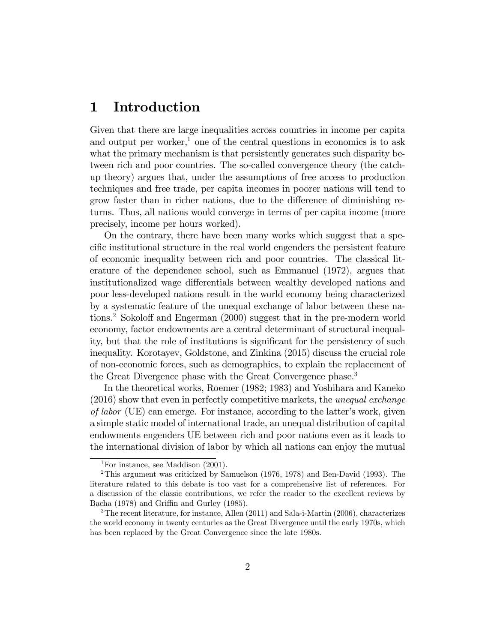## 1 Introduction

Given that there are large inequalities across countries in income per capita and output per worker,<sup>1</sup> one of the central questions in economics is to ask what the primary mechanism is that persistently generates such disparity between rich and poor countries. The so-called convergence theory (the catchup theory) argues that, under the assumptions of free access to production techniques and free trade, per capita incomes in poorer nations will tend to grow faster than in richer nations, due to the difference of diminishing returns. Thus, all nations would converge in terms of per capita income (more precisely, income per hours worked).

On the contrary, there have been many works which suggest that a specific institutional structure in the real world engenders the persistent feature of economic inequality between rich and poor countries. The classical literature of the dependence school, such as Emmanuel (1972), argues that institutionalized wage differentials between wealthy developed nations and poor less-developed nations result in the world economy being characterized by a systematic feature of the unequal exchange of labor between these nations.<sup>2</sup> Sokoloff and Engerman  $(2000)$  suggest that in the pre-modern world economy, factor endowments are a central determinant of structural inequality, but that the role of institutions is significant for the persistency of such inequality. Korotayev, Goldstone, and Zinkina (2015) discuss the crucial role of non-economic forces, such as demographics, to explain the replacement of the Great Divergence phase with the Great Convergence phase.<sup>3</sup>

In the theoretical works, Roemer (1982; 1983) and Yoshihara and Kaneko (2016) show that even in perfectly competitive markets, the unequal exchange of labor (UE) can emerge. For instance, according to the latter's work, given a simple static model of international trade, an unequal distribution of capital endowments engenders UE between rich and poor nations even as it leads to the international division of labor by which all nations can enjoy the mutual

<sup>&</sup>lt;sup>1</sup>For instance, see Maddison  $(2001)$ .

<sup>2</sup>This argument was criticized by Samuelson (1976, 1978) and Ben-David (1993). The literature related to this debate is too vast for a comprehensive list of references. For a discussion of the classic contributions, we refer the reader to the excellent reviews by Bacha (1978) and Griffin and Gurley (1985).

 $3$ The recent literature, for instance, Allen (2011) and Sala-i-Martin (2006), characterizes the world economy in twenty centuries as the Great Divergence until the early 1970s, which has been replaced by the Great Convergence since the late 1980s.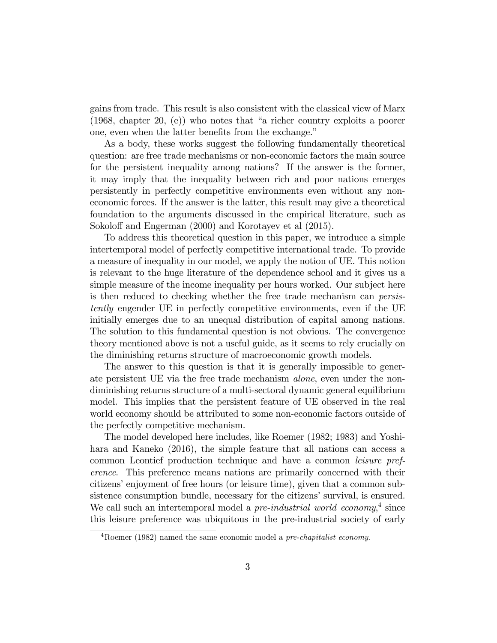gains from trade. This result is also consistent with the classical view of Marx  $(1968,$  chapter 20, (e)) who notes that "a richer country exploits a poorer one, even when the latter benefits from the exchange."

As a body, these works suggest the following fundamentally theoretical question: are free trade mechanisms or non-economic factors the main source for the persistent inequality among nations? If the answer is the former, it may imply that the inequality between rich and poor nations emerges persistently in perfectly competitive environments even without any noneconomic forces. If the answer is the latter, this result may give a theoretical foundation to the arguments discussed in the empirical literature, such as Sokoloff and Engerman (2000) and Korotayev et al (2015).

To address this theoretical question in this paper, we introduce a simple intertemporal model of perfectly competitive international trade. To provide a measure of inequality in our model, we apply the notion of UE. This notion is relevant to the huge literature of the dependence school and it gives us a simple measure of the income inequality per hours worked. Our subject here is then reduced to checking whether the free trade mechanism can persistently engender UE in perfectly competitive environments, even if the UE initially emerges due to an unequal distribution of capital among nations. The solution to this fundamental question is not obvious. The convergence theory mentioned above is not a useful guide, as it seems to rely crucially on the diminishing returns structure of macroeconomic growth models.

The answer to this question is that it is generally impossible to generate persistent UE via the free trade mechanism alone, even under the nondiminishing returns structure of a multi-sectoral dynamic general equilibrium model. This implies that the persistent feature of UE observed in the real world economy should be attributed to some non-economic factors outside of the perfectly competitive mechanism.

The model developed here includes, like Roemer (1982; 1983) and Yoshihara and Kaneko (2016), the simple feature that all nations can access a common Leontief production technique and have a common leisure preference. This preference means nations are primarily concerned with their citizens' enjoyment of free hours (or leisure time), given that a common subsistence consumption bundle, necessary for the citizens' survival, is ensured. We call such an intertemporal model a *pre-industrial world economy*,<sup>4</sup> since this leisure preference was ubiquitous in the pre-industrial society of early

 $4Roemer (1982)$  named the same economic model a pre-chapitalist economy.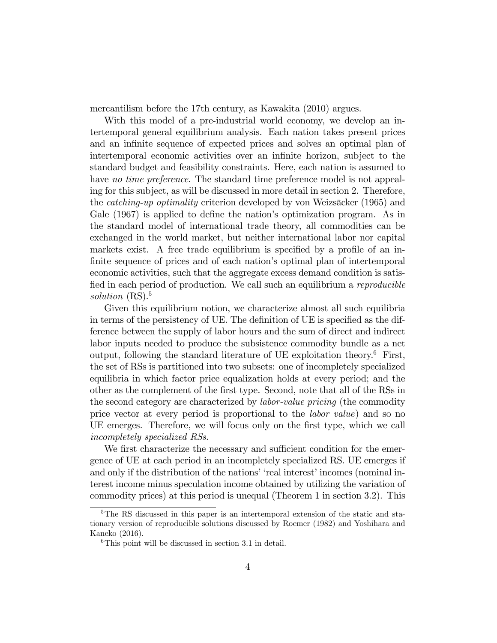mercantilism before the 17th century, as Kawakita (2010) argues.

With this model of a pre-industrial world economy, we develop an intertemporal general equilibrium analysis. Each nation takes present prices and an infinite sequence of expected prices and solves an optimal plan of intertemporal economic activities over an infinite horizon, subject to the standard budget and feasibility constraints. Here, each nation is assumed to have no time preference. The standard time preference model is not appealing for this subject, as will be discussed in more detail in section 2. Therefore, the *catching-up optimality* criterion developed by von Weizsäcker (1965) and Gale (1967) is applied to define the nation's optimization program. As in the standard model of international trade theory, all commodities can be exchanged in the world market, but neither international labor nor capital markets exist. A free trade equilibrium is specified by a profile of an infinite sequence of prices and of each nation's optimal plan of intertemporal economic activities, such that the aggregate excess demand condition is satisfied in each period of production. We call such an equilibrium a reproducible solution (RS).<sup>5</sup>

Given this equilibrium notion, we characterize almost all such equilibria in terms of the persistency of UE. The definition of UE is specified as the difference between the supply of labor hours and the sum of direct and indirect labor inputs needed to produce the subsistence commodity bundle as a net output, following the standard literature of UE exploitation theory.<sup>6</sup> First, the set of RSs is partitioned into two subsets: one of incompletely specialized equilibria in which factor price equalization holds at every period; and the other as the complement of the Örst type. Second, note that all of the RSs in the second category are characterized by labor-value pricing (the commodity price vector at every period is proportional to the labor value) and so no UE emerges. Therefore, we will focus only on the first type, which we call incompletely specialized RSs.

We first characterize the necessary and sufficient condition for the emergence of UE at each period in an incompletely specialized RS. UE emerges if and only if the distribution of the nations' 'real interest' incomes (nominal interest income minus speculation income obtained by utilizing the variation of commodity prices) at this period is unequal (Theorem 1 in section 3.2). This

<sup>&</sup>lt;sup>5</sup>The RS discussed in this paper is an intertemporal extension of the static and stationary version of reproducible solutions discussed by Roemer (1982) and Yoshihara and Kaneko (2016).

 ${}^{6}$ This point will be discussed in section 3.1 in detail.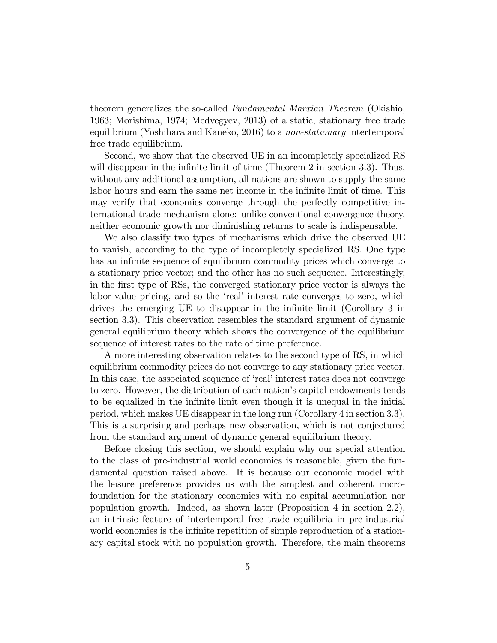theorem generalizes the so-called Fundamental Marxian Theorem (Okishio, 1963; Morishima, 1974; Medvegyev, 2013) of a static, stationary free trade equilibrium (Yoshihara and Kaneko, 2016) to a non-stationary intertemporal free trade equilibrium.

Second, we show that the observed UE in an incompletely specialized RS will disappear in the infinite limit of time (Theorem 2 in section 3.3). Thus, without any additional assumption, all nations are shown to supply the same labor hours and earn the same net income in the infinite limit of time. This may verify that economies converge through the perfectly competitive international trade mechanism alone: unlike conventional convergence theory, neither economic growth nor diminishing returns to scale is indispensable.

We also classify two types of mechanisms which drive the observed UE to vanish, according to the type of incompletely specialized RS. One type has an infinite sequence of equilibrium commodity prices which converge to a stationary price vector; and the other has no such sequence. Interestingly, in the Örst type of RSs, the converged stationary price vector is always the labor-value pricing, and so the 'real' interest rate converges to zero, which drives the emerging UE to disappear in the infinite limit (Corollary 3 in section 3.3). This observation resembles the standard argument of dynamic general equilibrium theory which shows the convergence of the equilibrium sequence of interest rates to the rate of time preference.

A more interesting observation relates to the second type of RS, in which equilibrium commodity prices do not converge to any stationary price vector. In this case, the associated sequence of 'real' interest rates does not converge to zero. However, the distribution of each nation's capital endowments tends to be equalized in the inÖnite limit even though it is unequal in the initial period, which makes UE disappear in the long run (Corollary 4 in section 3.3). This is a surprising and perhaps new observation, which is not conjectured from the standard argument of dynamic general equilibrium theory.

Before closing this section, we should explain why our special attention to the class of pre-industrial world economies is reasonable, given the fundamental question raised above. It is because our economic model with the leisure preference provides us with the simplest and coherent microfoundation for the stationary economies with no capital accumulation nor population growth. Indeed, as shown later (Proposition 4 in section 2.2), an intrinsic feature of intertemporal free trade equilibria in pre-industrial world economies is the infinite repetition of simple reproduction of a stationary capital stock with no population growth. Therefore, the main theorems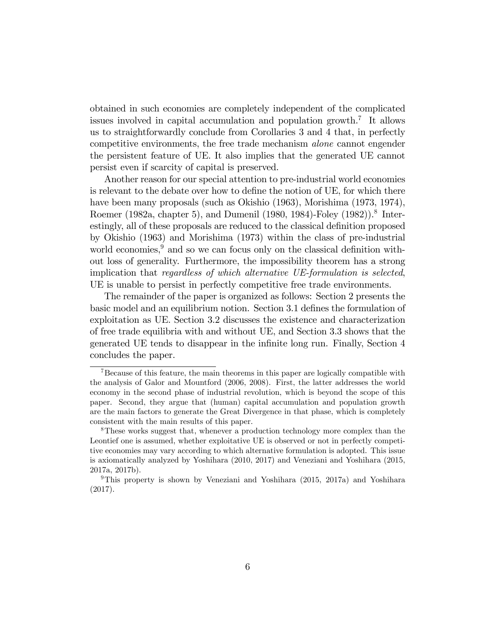obtained in such economies are completely independent of the complicated issues involved in capital accumulation and population growth.<sup>7</sup> It allows us to straightforwardly conclude from Corollaries 3 and 4 that, in perfectly competitive environments, the free trade mechanism alone cannot engender the persistent feature of UE. It also implies that the generated UE cannot persist even if scarcity of capital is preserved.

Another reason for our special attention to pre-industrial world economies is relevant to the debate over how to define the notion of UE, for which there have been many proposals (such as Okishio (1963), Morishima (1973, 1974), Roemer (1982a, chapter 5), and Dumenil (1980, 1984)-Foley (1982)).<sup>8</sup> Interestingly, all of these proposals are reduced to the classical definition proposed by Okishio (1963) and Morishima (1973) within the class of pre-industrial world economies, $9 \text{ and so we can focus only on the classical definition with-}$ out loss of generality. Furthermore, the impossibility theorem has a strong implication that regardless of which alternative UE-formulation is selected, UE is unable to persist in perfectly competitive free trade environments.

The remainder of the paper is organized as follows: Section 2 presents the basic model and an equilibrium notion. Section 3.1 defines the formulation of exploitation as UE. Section 3.2 discusses the existence and characterization of free trade equilibria with and without UE, and Section 3.3 shows that the generated UE tends to disappear in the infinite long run. Finally, Section 4 concludes the paper.

<sup>&</sup>lt;sup>7</sup>Because of this feature, the main theorems in this paper are logically compatible with the analysis of Galor and Mountford (2006, 2008). First, the latter addresses the world economy in the second phase of industrial revolution, which is beyond the scope of this paper. Second, they argue that (human) capital accumulation and population growth are the main factors to generate the Great Divergence in that phase, which is completely consistent with the main results of this paper.

<sup>&</sup>lt;sup>8</sup>These works suggest that, whenever a production technology more complex than the Leontief one is assumed, whether exploitative UE is observed or not in perfectly competitive economies may vary according to which alternative formulation is adopted. This issue is axiomatically analyzed by Yoshihara (2010, 2017) and Veneziani and Yoshihara (2015, 2017a, 2017b).

<sup>&</sup>lt;sup>9</sup>This property is shown by Veneziani and Yoshihara  $(2015, 2017a)$  and Yoshihara (2017).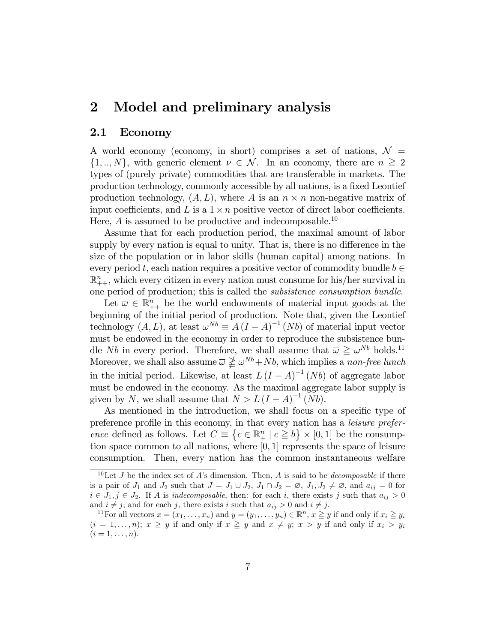# 2 Model and preliminary analysis

#### 2.1 Economy

A world economy (economy, in short) comprises a set of nations,  $\mathcal{N} =$  $\{1,..,N\}$ , with generic element  $\nu \in \mathcal{N}$ . In an economy, there are  $n \geq 2$ types of (purely private) commodities that are transferable in markets. The production technology, commonly accessible by all nations, is a fixed Leontief production technology,  $(A, L)$ , where A is an  $n \times n$  non-negative matrix of input coefficients, and L is a  $1 \times n$  positive vector of direct labor coefficients. Here,  $\vec{A}$  is assumed to be productive and indecomposable.<sup>10</sup>

Assume that for each production period, the maximal amount of labor supply by every nation is equal to unity. That is, there is no difference in the size of the population or in labor skills (human capital) among nations. In every period t, each nation requires a positive vector of commodity bundle  $b \in$  $\mathbb{R}_{++}^n$ , which every citizen in every nation must consume for his/her survival in one period of production; this is called the subsistence consumption bundle.

Let  $\overline{\omega} \in \mathbb{R}_{++}^n$  be the world endowments of material input goods at the beginning of the initial period of production. Note that, given the Leontief technology  $(A, L)$ , at least  $\omega^{Nb} \equiv A (I - A)^{-1} (Nb)$  of material input vector must be endowed in the economy in order to reproduce the subsistence bundle *Nb* in every period. Therefore, we shall assume that  $\bar{\omega} \geq \omega^{Nb}$  holds.<sup>11</sup> Moreover, we shall also assume  $\overline{\omega} \nleq \omega^{Nb} + Nb$ , which implies a non-free lunch in the initial period. Likewise, at least  $L (I - A)^{-1} (Nb)$  of aggregate labor must be endowed in the economy. As the maximal aggregate labor supply is given by N, we shall assume that  $N > L (I - A)^{-1} (Nb)$ .

As mentioned in the introduction, we shall focus on a specific type of preference profile in this economy, in that every nation has a *leisure prefer*ence defined as follows. Let  $C \equiv \{c \in \mathbb{R}^n_+ \mid c \geq b\} \times [0,1]$  be the consumption space common to all nations, where  $[0, 1]$  represents the space of leisure consumption. Then, every nation has the common instantaneous welfare

<sup>&</sup>lt;sup>10</sup>Let J be the index set of A's dimension. Then, A is said to be *decomposable* if there is a pair of  $J_1$  and  $J_2$  such that  $J = J_1 \cup J_2$ ,  $J_1 \cap J_2 = \emptyset$ ,  $J_1, J_2 \neq \emptyset$ , and  $a_{ij} = 0$  for  $i \in J_1, j \in J_2$ . If A is indecomposable, then: for each i, there exists j such that  $a_{ij} > 0$ and  $i \neq j$ ; and for each j, there exists i such that  $a_{ij} > 0$  and  $i \neq j$ .

<sup>&</sup>lt;sup>11</sup>For all vectors  $x = (x_1, \ldots, x_n)$  and  $y = (y_1, \ldots, y_n) \in \mathbb{R}^n$ ,  $x \ge y$  if and only if  $x_i \ge y_i$  $(i = 1, \ldots, n); x \geq y$  if and only if  $x \geq y$  and  $x \neq y; x > y$  if and only if  $x_i > y_i$  $(i = 1, \ldots, n).$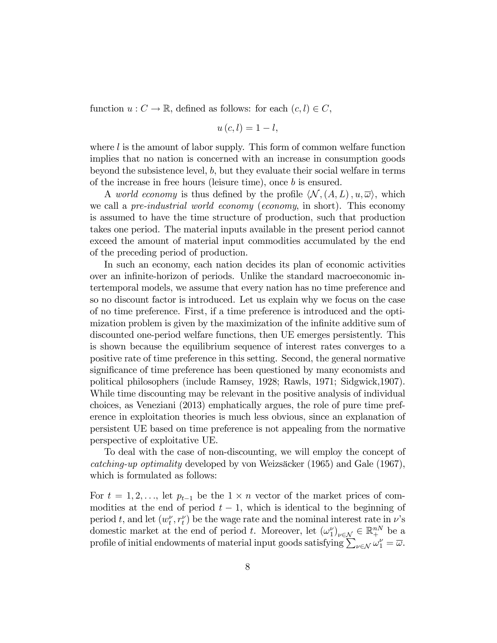function  $u: C \to \mathbb{R}$ , defined as follows: for each  $(c, l) \in C$ ,

$$
u\left( c,l\right) =1-l,
$$

where  $l$  is the amount of labor supply. This form of common welfare function implies that no nation is concerned with an increase in consumption goods beyond the subsistence level,  $b$ , but they evaluate their social welfare in terms of the increase in free hours (leisure time), once b is ensured.

A world economy is thus defined by the profile  $\langle \mathcal{N},(A,L), u, \overline{\omega} \rangle$ , which we call a *pre-industrial world economy* (*economy*, in short). This economy is assumed to have the time structure of production, such that production takes one period. The material inputs available in the present period cannot exceed the amount of material input commodities accumulated by the end of the preceding period of production.

In such an economy, each nation decides its plan of economic activities over an infinite-horizon of periods. Unlike the standard macroeconomic intertemporal models, we assume that every nation has no time preference and so no discount factor is introduced. Let us explain why we focus on the case of no time preference. First, if a time preference is introduced and the optimization problem is given by the maximization of the infinite additive sum of discounted one-period welfare functions, then UE emerges persistently. This is shown because the equilibrium sequence of interest rates converges to a positive rate of time preference in this setting. Second, the general normative significance of time preference has been questioned by many economists and political philosophers (include Ramsey, 1928; Rawls, 1971; Sidgwick,1907). While time discounting may be relevant in the positive analysis of individual choices, as Veneziani (2013) emphatically argues, the role of pure time preference in exploitation theories is much less obvious, since an explanation of persistent UE based on time preference is not appealing from the normative perspective of exploitative UE.

To deal with the case of non-discounting, we will employ the concept of catching-up optimality developed by von Weizsäcker (1965) and Gale (1967), which is formulated as follows:

For  $t = 1, 2, \ldots$ , let  $p_{t-1}$  be the  $1 \times n$  vector of the market prices of commodities at the end of period  $t-1$ , which is identical to the beginning of period t, and let  $(w_t^{\nu}, r_t^{\nu})$  be the wage rate and the nominal interest rate in  $\nu$ 's domestic market at the end of period t. Moreover, let  $(\omega_1^{\nu})_{\nu \in \mathcal{N}} \in \mathbb{R}^{nN}_{+}$  be a profile of initial endowments of material input goods satisfying  $\sum_{\nu \in \mathcal{N}} \omega_1^{\nu} = \overline{\omega}$ .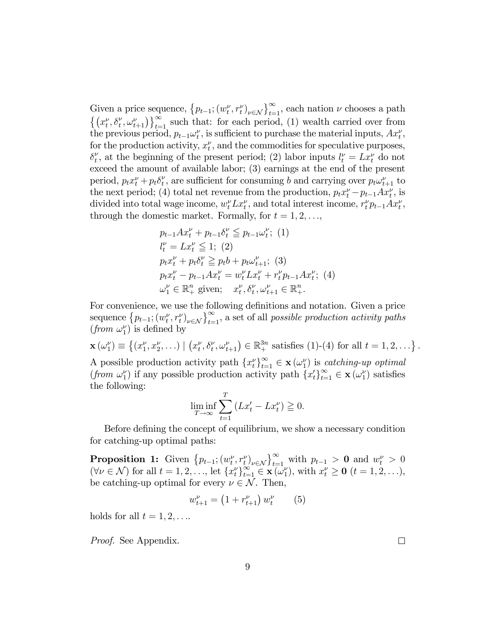Given a price sequence,  $\{p_{t-1}; (w_t^{\nu}, r_t^{\nu})_{\nu \in \mathcal{N}}\}_{t=1}^{\infty}$ , each nation  $\nu$  chooses a path  $\{(x_t^{\nu}, \delta_t^{\nu}, \omega_{t+1}^{\nu})\}_{t=1}^{\infty}$  such that: for each period, (1) wealth carried over from the previous period,  $p_{t-1} \omega_t^{\nu}$ , is sufficient to purchase the material inputs,  $Ax_t^{\nu}$ , for the production activity,  $x_t^{\nu}$ , and the commodities for speculative purposes,  $\delta_t^{\nu}$  $t<sub>t</sub>$ , at the beginning of the present period; (2) labor inputs  $l_t^{\nu} = Lx_t^{\nu}$  do not exceed the amount of available labor; (3) earnings at the end of the present period,  $p_t x_t^{\nu} + p_t \delta_t^{\nu}$  $t<sub>t</sub>$ , are sufficient for consuming b and carrying over  $p_t \omega_{t+1}^{\nu}$  to the next period; (4) total net revenue from the production,  $p_t x_t^{\nu} - p_{t-1} A x_t^{\nu}$ , is divided into total wage income,  $w_t^{\nu} L x_t^{\nu}$ , and total interest income,  $r_t^{\nu} p_{t-1} A x_t^{\nu}$ , through the domestic market. Formally, for  $t = 1, 2, \ldots$ ,

$$
p_{t-1}Ax_t^{\nu} + p_{t-1}\delta_t^{\nu} \leq p_{t-1}\omega_t^{\nu};
$$
 (1)  
\n
$$
l_t^{\nu} = Lx_t^{\nu} \leq 1;
$$
 (2)  
\n
$$
p_t x_t^{\nu} + p_t \delta_t^{\nu} \geq p_t b + p_t \omega_{t+1}^{\nu};
$$
 (3)  
\n
$$
p_t x_t^{\nu} - p_{t-1} A x_t^{\nu} = w_t^{\nu} Lx_t^{\nu} + r_t^{\nu} p_{t-1} A x_t^{\nu};
$$
 (4)  
\n
$$
\omega_1^{\nu} \in \mathbb{R}_+^n
$$
 given;  $x_t^{\nu}, \delta_t^{\nu}, \omega_{t+1}^{\nu} \in \mathbb{R}_+^n$ .

For convenience, we use the following definitions and notation. Given a price sequence  $\{p_{t-1}; (w_t^{\nu}, r_t^{\nu})_{\nu \in \mathcal{N}}\}_{t=1}^{\infty}$ , a set of all possible production activity paths (from  $\omega_1^{\nu}$ ) is defined by

 $\mathbf{x}(\omega_1^{\nu}) \equiv \{(x_1^{\nu}, x_2^{\nu}, \ldots) \mid (x_t^{\nu}, \delta_t^{\nu}, \omega_{t+1}^{\nu}) \in \mathbb{R}_+^{3n} \text{ satisfies (1)-(4) for all } t = 1, 2, \ldots\}$ . A possible production activity path  $\{x_t^{\nu}\}_{t=1}^{\infty} \in \mathbf{x}(\omega_1^{\nu})$  is *catching-up optimal* (from  $\omega_1^{\nu}$ ) if any possible production activity path  $\{x_t'\}_{t=1}^{\infty} \in \mathbf{x}(\omega_1^{\nu})$  satisfies the following:

$$
\liminf_{T \to \infty} \sum_{t=1}^{T} \left( Lx'_t - Lx''_t \right) \geq 0.
$$

Before defining the concept of equilibrium, we show a necessary condition for catching-up optimal paths:

**Proposition 1:** Given  $\{p_{t-1}; (w_t^{\nu}, r_t^{\nu})_{\nu \in \mathcal{N}}\}_{t=1}^{\infty}$  with  $p_{t-1} > 0$  and  $w_t^{\nu} > 0$  $(\forall \nu \in \mathcal{N})$  for all  $t = 1, 2, ...,$  let  $\{x_t^{\nu}\}_{t=1}^{\infty} \in \mathbf{x}(\omega_1^{\nu}),$  with  $x_t^{\nu} \ge 0$   $(t = 1, 2, ...),$ be catching-up optimal for every  $\nu \in \mathcal{N}$ . Then,

$$
w_{t+1}^{\nu} = \left(1 + r_{t+1}^{\nu}\right)w_t^{\nu} \qquad (5)
$$

holds for all  $t = 1, 2, \ldots$ 

Proof. See Appendix.

 $\Box$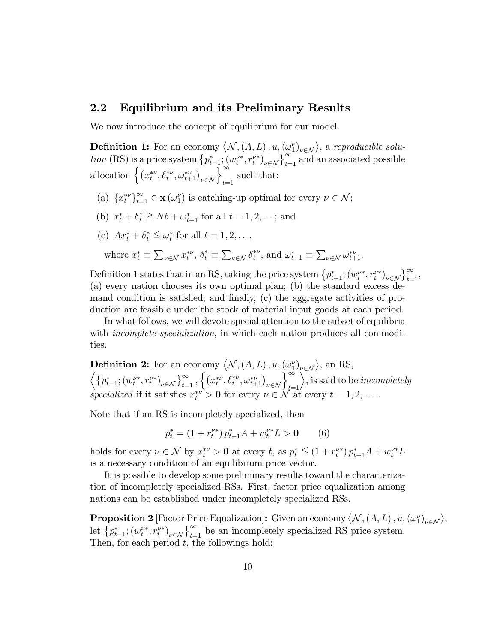### 2.2 Equilibrium and its Preliminary Results

We now introduce the concept of equilibrium for our model.

**Definition 1:** For an economy  $\langle N, (A, L), u, (\omega_1^{\nu})_{\nu \in \mathcal{N}} \rangle$ , a reproducible solution (RS) is a price system  $\{p_{t-1}^*, (w_t^{\nu*}, r_t^{\nu*})_{\nu \in \mathcal{N}}\}_{t=1}^{\infty}$  and an associated possible allocation  $\left\{ \left( x_t^{*\nu}, \delta_t^{*\nu}, \omega_{t+1}^{*\nu} \right)_{\nu \in \mathcal{N}} \right\}_{t=1}^{\infty}$  such that:

- (a)  $\{x_t^{*\nu}\}_{t=1}^{\infty} \in \mathbf{x}(\omega_1^{\nu})$  is catching-up optimal for every  $\nu \in \mathcal{N}$ ;
- (b)  $x_t^* + \delta_t^* \ge Nb + \omega_{t+1}^*$  for all  $t = 1, 2, ...;$  and
- (c)  $Ax_t^* + \delta_t^* \leqq \omega_t^*$  for all  $t = 1, 2, \ldots,$

where 
$$
x_t^* \equiv \sum_{\nu \in \mathcal{N}} x_t^{*\nu}
$$
,  $\delta_t^* \equiv \sum_{\nu \in \mathcal{N}} \delta_t^{*\nu}$ , and  $\omega_{t+1}^* \equiv \sum_{\nu \in \mathcal{N}} \omega_{t+1}^{*\nu}$ .

Definition 1 states that in an RS, taking the price system  $\{p_{t-1}^*; (w_t^{\nu*}, r_t^{\nu*})_{\nu \in \mathcal{N}}\}_{t=1}^{\infty}$ , (a) every nation chooses its own optimal plan; (b) the standard excess demand condition is satisfied; and finally, (c) the aggregate activities of production are feasible under the stock of material input goods at each period.

In what follows, we will devote special attention to the subset of equilibria with *incomplete specialization*, in which each nation produces all commodities.

**Definition 2:** For an economy  $\langle N, (A, L), u, (\omega_1^{\nu})_{\nu \in \mathcal{N}} \rangle$ , an RS,  $\left\langle \left\{p_{t-1}^*,(w_t^{\nu*},r_t^{\nu*})_{\nu\in\mathcal{N}}\right\}_{t=1}^{\infty},\left\{(x_t^{*\nu},\delta_t^{*\nu},\omega_{t+1}^{*\nu})_{\nu\in\mathcal{N}}\right\}_{t=1}^{\infty}$  $\rangle$ , is said to be *incompletely* specialized if it satisfies  $x_t^{\nu} > 0$  for every  $\nu \in \mathcal{N}$  at every  $t = 1, 2, \dots$ .

Note that if an RS is incompletely specialized, then

$$
p_t^* = (1 + r_t^{\nu*}) \, p_{t-1}^* A + w_t^{\nu*} L > \mathbf{0} \tag{6}
$$

holds for every  $\nu \in \mathcal{N}$  by  $x_t^{*\nu} > 0$  at every t, as  $p_t^* \leq (1 + r_t^{\nu*}) p_{t-1}^* A + w_t^{\nu*} L$ is a necessary condition of an equilibrium price vector.

It is possible to develop some preliminary results toward the characterization of incompletely specialized RSs. First, factor price equalization among nations can be established under incompletely specialized RSs.

**Proposition 2** [Factor Price Equalization]: Given an economy  $\langle N, (A, L), u, (\omega_1^{\nu})_{\nu \in \mathcal{N}} \rangle$ , let  $\{p_{t-1}^*; (w_t^{\nu*}, r_t^{\nu*})_{\nu \in \mathcal{N}}\}_{t=1}^{\infty}$  be an incompletely specialized RS price system. Then, for each period  $t$ , the followings hold: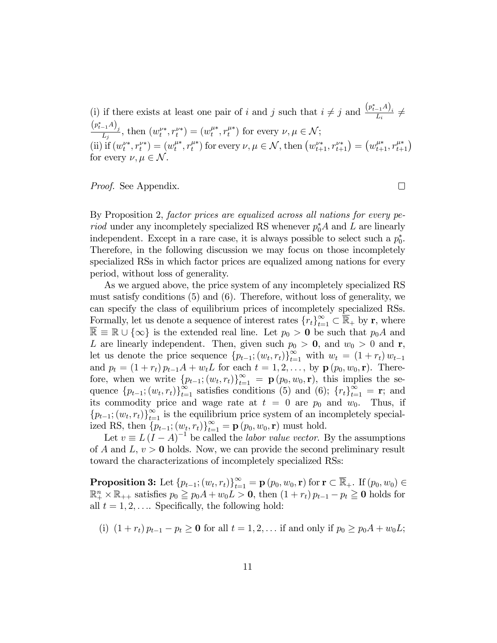(i) if there exists at least one pair of i and j such that  $i \neq j$  and  $\frac{(p_{t-1}^* A)_i}{L_i} \neq j$  $\frac{(p_{t-1}^*A)_j}{L_j}$ , then  $(w_t^{\nu*}, r_t^{\nu*}) = (w_t^{\mu*}, r_t^{\mu*})$  for every  $\nu, \mu \in \mathcal{N}$ ; (ii) if  $(w_t^{\nu*}, r_t^{\nu*}) = (w_t^{\mu*}, r_t^{\mu*})$  for every  $\nu, \mu \in \mathcal{N}$ , then  $(w_{t+1}^{\nu*}, r_{t+1}^{\nu*}) = (w_{t+1}^{\mu*}, r_{t+1}^{\mu*})$ for every  $\nu, \mu \in \mathcal{N}$ .

Proof. See Appendix.

By Proposition 2, factor prices are equalized across all nations for every pe*riod* under any incompletely specialized RS whenever  $p_0^*A$  and L are linearly independent. Except in a rare case, it is always possible to select such a  $p_0^*$ . Therefore, in the following discussion we may focus on those incompletely specialized RSs in which factor prices are equalized among nations for every period, without loss of generality.

As we argued above, the price system of any incompletely specialized RS must satisfy conditions (5) and (6). Therefore, without loss of generality, we can specify the class of equilibrium prices of incompletely specialized RSs. Formally, let us denote a sequence of interest rates  $\{r_t\}_{t=1}^{\infty} \subset \mathbb{R}_+$  by r, where  $\overline{\mathbb{R}} \equiv \mathbb{R} \cup \{\infty\}$  is the extended real line. Let  $p_0 > 0$  be such that  $p_0A$  and L are linearly independent. Then, given such  $p_0 > 0$ , and  $w_0 > 0$  and r, let us denote the price sequence  $\{p_{t-1}; (w_t, r_t)\}_{t=1}^{\infty}$  with  $w_t = (1 + r_t) w_{t-1}$ and  $p_t = (1 + r_t) p_{t-1}A + w_tL$  for each  $t = 1, 2, ...,$  by  $\mathbf{p}(p_0, w_0, \mathbf{r})$ . Therefore, when we write  $\{p_{t-1}; (w_t, r_t)\}_{t=1}^{\infty} = \mathbf{p}(p_0, w_0, \mathbf{r})$ , this implies the sequence  ${p_{t-1}}; (w_t, r_t)_{t=1}^{\infty}$  satisfies conditions (5) and (6);  ${r_t}_{t=1}^{\infty} = \mathbf{r}$ ; and its commodity price and wage rate at  $t = 0$  are  $p_0$  and  $w_0$ . Thus, if  ${p_{t-1}}; (w_t, r_t)_{t=1}^{\infty}$  is the equilibrium price system of an incompletely specialized RS, then  $\{p_{t-1}; (w_t, r_t)\}_{t=1}^{\infty} = \mathbf{p}(p_0, w_0, \mathbf{r})$  must hold.

Let  $v \equiv L (I - A)^{-1}$  be called the *labor value vector*. By the assumptions of A and  $L, v > 0$  holds. Now, we can provide the second preliminary result toward the characterizations of incompletely specialized RSs:

 $\mathbf{Proposition 3:} \ \mathrm{Let} \ \{p_{t-1};(w_t,r_t)\}_{t=1}^{\infty} = \mathbf{p} \ (p_0,w_0,\mathbf{r}) \ \mathrm{for} \ \mathbf{r} \subset \mathbb{R}_+. \ \mathrm{If} \ (p_0,w_0) \in \mathbb{R}^+ \times \mathbb{R}^+.$  $\mathbb{R}^n_+ \times \mathbb{R}_{++}$  satisfies  $p_0 \geq p_0 A + w_0 L > 0$ , then  $(1 + r_t) p_{t-1} - p_t \geq 0$  holds for all  $t = 1, 2, \ldots$  Specifically, the following hold:

(i)  $(1 + r_t) p_{t-1} - p_t \ge 0$  for all  $t = 1, 2, \ldots$  if and only if  $p_0 \ge p_0 A + w_0 L$ ;

 $\Box$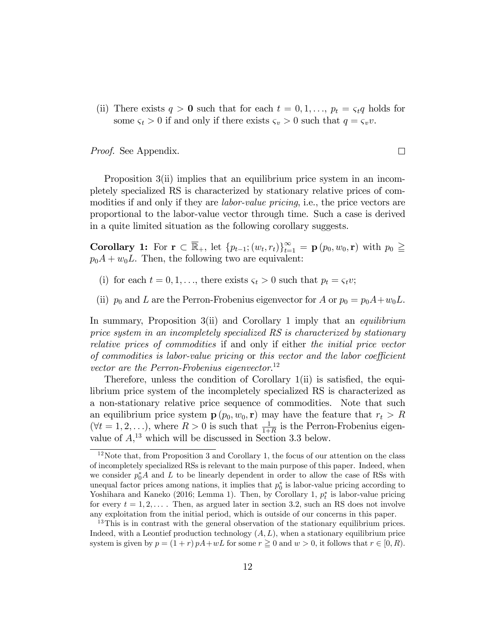(ii) There exists  $q > 0$  such that for each  $t = 0, 1, \ldots, p_t = \varsigma_t q$  holds for some  $\varsigma_t > 0$  if and only if there exists  $\varsigma_v > 0$  such that  $q = \varsigma_v v$ .

 $\Box$ 

Proof. See Appendix.

Proposition 3(ii) implies that an equilibrium price system in an incompletely specialized RS is characterized by stationary relative prices of commodities if and only if they are *labor-value pricing*, i.e., the price vectors are proportional to the labor-value vector through time. Such a case is derived in a quite limited situation as the following corollary suggests.

**Corollary 1:** For  $\mathbf{r} \subset \mathbb{R}_+$ , let  $\{p_{t-1}; (w_t, r_t)\}_{t=1}^{\infty} = \mathbf{p} (p_0, w_0, \mathbf{r})$  with  $p_0 \geq$  $p_0A + w_0L$ . Then, the following two are equivalent:

- (i) for each  $t = 0, 1, \ldots$ , there exists  $\varsigma_t > 0$  such that  $p_t = \varsigma_t v$ ;
- (ii)  $p_0$  and L are the Perron-Frobenius eigenvector for A or  $p_0 = p_0A + w_0L$ .

In summary, Proposition 3(ii) and Corollary 1 imply that an *equilibrium* price system in an incompletely specialized RS is characterized by stationary relative prices of commodities if and only if either the initial price vector of commodities is labor-value pricing or this vector and the labor coefficient vector are the Perron-Frobenius eigenvector.<sup>12</sup>

Therefore, unless the condition of Corollary  $1(i)$  is satisfied, the equilibrium price system of the incompletely specialized RS is characterized as a non-stationary relative price sequence of commodities. Note that such an equilibrium price system  $\mathbf{p}(p_0, w_0, \mathbf{r})$  may have the feature that  $r_t > R$  $(\forall t = 1, 2, \ldots),$  where  $R > 0$  is such that  $\frac{1}{1+R}$  is the Perron-Frobenius eigenvalue of  $A$ <sup>13</sup>, which will be discussed in Section 3.3 below.

 $12$ Note that, from Proposition 3 and Corollary 1, the focus of our attention on the class of incompletely specialized RSs is relevant to the main purpose of this paper. Indeed, when we consider  $p_0^*A$  and L to be linearly dependent in order to allow the case of RSs with unequal factor prices among nations, it implies that  $p_0^*$  is labor-value pricing according to Yoshihara and Kaneko (2016; Lemma 1). Then, by Corollary 1,  $p_t^*$  is labor-value pricing for every  $t = 1, 2, \ldots$ . Then, as argued later in section 3.2, such an RS does not involve any exploitation from the initial period, which is outside of our concerns in this paper.

<sup>&</sup>lt;sup>13</sup>This is in contrast with the general observation of the stationary equilibrium prices. Indeed, with a Leontief production technology  $(A, L)$ , when a stationary equilibrium price system is given by  $p = (1+r) pA + wL$  for some  $r \ge 0$  and  $w > 0$ , it follows that  $r \in [0, R)$ .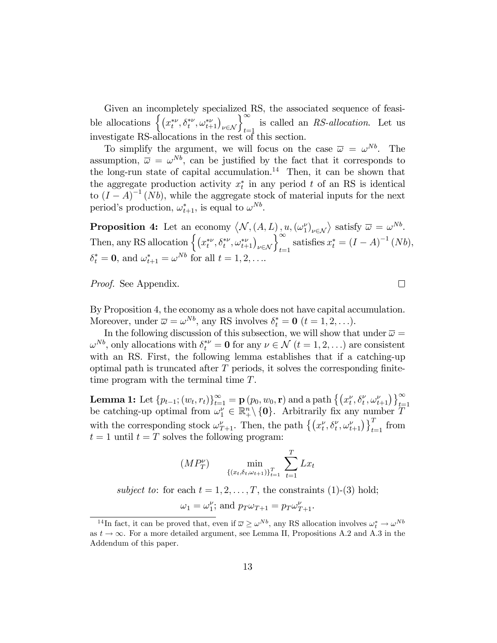Given an incompletely specialized RS, the associated sequence of feasible allocations  $\left\{ (x_t^{*\nu}, \delta_t^{*\nu}, \omega_{t+1}^{*\nu})_{\nu \in \mathcal{N}} \right\}_{t=1}^{\infty}$  is called an RS-allocation. Let us investigate RS-allocations in the rest of this section.

To simplify the argument, we will focus on the case  $\bar{\omega} = \omega^{Nb}$ . The assumption,  $\overline{\omega} = \omega^{Nb}$ , can be justified by the fact that it corresponds to the long-run state of capital accumulation.<sup>14</sup> Then, it can be shown that the aggregate production activity  $x_t^*$  in any period t of an RS is identical to  $(I - A)^{-1}$  (Nb), while the aggregate stock of material inputs for the next period's production,  $\omega_{t+1}^*$ , is equal to  $\omega^{Nb}$ .

**Proposition 4:** Let an economy  $\langle N, (A, L), u, (\omega_1^{\nu})_{\nu \in \mathcal{N}} \rangle$  satisfy  $\overline{\omega} = \omega^{Nb}$ . Then, any RS allocation  $\left\{ (x_t^{*\nu}, \delta_t^{*\nu}, \omega_{t+1}^{*\nu})_{\nu \in \mathcal{N}} \right\}_{t=1}^{\infty}$  satisfies  $x_t^* = (I - A)^{-1} (Nb)$ ,  $\delta_t^* = \mathbf{0}$ , and  $\omega_{t+1}^* = \omega^{Nb}$  for all  $t = 1, 2, \dots$ 

 $\Box$ 

Proof. See Appendix.

By Proposition 4, the economy as a whole does not have capital accumulation. Moreover, under  $\overline{\omega} = \omega^{Nb}$ , any RS involves  $\delta_t^* = \mathbf{0}$   $(t = 1, 2, \ldots)$ .

In the following discussion of this subsection, we will show that under  $\bar{\omega} =$  $\omega^{Nb}$ , only allocations with  $\delta_t^{*\nu} = \mathbf{0}$  for any  $\nu \in \mathcal{N}$   $(t = 1, 2, ...)$  are consistent with an RS. First, the following lemma establishes that if a catching-up optimal path is truncated after  $T$  periods, it solves the corresponding finitetime program with the terminal time T.

**Lemma 1:** Let  $\{p_{t-1}; (w_t, r_t)\}_{t=1}^{\infty} = \mathbf{p} (p_0, w_0, \mathbf{r})$  and a path  $\{ (x_t^{\nu}, \delta_t^{\nu}, \omega_{t+1}^{\nu}) \}_{t=1}^{\infty}$  be catching-up optimal from  $\omega_1^{\nu} \in \mathbb{R}^n_+ \setminus \{\mathbf{0}\}$ . Arbitrarily fix any number  $T$ with the corresponding stock  $\omega_{T+1}^{\nu}$ . Then, the path  $\{(x_t^{\nu}, \delta_t^{\nu}, \omega_{t+1}^{\nu})\}_{t=1}^T$  from  $t = 1$  until  $t = T$  solves the following program:

$$
(MP_T^{\nu}) \qquad \min_{\{(x_t, \delta_t, \omega_{t+1})\}_{t=1}^T} \sum_{t=1}^T Lx_t
$$

subject to: for each  $t = 1, 2, ..., T$ , the constraints (1)-(3) hold;

$$
\omega_1 = \omega_1^{\nu}; \, \text{and} \, p_T \omega_{T+1} = p_T \omega_{T+1}^{\nu}.
$$

<sup>&</sup>lt;sup>14</sup>In fact, it can be proved that, even if  $\overline{\omega} \geq \omega^{Nb}$ , any RS allocation involves  $\omega_t^* \to \omega^{Nb}$ as  $t \to \infty$ . For a more detailed argument, see Lemma II, Propositions A.2 and A.3 in the Addendum of this paper.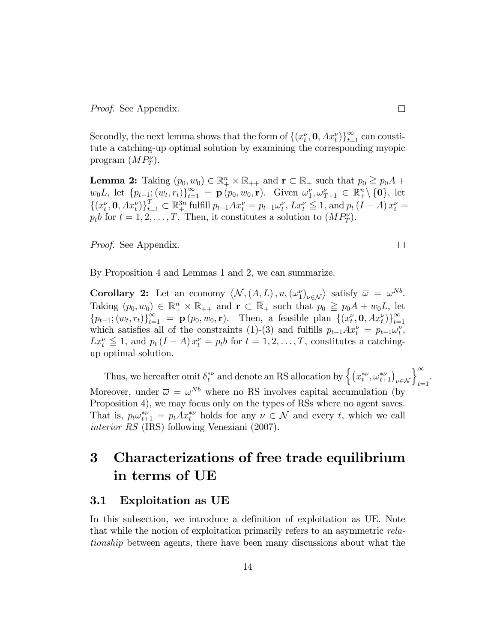Secondly, the next lemma shows that the form of  $\{(x_t^{\nu}, \mathbf{0}, Ax_t^{\nu})\}_{t=1}^{\infty}$  can constitute a catching-up optimal solution by examining the corresponding myopic program  $(MP_T^{\nu}).$ 

**Lemma 2:** Taking  $(p_0, w_0) \in \mathbb{R}^n_+ \times \mathbb{R}_{++}$  and  $\mathbf{r} \subset \overline{\mathbb{R}}_+$  such that  $p_0 \geq p_0 A +$  $w_0 L$ , let  $\{p_{t-1}; (w_t, r_t)\}_{t=1}^{\infty} = \mathbf{p} (p_0, w_0, \mathbf{r})$ . Given  $\omega_1^{\nu}, \omega_{T+1}^{\nu} \in \mathbb{R}^n_+ \setminus \{\mathbf{0}\}$ , let  $\{(x_t^{\nu}, \mathbf{0}, Ax_t^{\nu})\}_{t=1}^T \subset \mathbb{R}_+^{3n}$  fulfill  $p_{t-1}Ax_t^{\nu} = p_{t-1}\omega_t^{\nu}$ ,  $Lx_t^{\nu} \leq 1$ , and  $p_t(I - A)x_t^{\nu} =$  $p_t b$  for  $t = 1, 2, ..., T$ . Then, it constitutes a solution to  $(MP_T^{\nu})$ .

Proof. See Appendix.

By Proposition 4 and Lemmas 1 and 2, we can summarize.

**Corollary 2:** Let an economy  $\langle N, (A, L), u, (\omega_1^{\nu})_{\nu \in \mathcal{N}} \rangle$  satisfy  $\overline{\omega} = \omega^{Nb}$ . Taking  $(p_0, w_0) \in \mathbb{R}_+^n \times \mathbb{R}_{++}$  and  $\mathbf{r} \subset \overline{\mathbb{R}}_+$  such that  $p_0 \geqq p_0 A + w_0 L$ , let  ${p_{t-1}; (w_t, r_t)}_{t=1}^{\infty} = \mathbf{p}(p_0, w_0, \mathbf{r}).$  Then, a feasible plan  ${(x_t^{\nu}, \mathbf{0}, Ax_t^{\nu})}_{t=1}^{\infty}$ which satisfies all of the constraints (1)-(3) and fulfills  $p_{t-1}Ax_t^{\nu} = p_{t-1}\omega_t^{\nu}$ ,  $Lx_t^{\nu} \leq 1$ , and  $p_t (I - A) x_t^{\nu} = p_t b$  for  $t = 1, 2, ..., T$ , constitutes a catchingup optimal solution.

Thus, we hereafter omit  $\delta_t^{*\nu}$  and denote an RS allocation by  $\left\{ (x_t^{*\nu}, \omega_{t+1}^{*\nu})_{\nu \in \mathcal{N}} \right\}_{t=1}^{\infty}$ . Moreover, under  $\bar{\omega} = \omega^{Nb}$  where no RS involves capital accumulation (by Proposition 4), we may focus only on the types of RSs where no agent saves. That is,  $p_t \omega_{t+1}^* = p_t A x_t^{*\nu}$  holds for any  $\nu \in \mathcal{N}$  and every t, which we call interior RS (IRS) following Veneziani (2007).

# 3 Characterizations of free trade equilibrium in terms of UE

### 3.1 Exploitation as UE

In this subsection, we introduce a definition of exploitation as UE. Note that while the notion of exploitation primarily refers to an asymmetric relationship between agents, there have been many discussions about what the

 $\Box$ 

 $\Box$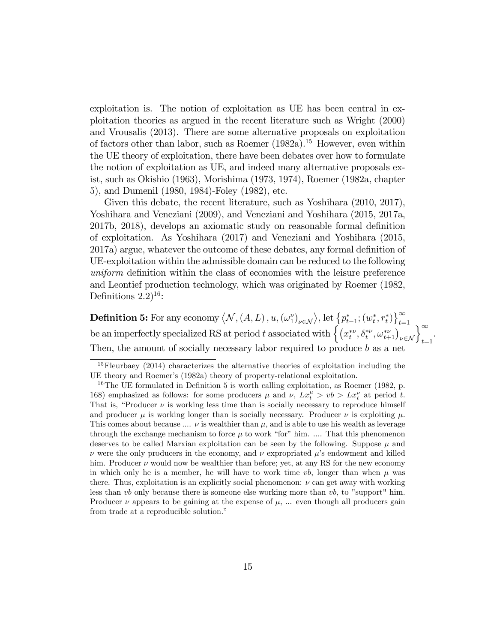exploitation is. The notion of exploitation as UE has been central in exploitation theories as argued in the recent literature such as Wright (2000) and Vrousalis (2013). There are some alternative proposals on exploitation of factors other than labor, such as Roemer  $(1982a)^{15}$  However, even within the UE theory of exploitation, there have been debates over how to formulate the notion of exploitation as UE, and indeed many alternative proposals exist, such as Okishio (1963), Morishima (1973, 1974), Roemer (1982a, chapter 5), and Dumenil (1980, 1984)-Foley (1982), etc.

Given this debate, the recent literature, such as Yoshihara  $(2010, 2017)$ , Yoshihara and Veneziani (2009), and Veneziani and Yoshihara (2015, 2017a, 2017b, 2018), develops an axiomatic study on reasonable formal definition of exploitation. As Yoshihara (2017) and Veneziani and Yoshihara (2015, 2017a) argue, whatever the outcome of these debates, any formal definition of UE-exploitation within the admissible domain can be reduced to the following uniform definition within the class of economies with the leisure preference and Leontief production technology, which was originated by Roemer (1982, Definitions  $2.2$ <sup>16</sup>:

**Definition 5:** For any economy  $\langle N, (A, L), u, (\omega_1^{\nu})_{\nu \in \mathcal{N}} \rangle$ , let  $\{p_{t-1}^*, (w_t^*, r_t^*)\}_{t=1}^{\infty}$ <br>be an imperfectly specialized RS at period t associated with  $\left\{ (x_t^{*\nu}, \delta_t^{*\nu}, \omega_{t+1}^{*\nu})_{\nu \in \mathcal{N}} \right\}_{t=1}^{\infty}$ Then, the amount of socially necessary labor required to produce  $b$  as a net

<sup>&</sup>lt;sup>15</sup>Fleurbaey (2014) characterizes the alternative theories of exploitation including the UE theory and Roemer's (1982a) theory of property-relational exploitation.

 $16$ The UE formulated in Definition 5 is worth calling exploitation, as Roemer (1982, p. 168) emphasized as follows: for some producers  $\mu$  and  $\nu$ ,  $Lx_t^{\mu} > v b > Lx_t^{\nu}$  at period t. That is, "Producer  $\nu$  is working less time than is socially necessary to reproduce himself and producer  $\mu$  is working longer than is socially necessary. Producer  $\nu$  is exploiting  $\mu$ . This comes about because  $\ldots \nu$  is wealthier than  $\mu$ , and is able to use his wealth as leverage through the exchange mechanism to force  $\mu$  to work "for" him. .... That this phenomenon deserves to be called Marxian exploitation can be seen by the following. Suppose  $\mu$  and  $\nu$  were the only producers in the economy, and  $\nu$  expropriated  $\mu$ 's endowment and killed him. Producer  $\nu$  would now be wealthier than before; yet, at any RS for the new economy in which only he is a member, he will have to work time  $vb$ , longer than when  $\mu$  was there. Thus, exploitation is an explicitly social phenomenon:  $\nu$  can get away with working less than vb only because there is someone else working more than vb, to "support" him. Producer  $\nu$  appears to be gaining at the expense of  $\mu$ , ... even though all producers gain from trade at a reproducible solution."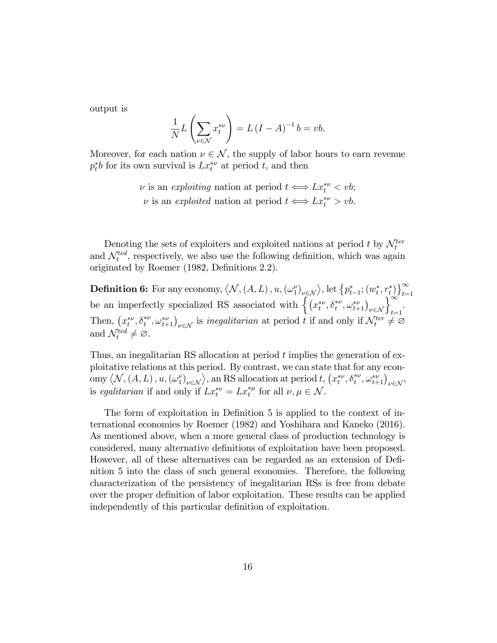output is

$$
\frac{1}{N}L\left(\sum_{\nu\in\mathcal{N}}x_{t}^{*\nu}\right)=L\left(I-A\right)^{-1}b=vb.
$$

Moreover, for each nation  $\nu \in \mathcal{N}$ , the supply of labor hours to earn revenue  $p_t^*b$  for its own survival is  $Lx_t^{*\nu}$  at period t, and then

> $\nu$  is an exploiting nation at period  $t \Longleftrightarrow Lx_t^{*\nu} < v b;$  $\nu$  is an exploited nation at period  $t \Longleftrightarrow Lx_t^{*\nu} > \nu b$ .

Denoting the sets of exploiters and exploited nations at period t by  $\mathcal{N}_t^{ter}$  and  $\mathcal{N}_t^{ted}$ , respectively, we also use the following definition, which was again originated by Roemer (1982, Definitions 2.2).

**Definition 6:** For any economy,  $\langle N, (A, L), u, (\omega_1^{\nu})_{\nu \in \mathcal{N}} \rangle$ , let  $\{p_{t-1}^*, (w_t^*, r_t^*)\}_{t=1}^{\infty}$ <br>be an imperfectly specialized RS associated with  $\left\{ (x_t^{*\nu}, \delta_t^{*\nu}, \omega_{t+1}^{*\nu})_{\nu \in \mathcal{N}} \right\}_{t=1}^{\infty}$ . Then,  $(x_t^{*\nu}, \delta_t^{*\nu}, \omega_{t+1}^{*\nu})_{\nu \in \mathcal{N}}$  is inegalitarian at period t if and only if  $\mathcal{N}_t^{ter} \neq \emptyset$ and  $\mathcal{N}_t^{ted} \neq \emptyset$ .

Thus, an inegalitarian RS allocation at period t implies the generation of exploitative relations at this period. By contrast, we can state that for any economy  $\langle N, (A, L), u, (\omega_1^{\nu})_{\nu \in \mathcal{N}} \rangle$ , an RS allocation at period t,  $(x_t^{*\nu}, \delta_t^{*\nu}, \omega_{t+1}^{*\nu})_{\nu \in \mathcal{N}}$ is egalitarian if and only if  $Lx_t^{*\nu} = Lx_t^{*\mu}$  for all  $\nu, \mu \in \mathcal{N}$ .

The form of exploitation in Definition 5 is applied to the context of international economies by Roemer (1982) and Yoshihara and Kaneko (2016). As mentioned above, when a more general class of production technology is considered, many alternative definitions of exploitation have been proposed. However, all of these alternatives can be regarded as an extension of DeÖnition 5 into the class of such general economies. Therefore, the following characterization of the persistency of inegalitarian RSs is free from debate over the proper definition of labor exploitation. These results can be applied independently of this particular definition of exploitation.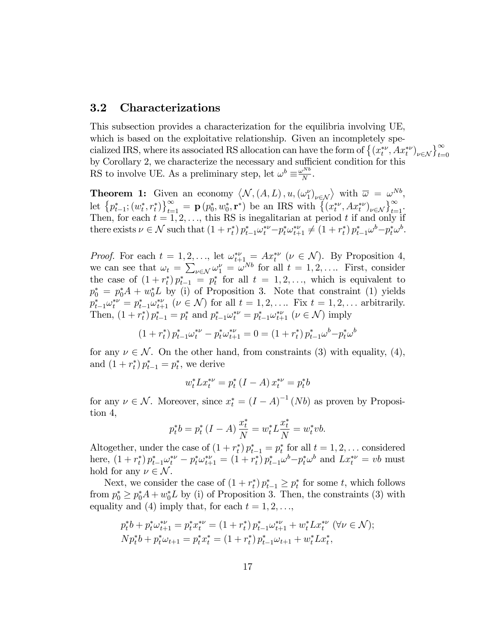### 3.2 Characterizations

This subsection provides a characterization for the equilibria involving UE, which is based on the exploitative relationship. Given an incompletely specialized IRS, where its associated RS allocation can have the form of  $\{(x_t^{*\nu}, Ax_t^{*\nu})_{\nu \in \mathcal{N}}\}_{t=0}^{\infty}$ by Corollary 2, we characterize the necessary and sufficient condition for this RS to involve UE. As a preliminary step, let  $\omega^b \equiv \frac{\omega^{Nb}}{N}$  $\frac{N}{N}$ .

**Theorem 1:** Given an economy  $\langle N, (A, L), u, (\omega_1^{\nu})_{\nu \in \mathcal{N}} \rangle$  with  $\overline{\omega} = \omega^{Nb}$ , let  $\{p_{t-1}^*; (w_t^*, r_t^*)\}_{t=1}^{\infty} = \mathbf{p} (p_0^*, w_0^*, \mathbf{r}^*)$  be an IRS with  $\{(x_t^{*\nu}, Ax_t^{*\nu})_{\nu \in \mathcal{N}}\}_{t=1}^{\infty}$ Then, for each  $t = 1, 2, \ldots$ , this RS is inegalitarian at period t if and only if there exists  $\nu \in \mathcal{N}$  such that  $(1 + r_t^*) p_{t-1}^* \omega_t^{*\nu} - p_t^* \omega_{t+1}^{*\nu} \neq (1 + r_t^*) p_{t-1}^* \omega^b - p_t^* \omega^b$ .

*Proof.* For each  $t = 1, 2, \ldots$ , let  $\omega_{t+1}^{*\nu} = Ax_t^{*\nu} \ (\nu \in \mathcal{N})$ . By Proposition 4, we can see that  $\omega_t = \sum_{\nu \in \mathcal{N}} \omega_1^{\nu} = \omega^{Nb}$  for all  $t = 1, 2, \dots$  First, consider the case of  $(1+r_t^*)p_{t-1}^* = p_t^*$  for all  $t = 1, 2, \ldots$ , which is equivalent to  $p_0^* = p_0^* A + w_0^* L$  by (i) of Proposition 3. Note that constraint (1) yields  $p_{t-1}^* \omega_t^{*\nu} = p_{t-1}^* \omega_{t+1}^{*\nu} \ (\nu \in \mathcal{N})$  for all  $t = 1, 2, \dots$  Fix  $t = 1, 2, \dots$  arbitrarily. Then,  $(1 + r_t^*) p_{t-1}^* = p_t^*$  and  $p_{t-1}^* \omega_t^{*\nu} = p_{t-1}^* \omega_{t+1}^{*\nu}$   $(\nu \in \mathcal{N})$  imply

$$
(1 + r_t^*) p_{t-1}^* \omega_t^{*\nu} - p_t^* \omega_{t+1}^{*\nu} = 0 = (1 + r_t^*) p_{t-1}^* \omega^b - p_t^* \omega^b
$$

for any  $\nu \in \mathcal{N}$ . On the other hand, from constraints (3) with equality, (4), and  $(1 + r_t^*) p_{t-1}^* = p_t^*$ , we derive

$$
w_t^* L x_t^{*\nu} = p_t^* (I - A) x_t^{*\nu} = p_t^* b
$$

for any  $\nu \in \mathcal{N}$ . Moreover, since  $x_t^* = (I - A)^{-1} (Nb)$  as proven by Proposition 4,

$$
p_t^*b = p_t^* (I - A) \frac{x_t^*}{N} = w_t^* L \frac{x_t^*}{N} = w_t^* v b.
$$

Altogether, under the case of  $(1 + r_t^*) p_{t-1}^* = p_t^*$  for all  $t = 1, 2, \ldots$  considered here,  $(1 + r_t^*) p_{t-1}^* \omega_t^{*\nu} - p_t^* \omega_{t+1}^{*\nu} = (1 + r_t^*) p_{t-1}^* \omega^b - p_t^* \omega^b$  and  $L x_t^{*\nu} = v b$  must hold for any  $\nu \in \mathcal{N}$ .

Next, we consider the case of  $(1 + r_t^*) p_{t-1}^* \geq p_t^*$  for some t, which follows from  $p_0^* \geq p_0^* A + w_0^* L$  by (i) of Proposition 3. Then, the constraints (3) with equality and (4) imply that, for each  $t = 1, 2, \ldots$ ,

$$
p_t^*b + p_t^* \omega_{t+1}^{*\nu} = p_t^* x_t^{*\nu} = (1 + r_t^*) p_{t-1}^* \omega_{t+1}^{*\nu} + w_t^* L x_t^{*\nu} \ (\forall \nu \in \mathcal{N});
$$
  
\n
$$
N p_t^*b + p_t^* \omega_{t+1} = p_t^* x_t^* = (1 + r_t^*) p_{t-1}^* \omega_{t+1} + w_t^* L x_t^*,
$$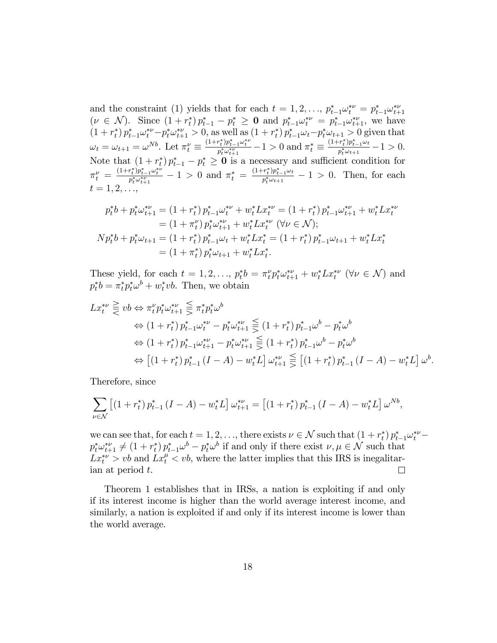and the constraint (1) yields that for each  $t = 1, 2, \ldots, p_{t-1}^* \omega_t^{*\nu} = p_{t-1}^* \omega_{t+1}^{*\nu}$  $(\nu \in \mathcal{N})$ . Since  $(1 + r_t^*) p_{t-1}^* - p_t^* \geq 0$  and  $p_{t-1}^* \omega_t^{*\nu} = p_{t-1}^* \omega_{t+1}^{*\nu}$ , we have  $(1+r_t^*)p_{t-1}^*\omega_t^{*\nu} - p_t^*\omega_{t+1}^{*\nu} > 0$ , as well as  $(1+r_t^*)p_{t-1}^*\omega_t - p_t^*\omega_{t+1} > 0$  given that  $\omega_t = \omega_{t+1} = \omega^{Nb}$ . Let  $\pi_t^{\nu} \equiv$  $\frac{(1+r_t^*)p_{t-1}^*\omega_t^{*\nu}}{p_t^*\omega_{t+1}^{*\nu}} - 1 > 0$  and  $\pi_t^* \equiv$  $\frac{(1+r_t^*)p_{t-1}^*\omega_t}{p_t^*\omega_{t+1}}-1>0.$ Note that  $(1+r_t^*)p_{t-1}^* - p_t^* \geq 0$  is a necessary and sufficient condition for  $\pi_t^{\nu} = \frac{(1+r_t^*)p_{t-1}^*\omega_t^{*\nu}}{p_t^*\omega_{t+1}^{*\nu}} - 1 > 0$  and  $\pi_t^* = \frac{(1+r_t^*)p_{t-1}^*\omega_t}{p_t^*\omega_{t+1}} - 1 > 0$ . Then, for each  $t = 1, 2, \ldots$ 

$$
p_t^*b + p_t^*\omega_{t+1}^{*\nu} = (1 + r_t^*)p_{t-1}^*\omega_t^{*\nu} + w_t^*Lx_t^{*\nu} = (1 + r_t^*)p_{t-1}^*\omega_{t+1}^{*\nu} + w_t^*Lx_t^{*\nu}
$$
  
\n
$$
= (1 + \pi_t^{\nu})p_t^*\omega_{t+1}^{*\nu} + w_t^*Lx_t^{*\nu} \quad (\forall \nu \in \mathcal{N});
$$
  
\n
$$
Np_t^*b + p_t^*\omega_{t+1} = (1 + r_t^*)p_{t-1}^*\omega_t + w_t^*Lx_t^* = (1 + r_t^*)p_{t-1}^*\omega_{t+1} + w_t^*Lx_t^*
$$
  
\n
$$
= (1 + \pi_t^*)p_t^*\omega_{t+1} + w_t^*Lx_t^*.
$$

These yield, for each  $t = 1, 2, \ldots, p_t^* b = \pi_t^{\nu} p_t^* \omega_{t+1}^{*\nu} + w_t^* L x_t^{*\nu} \quad (\forall \nu \in \mathcal{N})$  and  $p_t^*b = \pi_t^* p_t^* \omega^b + w_t^* v b$ . Then, we obtain

$$
Lx_t^{*\nu} \geqq v b \Leftrightarrow \pi_t^{\nu} p_t^* \omega_{t+1}^{*\nu} \leqq \pi_t^* p_t^* \omega^b
$$
  
\n
$$
\Leftrightarrow (1+r_t^*) \, p_{t-1}^* \omega_t^{*\nu} - p_t^* \omega_{t+1}^{*\nu} \leqq (1+r_t^*) \, p_{t-1}^* \omega^b - p_t^* \omega^b
$$
  
\n
$$
\Leftrightarrow (1+r_t^*) \, p_{t-1}^* \omega_{t+1}^{*\nu} - p_t^* \omega_{t+1}^{*\nu} \leqq (1+r_t^*) \, p_{t-1}^* \omega^b - p_t^* \omega^b
$$
  
\n
$$
\Leftrightarrow [(1+r_t^*) \, p_{t-1}^* \, (I-A) - w_t^* L] \, \omega_{t+1}^{*\nu} \leqq [(1+r_t^*) \, p_{t-1}^* \, (I-A) - w_t^* L] \, \omega^b.
$$

Therefore, since

$$
\sum_{\nu \in \mathcal{N}} \left[ \left( 1 + r_t^* \right) p_{t-1}^* \left( I - A \right) - w_t^* L \right] \omega_{t+1}^{*\nu} = \left[ \left( 1 + r_t^* \right) p_{t-1}^* \left( I - A \right) - w_t^* L \right] \omega^{Nb},
$$

we can see that, for each  $t = 1, 2, \ldots$ , there exists  $\nu \in \mathcal{N}$  such that  $(1 + r_t^*) p_{t-1}^* \omega_t^{*\nu}$  $p_t^* \omega_{t+1}^{*\nu} \neq (1 + r_t^*) p_{t-1}^* \omega^b - p_t^* \omega^b$  if and only if there exist  $\nu, \mu \in \mathcal{N}$  such that  $Lx_t^{\mu} > vb$  and  $Lx_t^{\mu} < vb$ , where the latter implies that this IRS is inegalitarian at period t.  $\Box$ 

Theorem 1 establishes that in IRSs, a nation is exploiting if and only if its interest income is higher than the world average interest income, and similarly, a nation is exploited if and only if its interest income is lower than the world average.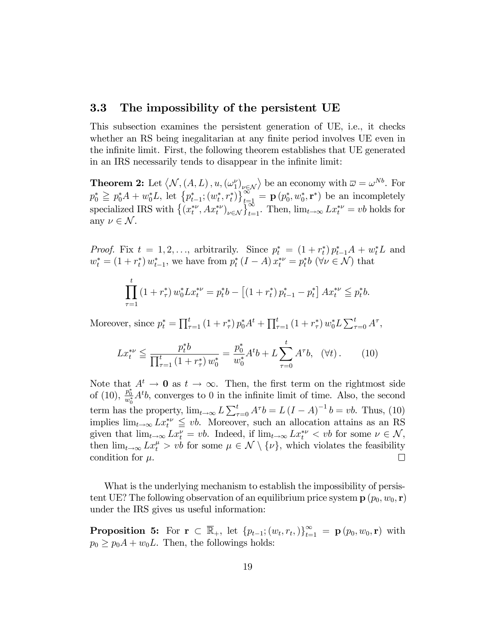### 3.3 The impossibility of the persistent UE

This subsection examines the persistent generation of UE, i.e., it checks whether an RS being inegalitarian at any finite period involves UE even in the infinite limit. First, the following theorem establishes that UE generated in an IRS necessarily tends to disappear in the infinite limit:

**Theorem 2:** Let  $\langle N, (A, L), u, (\omega_1)_{\nu \in \mathcal{N}} \rangle$  be an economy with  $\overline{\omega} = \omega^{Nb}$ . For  $p_0^* \geqq p_0^* A + w_0^* L$ , let  $\left\{ p_{t-1}^*; (w_t^*, r_t^*) \right\}_{t=1}^{\infty} = \mathbf{p} (p_0^*, w_0^*, \mathbf{r}^*)$  be an incompletely specialized IRS with  $\{(x_t^{*\nu}, Ax_t^{*\nu})_{\nu \in \mathcal{N}}\}_{t=1}^{\infty}$ . Then,  $\lim_{t\to\infty} Lx_t^{*\nu} = vb$  holds for any  $\nu \in \mathcal{N}$ .

*Proof.* Fix  $t = 1, 2, \ldots$ , arbitrarily. Since  $p_t^* = (1 + r_t^*) p_{t-1}^* A + w_t^* L$  and  $w_t^* = (1 + r_t^*) w_{t-1}^*$ , we have from  $p_t^* (I - A) x_t^{*\nu} = p_t^* b \ (\forall \nu \in \mathcal{N})$  that

$$
\prod_{\tau=1}^t (1 + r_\tau^*) w_0^* L x_t^{*\nu} = p_t^* b - \left[ (1 + r_t^*) p_{t-1}^* - p_t^* \right] A x_t^{*\nu} \leqq p_t^* b.
$$

Moreover, since  $p_t^* = \prod_{\tau=1}^t (1 + r_{\tau}^*) p_0^* A^t + \prod_{\tau=1}^t (1 + r_{\tau}^*) w_0^* L \sum_{\tau=0}^t A^{\tau}$ ,

$$
Lx_t^{*\nu} \le \frac{p_t^*b}{\prod_{\tau=1}^t (1+r_\tau^*)w_0^*} = \frac{p_0^*}{w_0^*} A^t b + L \sum_{\tau=0}^t A^\tau b, \quad (\forall t). \tag{10}
$$

Note that  $A^t \to 0$  as  $t \to \infty$ . Then, the first term on the rightmost side of (10),  $\frac{p_0^*}{w_0^*}A^t b$ , converges to 0 in the infinite limit of time. Also, the second term has the property,  $\lim_{t\to\infty} L \sum_{\tau=0}^t A^\tau b = L (I - A)^{-1} b = vb$ . Thus, (10) implies  $\lim_{t\to\infty} Lx_t^{*\nu} \leq v b$ . Moreover, such an allocation attains as an RS given that  $\lim_{t\to\infty} Lx_t^{\nu} = vb$ . Indeed, if  $\lim_{t\to\infty} Lx_t^{*\nu} < vb$  for some  $\nu \in \mathcal{N}$ , then  $\lim_{t\to\infty} Lx_t^{\mu} > vb$  for some  $\mu \in \mathcal{N} \setminus \{\nu\}$ , which violates the feasibility condition for  $\mu$ .

What is the underlying mechanism to establish the impossibility of persistent UE? The following observation of an equilibrium price system  $\mathbf{p}$  ( $p_0, w_0, \mathbf{r}$ ) under the IRS gives us useful information:

**Proposition 5:** For  $\mathbf{r} \in \mathbb{R}_+$ , let  $\{p_{t-1}; (w_t, r_t, )\}_{t=1}^{\infty} = \mathbf{p} (p_0, w_0, \mathbf{r})$  with  $p_0 \geq p_0A + w_0L$ . Then, the followings holds: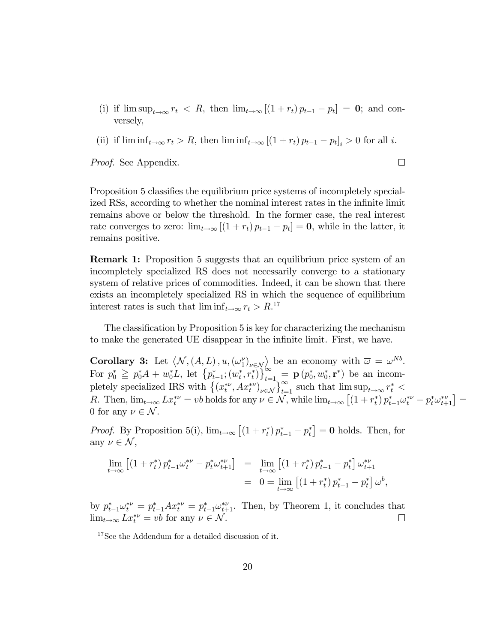- (i) if  $\limsup_{t\to\infty} r_t < R$ , then  $\lim_{t\to\infty} [(1+r_t) p_{t-1} p_t] = \mathbf{0}$ ; and conversely,
- (ii) if  $\liminf_{t\to\infty} r_t > R$ , then  $\liminf_{t\to\infty} [(1 + r_t) p_{t-1} p_t]_i > 0$  for all i.

 $\Box$ 

Proof. See Appendix.

Proposition 5 classifies the equilibrium price systems of incompletely specialized RSs, according to whether the nominal interest rates in the infinite limit remains above or below the threshold. In the former case, the real interest rate converges to zero:  $\lim_{t \to \infty} [(1 + r_t) p_{t-1} - p_t] = \mathbf{0}$ , while in the latter, it remains positive.

Remark 1: Proposition 5 suggests that an equilibrium price system of an incompletely specialized RS does not necessarily converge to a stationary system of relative prices of commodities. Indeed, it can be shown that there exists an incompletely specialized RS in which the sequence of equilibrium interest rates is such that  $\liminf_{t \to \infty} r_t > R$ .<sup>17</sup>

The classification by Proposition 5 is key for characterizing the mechanism to make the generated UE disappear in the infinite limit. First, we have.

**Corollary 3:** Let  $\langle N, (A, L), u, (\omega_1^{\nu})_{\nu \in \mathcal{N}} \rangle$  be an economy with  $\overline{\omega} = \omega^{Nb}$ . For  $p_0^* \geqq p_0^* A + w_0^* L$ , let  $\{p_{t-1}^*; (w_t^*, r_t^*)\}_{t=1}^{\infty} \geq {\bf p} (p_0^*, w_0^*, {\bf r}^*)$  be an incompletely specialized IRS with  $\{(x_t^{*\nu}, Ax_t^{*\nu})_{\nu \in \mathcal{N}}\}_{t=1}^{\infty}$  such that  $\limsup_{t\to\infty} r_t^*$ R. Then,  $\lim_{t\to\infty} Lx_t^{*\nu} = vb$  holds for any  $\nu \in \mathcal{N}$ , while  $\lim_{t\to\infty} \left[ (1 + r_t^*) p_{t-1}^* \omega_t^{*\nu} - p_t^* \omega_{t+1}^{*\nu} \right] =$ 0 for any  $\nu \in \mathcal{N}$ .

*Proof.* By Proposition 5(i),  $\lim_{t\to\infty} [(1 + r_t^*) p_{t-1}^* - p_t^*] = 0$  holds. Then, for any  $\nu \in \mathcal{N}$ ,

$$
\lim_{t \to \infty} \left[ \left( 1 + r_t^* \right) p_{t-1}^* \omega_t^{*\nu} - p_t^* \omega_{t+1}^{*\nu} \right] = \lim_{t \to \infty} \left[ \left( 1 + r_t^* \right) p_{t-1}^* - p_t^* \right] \omega_{t+1}^{*\nu}
$$
\n
$$
= 0 = \lim_{t \to \infty} \left[ \left( 1 + r_t^* \right) p_{t-1}^* - p_t^* \right] \omega^b,
$$

by  $p_{t-1}^* \omega_t^{*\nu} = p_{t-1}^* A x_t^{*\nu} = p_{t-1}^* \omega_{t+1}^{*\nu}$ . Then, by Theorem 1, it concludes that  $\lim_{t \to \infty} L x_t^{*\nu} = v b$  for any  $\nu \in \mathcal{N}$ .  $\Box$ 

<sup>&</sup>lt;sup>17</sup>See the Addendum for a detailed discussion of it.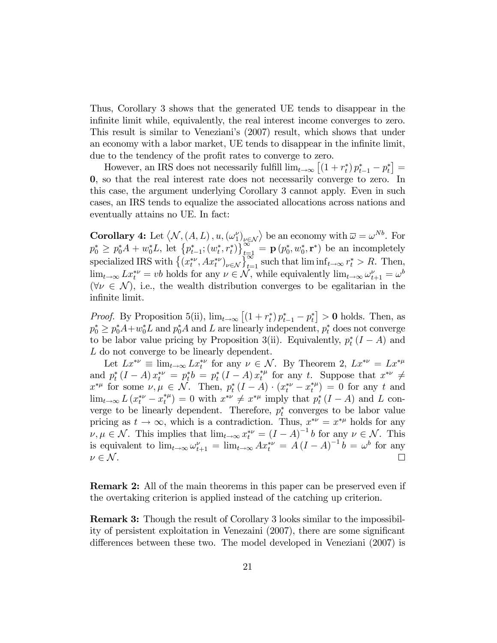Thus, Corollary 3 shows that the generated UE tends to disappear in the infinite limit while, equivalently, the real interest income converges to zero. This result is similar to Venezianiís (2007) result, which shows that under an economy with a labor market, UE tends to disappear in the infinite limit, due to the tendency of the profit rates to converge to zero.

However, an IRS does not necessarily fulfill  $\lim_{t\to\infty} \left[ (1 + r_t^*) p_{t-1}^* - p_t^* \right] =$ 0, so that the real interest rate does not necessarily converge to zero. In this case, the argument underlying Corollary 3 cannot apply. Even in such cases, an IRS tends to equalize the associated allocations across nations and eventually attains no UE. In fact:

**Corollary 4:** Let  $\langle N, (A, L), u, (\omega_1^{\nu})_{\nu \in \mathcal{N}} \rangle$  be an economy with  $\overline{\omega} = \omega^{Nb}$ . For  $p_0^* \geq p_0^* A + w_0^* L$ , let  $\left\{ p_{t-1}^*; (w_t^*, r_t^*) \right\}_{t=1}^{\infty} = \mathbf{p} \left( p_0^*, w_0^*, \mathbf{r}^* \right)$  be an incompletely specialized IRS with  $\{(x_t^{*\nu}, Ax_t^{*\nu})_{\nu \in \mathcal{N}}\}_{t=1}^{\infty}$  such that  $\liminf_{t \to \infty} r_t^* > R$ . Then,  $\lim_{t\to\infty} L x_t^{*\nu} = vb$  holds for any  $\nu \in \mathcal{N}$ , while equivalently  $\lim_{t\to\infty} \omega_{t+1}^{\nu} = \omega^b$  $(\forall \nu \in \mathcal{N})$ , i.e., the wealth distribution converges to be egalitarian in the infinite limit.

*Proof.* By Proposition 5(ii),  $\lim_{t\to\infty} [(1 + r_t^*) p_{t-1}^* - p_t^*] > 0$  holds. Then, as  $p_0^* \geq p_0^* A + w_0^* L$  and  $p_0^* A$  and L are linearly independent,  $p_t^*$  does not converge to be labor value pricing by Proposition 3(ii). Equivalently,  $p_t^*(I - A)$  and L do not converge to be linearly dependent.

Let  $Lx^{*\nu} \equiv \lim_{t \to \infty} Lx_t^{*\nu}$  for any  $\nu \in \mathcal{N}$ . By Theorem 2,  $Lx^{*\nu} = Lx^{*\mu}$ and  $p_t^* (I - A) x_t^{*\nu} = p_t^* b = p_t^* (I - A) x_t^{*\mu}$  for any t. Suppose that  $x^{*\nu} \neq$  $x^{*\mu}$  for some  $\nu, \mu \in \mathcal{N}$ . Then,  $p_t^*(I - A) \cdot (x_t^{*\nu} - x_t^{*\mu}) = 0$  for any t and  $\lim_{t\to\infty} L(x_t^{*\nu} - x_t^{*\mu}) = 0$  with  $x^{*\nu} \neq x^{*\mu}$  imply that  $p_t^*(I - A)$  and L converge to be linearly dependent. Therefore,  $p_t^*$  converges to be labor value pricing as  $t \to \infty$ , which is a contradiction. Thus,  $x^{*\nu} = x^{*\mu}$  holds for any  $\nu, \mu \in \mathcal{N}$ . This implies that  $\lim_{t \to \infty} x_t^{*\nu} = (I - A)^{-1} b$  for any  $\nu \in \mathcal{N}$ . This is equivalent to  $\lim_{t\to\infty} \omega_{t+1}^{\nu} = \lim_{t\to\infty} Ax_t^{*\nu} = A(I-A)^{-1}b = \omega^b$  for any  $\nu \in \mathcal{N}$ .  $\Box$ 

Remark 2: All of the main theorems in this paper can be preserved even if the overtaking criterion is applied instead of the catching up criterion.

Remark 3: Though the result of Corollary 3 looks similar to the impossibility of persistent exploitation in Venezaini  $(2007)$ , there are some significant differences between these two. The model developed in Veneziani  $(2007)$  is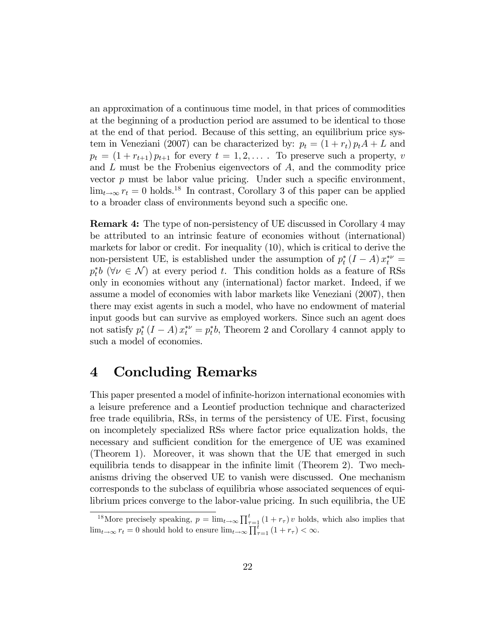an approximation of a continuous time model, in that prices of commodities at the beginning of a production period are assumed to be identical to those at the end of that period. Because of this setting, an equilibrium price system in Veneziani (2007) can be characterized by:  $p_t = (1 + r_t) p_t A + L$  and  $p_t = (1 + r_{t+1}) p_{t+1}$  for every  $t = 1, 2, \ldots$ . To preserve such a property, v and  $L$  must be the Frobenius eigenvectors of  $A$ , and the commodity price vector  $p$  must be labor value pricing. Under such a specific environment,  $\lim_{t\to\infty} r_t = 0$  holds.<sup>18</sup> In contrast, Corollary 3 of this paper can be applied to a broader class of environments beyond such a specific one.

Remark 4: The type of non-persistency of UE discussed in Corollary 4 may be attributed to an intrinsic feature of economies without (international) markets for labor or credit. For inequality (10), which is critical to derive the non-persistent UE, is established under the assumption of  $p_t^*(I - A) x_t^{*\nu} =$  $p_t^*b$  ( $\forall \nu \in \mathcal{N}$ ) at every period t. This condition holds as a feature of RSs only in economies without any (international) factor market. Indeed, if we assume a model of economies with labor markets like Veneziani (2007), then there may exist agents in such a model, who have no endowment of material input goods but can survive as employed workers. Since such an agent does not satisfy  $p_t^*$   $(I - A)$   $x_t^{*\nu} = p_t^*b$ , Theorem 2 and Corollary 4 cannot apply to such a model of economies.

## 4 Concluding Remarks

This paper presented a model of infinite-horizon international economies with a leisure preference and a Leontief production technique and characterized free trade equilibria, RSs, in terms of the persistency of UE. First, focusing on incompletely specialized RSs where factor price equalization holds, the necessary and sufficient condition for the emergence of UE was examined (Theorem 1). Moreover, it was shown that the UE that emerged in such equilibria tends to disappear in the infinite limit (Theorem 2). Two mechanisms driving the observed UE to vanish were discussed. One mechanism corresponds to the subclass of equilibria whose associated sequences of equilibrium prices converge to the labor-value pricing. In such equilibria, the UE

<sup>&</sup>lt;sup>18</sup>More precisely speaking,  $p = \lim_{t \to \infty} \prod_{\tau=1}^t (1 + r_\tau) v$  holds, which also implies that  $\lim_{t \to \infty} r_t = 0$  should hold to ensure  $\lim_{t \to \infty} \prod_{\tau=1}^{\overline{t}} (1 + r_{\tau}) < \infty$ .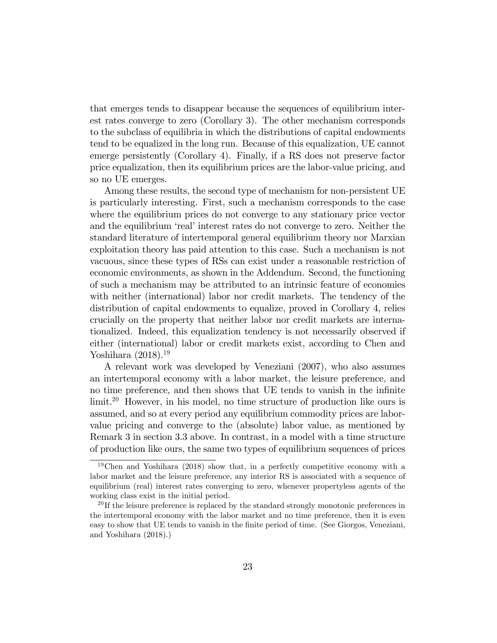that emerges tends to disappear because the sequences of equilibrium interest rates converge to zero (Corollary 3). The other mechanism corresponds to the subclass of equilibria in which the distributions of capital endowments tend to be equalized in the long run. Because of this equalization, UE cannot emerge persistently (Corollary 4). Finally, if a RS does not preserve factor price equalization, then its equilibrium prices are the labor-value pricing, and so no UE emerges.

Among these results, the second type of mechanism for non-persistent UE is particularly interesting. First, such a mechanism corresponds to the case where the equilibrium prices do not converge to any stationary price vector and the equilibrium 'real' interest rates do not converge to zero. Neither the standard literature of intertemporal general equilibrium theory nor Marxian exploitation theory has paid attention to this case. Such a mechanism is not vacuous, since these types of RSs can exist under a reasonable restriction of economic environments, as shown in the Addendum. Second, the functioning of such a mechanism may be attributed to an intrinsic feature of economies with neither (international) labor nor credit markets. The tendency of the distribution of capital endowments to equalize, proved in Corollary 4, relies crucially on the property that neither labor nor credit markets are internationalized. Indeed, this equalization tendency is not necessarily observed if either (international) labor or credit markets exist, according to Chen and Yoshihara  $(2018).<sup>19</sup>$ 

A relevant work was developed by Veneziani (2007), who also assumes an intertemporal economy with a labor market, the leisure preference, and no time preference, and then shows that UE tends to vanish in the infinite limit.<sup>20</sup> However, in his model, no time structure of production like ours is assumed, and so at every period any equilibrium commodity prices are laborvalue pricing and converge to the (absolute) labor value, as mentioned by Remark 3 in section 3.3 above. In contrast, in a model with a time structure of production like ours, the same two types of equilibrium sequences of prices

<sup>&</sup>lt;sup>19</sup>Chen and Yoshihara (2018) show that, in a perfectly competitive economy with a labor market and the leisure preference, any interior RS is associated with a sequence of equilibrium (real) interest rates converging to zero, whenever propertyless agents of the working class exist in the initial period.

<sup>&</sup>lt;sup>20</sup> If the leisure preference is replaced by the standard strongly monotonic preferences in the intertemporal economy with the labor market and no time preference, then it is even easy to show that UE tends to vanish in the finite period of time. (See Giorgos, Veneziani, and Yoshihara (2018).)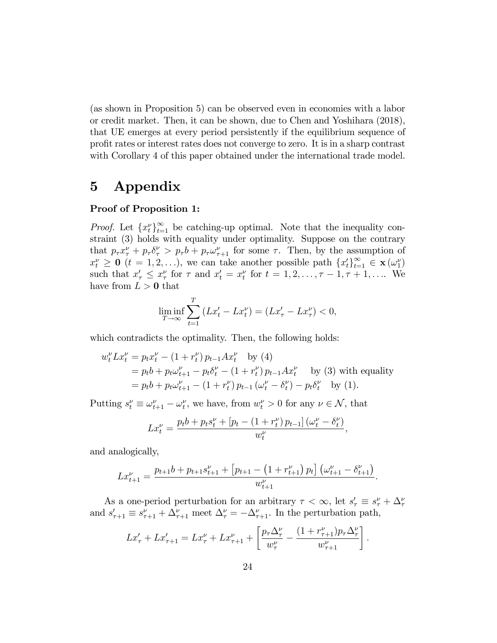(as shown in Proposition 5) can be observed even in economies with a labor or credit market. Then, it can be shown, due to Chen and Yoshihara (2018), that UE emerges at every period persistently if the equilibrium sequence of proÖt rates or interest rates does not converge to zero. It is in a sharp contrast with Corollary 4 of this paper obtained under the international trade model.

# 5 Appendix

#### Proof of Proposition 1:

*Proof.* Let  $\{x_t^{\nu}\}_{t=1}^{\infty}$  be catching-up optimal. Note that the inequality constraint (3) holds with equality under optimality. Suppose on the contrary that  $p_{\tau}x_{\tau}^{\nu} + p_{\tau}\delta_{\tau}^{\nu} > p_{\tau}b + p_{\tau}\omega_{\tau+1}^{\nu}$  for some  $\tau$ . Then, by the assumption of  $x_t^{\nu} \geq 0$  ( $t = 1, 2, ...$ ), we can take another possible path  $\{x_t^{\prime}\}_{t=1}^{\infty} \in \mathbf{x}(\omega_1^{\nu})$ such that  $x'_{\tau} \leq x''_{\tau}$  for  $\tau$  and  $x'_{t} = x''_{t}$  for  $t = 1, 2, \ldots, \tau - 1, \tau + 1, \ldots$  We have from  $L > 0$  that

$$
\liminf_{T \to \infty} \sum_{t=1}^{T} \left( Lx'_t - Lx_t^{\nu} \right) = \left( Lx'_{\tau} - Lx_{\tau}^{\nu} \right) < 0,
$$

which contradicts the optimality. Then, the following holds:

$$
w_t^{\nu} L x_t^{\nu} = p_t x_t^{\nu} - (1 + r_t^{\nu}) p_{t-1} A x_t^{\nu} \text{ by (4)}
$$
  
=  $p_t b + p_t \omega_{t+1}^{\nu} - p_t \delta_t^{\nu} - (1 + r_t^{\nu}) p_{t-1} A x_t^{\nu} \text{ by (3) with equality}$   
=  $p_t b + p_t \omega_{t+1}^{\nu} - (1 + r_t^{\nu}) p_{t-1} (\omega_t^{\nu} - \delta_t^{\nu}) - p_t \delta_t^{\nu} \text{ by (1).}$ 

Putting  $s_t^{\nu} \equiv \omega_{t+1}^{\nu} - \omega_t^{\nu}$ , we have, from  $w_t^{\nu} > 0$  for any  $\nu \in \mathcal{N}$ , that

$$
Lx_t^{\nu} = \frac{p_t b + p_t s_t^{\nu} + \left[p_t - \left(1 + r_t^{\nu}\right) p_{t-1}\right] \left(\omega_t^{\nu} - \delta_t^{\nu}\right)}{w_t^{\nu}},
$$

and analogically,

$$
Lx_{t+1}^{\nu} = \frac{p_{t+1}b + p_{t+1}s_{t+1}^{\nu} + [p_{t+1} - (1 + r_{t+1}^{\nu}) p_t] \left(\omega_{t+1}^{\nu} - \delta_{t+1}^{\nu}\right)}{w_{t+1}^{\nu}}.
$$

As a one-period perturbation for an arbitrary  $\tau < \infty$ , let  $s'_{\tau} \equiv s''_{\tau} + \Delta''_{\tau}$ and  $s'_{\tau+1} \equiv s^{\nu}_{\tau+1} + \Delta^{\nu}_{\tau+1}$  meet  $\Delta^{\nu}_{\tau} = -\Delta^{\nu}_{\tau+1}$ . In the perturbation path,

$$
Lx'_{\tau} + Lx'_{\tau+1} = Lx''_{\tau} + Lx''_{\tau+1} + \left[\frac{p_{\tau}\Delta^{\nu}_{\tau}}{w_{\tau}^{\nu}} - \frac{(1 + r^{\nu}_{\tau+1})p_{\tau}\Delta^{\nu}_{\tau}}{w^{\nu}_{\tau+1}}\right].
$$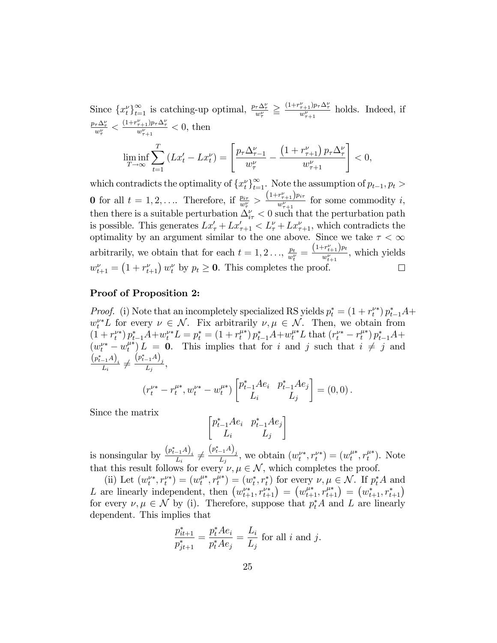Since  $\{x_t^{\nu}\}_{t=1}^{\infty}$  is catching-up optimal,  $\frac{p_{\tau}\Delta_{\tau}^{\nu}}{w_{\tau}^{\nu}} \geq \frac{(1+r_{\tau+1}^{\nu})p_{\tau}\Delta_{\tau}^{\nu}}{w_{\tau+1}^{\nu}}$  holds. Indeed, if  $\frac{p_{\tau}\Delta_{\tau}^{\nu}}{w_{\tau}^{\nu}} < \frac{(1+r_{\tau+1}^{\nu})p_{\tau}\Delta_{\tau}^{\nu}}{w_{\tau+1}^{\nu}} < 0$ , then

$$
\liminf_{T \to \infty} \sum_{t=1}^{T} \left( Lx'_t - Lx_t^{\nu} \right) = \left[ \frac{p_\tau \Delta_{\tau-1}^{\nu}}{w_{\tau}^{\nu}} - \frac{\left( 1 + r_{\tau+1}^{\nu} \right) p_\tau \Delta_{\tau}^{\nu}}{w_{\tau+1}^{\nu}} \right] < 0,
$$

which contradicts the optimality of  $\{x_t^{\nu}\}_{t=1}^{\infty}$ . Note the assumption of  $p_{t-1}, p_t >$ **0** for all  $t = 1, 2, \ldots$  Therefore, if  $\frac{p_{i\tau}}{w_{\tau}^{\nu}} > \frac{(1 + r_{\tau+1}^{\nu})p_{i\tau}}{w_{\tau+1}^{\nu}}$  $\frac{\binom{r+1}{r+1}}{\binom{w^{\nu}}{r+1}}$  for some commodity i, then there is a suitable perturbation  $\Delta_{i\tau}^{\nu} < 0$  such that the perturbation path is possible. This generates  $Lx'_{\tau} + Lx'_{\tau+1} < L^{\nu}_{\tau} + Lx^{\nu}_{\tau+1}$ , which contradicts the optimality by an argument similar to the one above. Since we take  $\tau < \infty$  $\frac{p_t}{w_t^{\nu}} = \frac{\left(1 + r_{t+1}^{\nu}\right) p_t}{w_{t+1}^{\nu}}$ arbitrarily, we obtain that for each  $t = 1, 2, \ldots, \frac{p_t}{m^2}$  $\frac{t_{t+1}^{\prime}P^{t}}{w_{t+1}^{\nu}},$  which yields  $w_{t+1}^{\nu} = (1 + r_{t+1}^{\nu}) w_t^{\nu}$  by  $p_t \ge 0$ . This completes the proof.  $\Box$ 

#### Proof of Proposition 2:

*Proof.* (i) Note that an incompletely specialized RS yields  $p_t^* = (1 + r_t^{\nu*}) p_{t-1}^* A +$  $w_t^{\nu*}L$  for every  $\nu \in \mathcal{N}$ . Fix arbitrarily  $\nu, \mu \in \mathcal{N}$ . Then, we obtain from  $(1+r_t^{\nu*})p_{t-1}^*A+w_t^{\nu*}L=p_t^*=(1+r_t^{\mu*})p_{t-1}^*A+w_t^{\mu*}L$  that  $(r_t^{\nu*}-r_t^{\mu*})p_{t-1}^*A+m_t^{\nu*}L$  $(w_t^{\nu*} - w_t^{\mu*}) L = 0$ . This implies that for i and j such that  $i \neq j$  and  $\frac{\left(p_{t-1}^* A\right)_i}{L_i} \neq$  $\frac{\left(p_{t-1}^*A\right)_j}{L_j},$ 

$$
(r_t^{\nu*} - r_t^{\mu*}, w_t^{\nu*} - w_t^{\mu*}) \begin{bmatrix} p_{t-1}^* A e_i & p_{t-1}^* A e_j \\ L_i & L_j \end{bmatrix} = (0,0).
$$

Since the matrix

$$
\begin{bmatrix} p_{t-1}^* A e_i & p_{t-1}^* A e_j \\ L_i & L_j \end{bmatrix}
$$

is nonsingular by  $\frac{(p_{t-1}^* A)_i}{L_i} \neq$  $\frac{(p_{t-1}^*A)_j}{L_j}$ , we obtain  $(w_t^{\nu*}, r_t^{\nu*}) = (w_t^{\mu*}, r_t^{\mu*})$ . Note that this result follows for every  $\nu, \mu \in \mathcal{N}$ , which completes the proof.

(ii) Let  $(w_t^{\nu*}, r_t^{\nu*}) = (w_t^{\mu*}, r_t^{\mu*}) = (w_t^*, r_t^*)$  for every  $\nu, \mu \in \mathcal{N}$ . If  $p_t^*A$  and L are linearly independent, then  $(w_{t+1}^{\nu*}, r_{t+1}^{\nu*}) = (w_{t+1}^{\mu*}, r_{t+1}^{\mu*}) = (w_{t+1}^*, r_{t+1}^*)$ for every  $\nu, \mu \in \mathcal{N}$  by (i). Therefore, suppose that  $p_t^* A$  and L are linearly dependent. This implies that

$$
\frac{p_{it+1}^*}{p_{jt+1}^*} = \frac{p_t^* A e_i}{p_t^* A e_j} = \frac{L_i}{L_j} \text{ for all } i \text{ and } j.
$$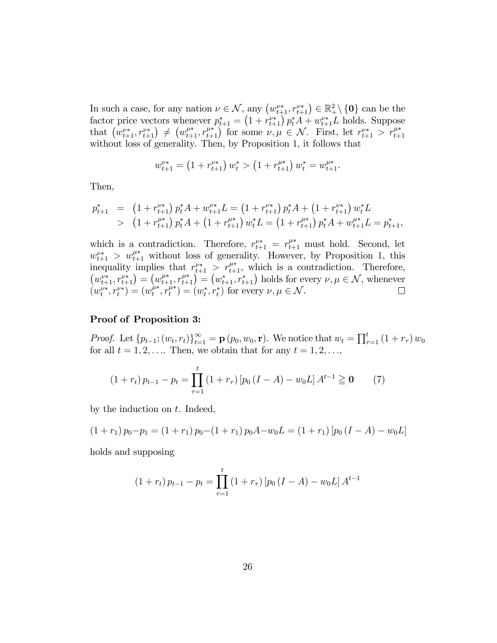In such a case, for any nation  $\nu \in \mathcal{N}$ , any  $(w_{t+1}^{\nu*}, r_{t+1}^{\nu*}) \in \mathbb{R}^2_+ \setminus \{0\}$  can be the factor price vectors whenever  $p_{t+1}^* = \left(1 + r_{t+1}^{\nu*}\right) p_t^* A + w_{t+1}^{\nu*} L$  holds. Suppose that  $(w_{t+1}^{\nu*}, r_{t+1}^{\nu*}) \neq (w_{t+1}^{\mu*}, r_{t+1}^{\mu*})$  for some  $\nu, \mu \in \mathcal{N}$ . First, let  $r_{t+1}^{\nu*} > r_{t+1}^{\mu*}$ without loss of generality. Then, by Proposition 1, it follows that

$$
w_{t+1}^{\nu*} = \left(1 + r_{t+1}^{\nu*}\right)w_t^* > \left(1 + r_{t+1}^{\mu*}\right)w_t^* = w_{t+1}^{\mu*}.
$$

Then,

$$
p_{t+1}^* = (1 + r_{t+1}^{\nu*}) p_t^* A + w_{t+1}^{\nu*} L = (1 + r_{t+1}^{\nu*}) p_t^* A + (1 + r_{t+1}^{\nu*}) w_t^* L
$$
  
> 
$$
(1 + r_{t+1}^{\mu*}) p_t^* A + (1 + r_{t+1}^{\mu*}) w_t^* L = (1 + r_{t+1}^{\mu*}) p_t^* A + w_{t+1}^{\mu*} L = p_{t+1}^*,
$$

which is a contradiction. Therefore,  $r_{t+1}^{\nu*} = r_{t+1}^{\mu*}$  must hold. Second, let  $w_{t+1}^{\mu*} > w_{t+1}^{\mu*}$  without loss of generality. However, by Proposition 1, this inequality implies that  $r_{t+1}^{\nu*} > r_{t+1}^{\mu*}$ , which is a contradiction. Therefore,  $(w_{t+1}^{\nu*}, r_{t+1}^{\nu*}) = (w_{t+1}^{\mu*}, r_{t+1}^{\mu*}) = (w_{t+1}^*, r_{t+1}^*)$  holds for every  $\nu, \mu \in \mathcal{N}$ , whenever  $(w_t^{\nu*}, r_t^{\nu*}) = (w_t^{\mu*}, r_t^{\mu*}) = (w_t^*, r_t^*)$  for every  $\nu, \mu \in \mathcal{N}$ .

#### Proof of Proposition 3:

*Proof.* Let  ${p_{t-1}}; (w_t, r_t)_{t=1}^{\infty} = \mathbf{p}(p_0, w_0, \mathbf{r})$ . We notice that  $w_t = \prod_{\tau=1}^t (1 + r_\tau) w_0$ for all  $t = 1, 2, \ldots$  Then, we obtain that for any  $t = 1, 2, \ldots$ ,

$$
(1 + r_t) p_{t-1} - p_t = \prod_{\tau=1}^t (1 + r_\tau) [p_0 (I - A) - w_0 L] A^{t-1} \geq \mathbf{0} \tag{7}
$$

by the induction on  $t$ . Indeed,

$$
(1 + r1) p0 - p1 = (1 + r1) p0 - (1 + r1) p0 A - w0 L = (1 + r1) [p0 (I - A) - w0 L]
$$

holds and supposing

$$
(1 + r_t) p_{t-1} - p_t = \prod_{\tau=1}^t (1 + r_\tau) [p_0 (I - A) - w_0 L] A^{t-1}
$$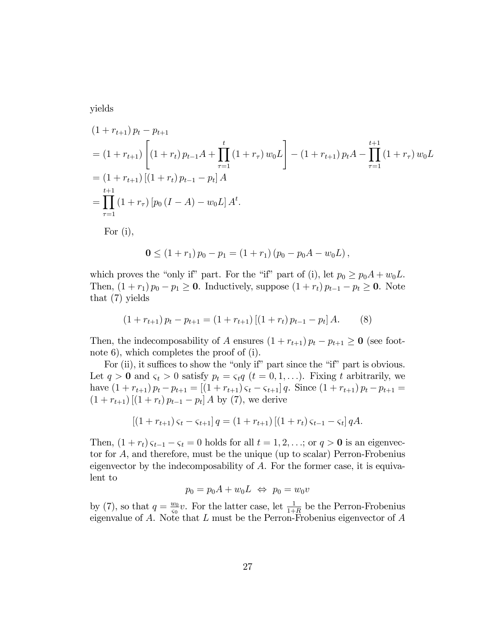yields

$$
(1 + r_{t+1}) p_t - p_{t+1}
$$
  
=  $(1 + r_{t+1}) \left[ (1 + r_t) p_{t-1} A + \prod_{\tau=1}^t (1 + r_\tau) w_0 L \right] - (1 + r_{t+1}) p_t A - \prod_{\tau=1}^{t+1} (1 + r_\tau) w_0 L$   
=  $(1 + r_{t+1}) [(1 + r_t) p_{t-1} - p_t] A$   
=  $\prod_{\tau=1}^{t+1} (1 + r_\tau) [p_0 (I - A) - w_0 L] A^t.$   
For (i),

$$
0 \le (1 + r_1) p_0 - p_1 = (1 + r_1) (p_0 - p_0 A - w_0 L),
$$

which proves the "only if" part. For the "if" part of (i), let  $p_0 \geq p_0A + w_0L$ . Then,  $(1 + r_1) p_0 - p_1 \ge 0$ . Inductively, suppose  $(1 + r_t) p_{t-1} - p_t \ge 0$ . Note that (7) yields

$$
(1 + r_{t+1}) p_t - p_{t+1} = (1 + r_{t+1}) [(1 + r_t) p_{t-1} - p_t] A.
$$
 (8)

Then, the indecomposability of A ensures  $(1 + r_{t+1}) p_t - p_{t+1} \ge 0$  (see footnote 6), which completes the proof of (i).

For (ii), it suffices to show the "only if" part since the "if" part is obvious. Let  $q > 0$  and  $\varsigma_t > 0$  satisfy  $p_t = \varsigma_t q$   $(t = 0, 1, \ldots)$ . Fixing t arbitrarily, we have  $(1 + r_{t+1}) p_t - p_{t+1} = [(1 + r_{t+1}) \zeta_t - \zeta_{t+1}] q$ . Since  $(1 + r_{t+1}) p_t - p_{t+1} =$  $(1 + r_{t+1}) [(1 + r_t) p_{t-1} - p_t] A$  by (7), we derive

$$
[(1 + r_{t+1}) \varsigma_t - \varsigma_{t+1}] q = (1 + r_{t+1}) [(1 + r_t) \varsigma_{t-1} - \varsigma_t] qA.
$$

Then,  $(1 + r_t) \zeta_{t-1} - \zeta_t = 0$  holds for all  $t = 1, 2, \ldots$ ; or  $q > 0$  is an eigenvector for A, and therefore, must be the unique (up to scalar) Perron-Frobenius eigenvector by the indecomposability of  $A$ . For the former case, it is equivalent to

$$
p_0 = p_0 A + w_0 L \Leftrightarrow p_0 = w_0 v
$$

by (7), so that  $q = \frac{w_0}{a_0}$  $\frac{w_0}{\varsigma_0}v$ . For the latter case, let  $\frac{1}{1+R}$  be the Perron-Frobenius eigenvalue of  $A$ . Note that  $L$  must be the Perron-Frobenius eigenvector of  $A$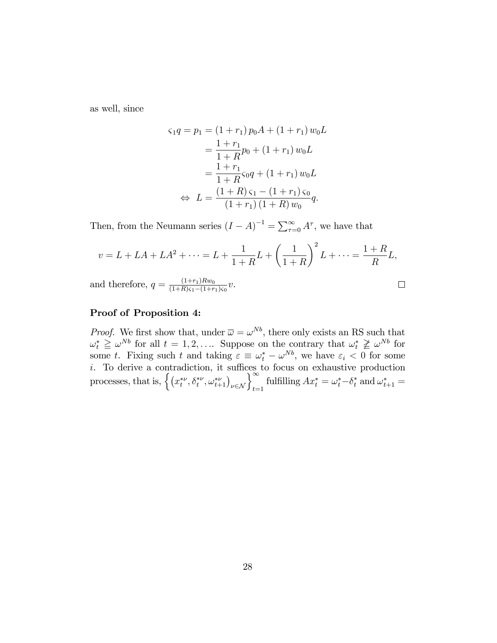as well, since

$$
\varsigma_1 q = p_1 = (1+r_1) p_0 A + (1+r_1) w_0 L
$$
  
= 
$$
\frac{1+r_1}{1+R} p_0 + (1+r_1) w_0 L
$$
  
= 
$$
\frac{1+r_1}{1+R} \varsigma_0 q + (1+r_1) w_0 L
$$
  

$$
\Leftrightarrow L = \frac{(1+R)\varsigma_1 - (1+r_1)\varsigma_0}{(1+r_1)(1+R) w_0} q.
$$

Then, from the Neumann series  $(I - A)^{-1} = \sum_{\tau=0}^{\infty} A^{\tau}$ , we have that

$$
v = L + LA + LA^{2} + \dots = L + \frac{1}{1+R}L + \left(\frac{1}{1+R}\right)^{2}L + \dots = \frac{1+R}{R}L,
$$
  
and therefore,  $q = \frac{(1+r_{1})Rw_{0}}{(1+R)s_{1}-(1+r_{1})s_{0}}v.$ 

 $(1+R)\zeta_1 - (1+$ 

### $\Box$

#### Proof of Proposition 4:

*Proof.* We first show that, under  $\overline{\omega} = \omega^{Nb}$ , there only exists an RS such that  $\omega_t^* \geq \omega^{Nb}$  for all  $t = 1, 2, ...$  Suppose on the contrary that  $\omega_t^* \geq \omega^{Nb}$  for some t. Fixing such t and taking  $\varepsilon \equiv \omega_t^* - \omega^{Nb}$ , we have  $\varepsilon_i < 0$  for some i. To derive a contradiction, it suffices to focus on ex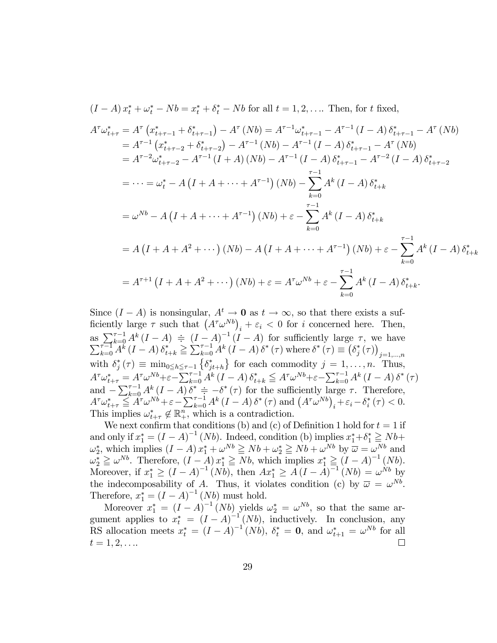$$
A^{\tau}\omega_{t+\tau}^{*} = A^{\tau} (x_{t+\tau-1}^{*} + \delta_{t+\tau-1}^{*}) - A^{\tau} (Nb) = A^{\tau-1}\omega_{t+\tau-1}^{*} - A^{\tau-1} (I-A) \delta_{t+\tau-1}^{*} - A^{\tau} (Nb)
$$
  
\n
$$
= A^{\tau-1} (x_{t+\tau-2}^{*} + \delta_{t+\tau-2}^{*}) - A^{\tau-1} (Nb) - A^{\tau-1} (I-A) \delta_{t+\tau-1}^{*} - A^{\tau} (Nb)
$$
  
\n
$$
= A^{\tau-2} \omega_{t+\tau-2}^{*} - A^{\tau-1} (I+A) (Nb) - A^{\tau-1} (I-A) \delta_{t+\tau-1}^{*} - A^{\tau-2} (I-A) \delta_{t+\tau-2}^{*}
$$
  
\n
$$
= \cdots = \omega_{t}^{*} - A (I+A+\cdots + A^{\tau-1}) (Nb) - \sum_{k=0}^{\tau-1} A^{k} (I-A) \delta_{t+k}^{*}
$$
  
\n
$$
= \omega^{Nb} - A (I+A+\cdots + A^{\tau-1}) (Nb) + \varepsilon - \sum_{k=0}^{\tau-1} A^{k} (I-A) \delta_{t+k}^{*}
$$
  
\n
$$
= A (I+A+A^{2}+\cdots) (Nb) - A (I+A+\cdots + A^{\tau-1}) (Nb) + \varepsilon - \sum_{k=0}^{\tau-1} A^{k} (I-A) \delta_{t+k}^{*}
$$
  
\n
$$
= A^{\tau+1} (I+A+A^{2}+\cdots) (Nb) + \varepsilon = A^{\tau} \omega^{Nb} + \varepsilon - \sum_{k=0}^{\tau-1} A^{k} (I-A) \delta_{t+k}^{*}.
$$

 $(I - A)x_t^* + \omega_t^* - Nb = x_t^* + \delta_t^* - Nb$  for all  $t = 1, 2, \dots$  Then, for t fixed,

Since  $(I - A)$  is nonsingular,  $A^t \to 0$  as  $t \to \infty$ , so that there exists a sufficiently large  $\tau$  such that  $(A^{\tau} \omega^{Nb})_i + \varepsilon_i < 0$  for i concerned here. Then, as  $\sum_{k=0}^{\tau-1} A^k (I - A) \doteq (I - A)^{-1} (I - A)$  for sufficiently large  $\tau$ , we have  $\sum_{k=0}^{\tau-1} A^k (I - A) \delta_{t+k}^* \geq \sum_{k=0}^{\tau-1} A^k (I - A) \delta^* (\tau)$  where  $\delta^* (\tau) \equiv (\delta_j^* (\tau))_{j=1,...,n}$ with  $\delta_j^*(\tau) \equiv \min_{0 \leq h \leq \tau-1} \{ \delta_{jt+h}^* \}$  for each commodity  $j = 1, ..., n$ . Thus,<br>  $A^{\tau} \omega_{t+\tau}^* = A^{\tau} \omega^{Nb} + \varepsilon - \sum_{k=0}^{\tau-1} A^k (I - A) \delta_{t+k}^* \leq A^{\tau} \omega^{Nb} + \varepsilon - \sum_{k=0}^{\tau-1} A^k (I - A) \delta^* \tau$ <br>
and  $-\sum_{k=0}^{\tau-1} A^k (I - A) \delta$ This implies  $\omega_{t+\tau}^* \notin \mathbb{R}^n_+$ , which is a contradiction.

We next confirm that conditions (b) and (c) of Definition 1 hold for  $t = 1$  if and only if  $x_1^* = (I - A)^{-1} (Nb)$ . Indeed, condition (b) implies  $x_1^* + \delta_1^* \geq Nb +$  $\omega_2^*$ , which implies  $(I - A) x_1^* + \omega^{Nb} \geq Nb + \omega_2^* \geq Nb + \omega^{Nb}$  by  $\overline{\omega} = \omega_1^{\overline{N}b}$  and  $\omega_2^* \geq \omega^{Nb}$ . Therefore,  $(I - A)x_1^* \geq Nb$ , which implies  $x_1^* \geq (I - A)^{-1}(Nb)$ .<br>Moreover, if  $x_1^* \geq (I - A)^{-1}(Nb)$ , then  $Ax_1^* \geq A(I - A)^{-1}(Nb) = \omega^{Nb}$  by the indecomposability of A. Thus, it violates condition (c) by  $\overline{\omega} = \omega^{Nb}$ . Therefore,  $x_1^* = (I - A)^{-1} (Nb)$  must hold.

Moreover  $x_1^* = (I - A)^{-1} (Nb)$  yields  $\omega_2^* = \omega^{Nb}$ , so that the same argument applies to  $x_t^* = (I - A)^{-1}(Nb)$ , inductively. In conclusion, any RS allocation meets  $x_t^* = (I - A)^{-1} (Nb)$ ,  $\delta_t^* = 0$ , and  $\omega_{t+1}^* = \omega^{Nb}$  for all  $t = 1, 2, \ldots$  $\Box$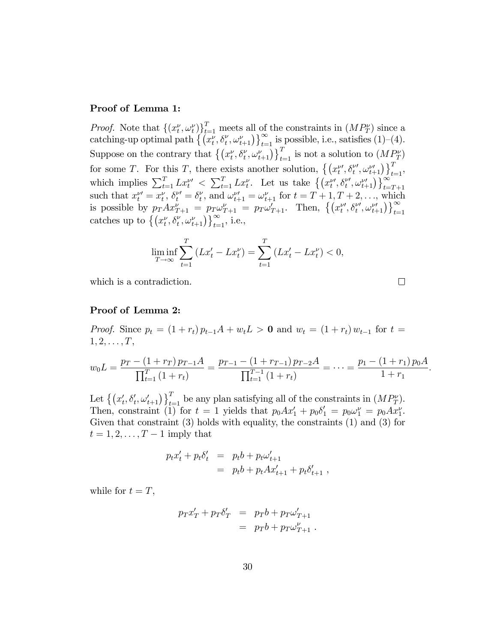#### Proof of Lemma 1:

*Proof.* Note that  $\{(x_t^{\nu}, \omega_t^{\nu})\}_{t=1}^T$  meets all of the constraints in  $(MP_T^{\nu})$  since a catching-up optimal path  $\left\{ \left( x_t^{\nu}, \delta_t^{\nu}, \omega_{t+1}^{\nu} \right) \right\}_{t=1}^{\infty}$  is possible, i.e., satisfies (1)–(4). Suppose on the contrary that  $\{(x_t^{\nu}, \delta_t^{\nu}, \omega_{t+1}^{\nu})\}_{t=1}^T$  is not a solution to  $(M_{\tau}^{\nu})$ for some T. For this T, there exists another solution,  $\left\{ \left( x_{t}^{\nu\prime},\delta_{t}^{\nu\prime},\omega_{t+1}^{\nu\prime}\right)\right\} _{t=1}^{T}$ , which implies  $\sum_{t=1}^T L x_t^{\nu} < \sum_{t=1}^T L x_t^{\nu}$ . Let us take  $\left\{ (x_t^{\nu}, \delta_t^{\nu}, \omega_{t+1}^{\nu}) \right\}_{t=T+1}^{\infty}$ such that  $x_t^{\nu\prime} = x_t^{\nu}, \delta_t^{\nu\prime} = \delta_t^{\nu}$  $t'_{t}$ , and  $\omega_{t+1}^{\nu'} = \omega_{t+1}^{\nu}$  for  $t = T + 1, T + 2, \ldots$ , which is possible by  $p_T A x_{T+1}^{\nu} = p_T \omega_{T+1}^{\nu} = p_T \omega_{T+1}^{\nu}$ . Then,  $\left\{ \left( x_t^{\nu}, \delta_t^{\nu}, \omega_{t+1}^{\nu} \right) \right\}_{t=1}^{\infty}$  catches up to  $\left\{ \left( x_t^{\nu}, \delta_t^{\nu}, \omega_{t+1}^{\nu} \right) \right\}_{t=1}^{\infty}$ , i.e.,

$$
\liminf_{T \to \infty} \sum_{t=1}^{T} \left( Lx'_t - Lx''_t \right) = \sum_{t=1}^{T} \left( Lx'_t - Lx''_t \right) < 0,
$$

which is a contradiction.

 $\Box$ 

#### Proof of Lemma 2:

*Proof.* Since  $p_t = (1 + r_t) p_{t-1}A + w_tL > 0$  and  $w_t = (1 + r_t) w_{t-1}$  for  $t =$  $1, 2, \ldots, T,$ 

$$
w_0 L = \frac{p_T - (1 + r_T) p_{T-1} A}{\prod_{t=1}^T (1 + r_t)} = \frac{p_{T-1} - (1 + r_{T-1}) p_{T-2} A}{\prod_{t=1}^{T-1} (1 + r_t)} = \dots = \frac{p_1 - (1 + r_1) p_0 A}{1 + r_1}.
$$

Let  $\{(x'_t, \delta'_t, \omega'_{t+1})\}_{t=1}^T$  be any plan satisfying all of the constraints in  $(MP_T^{\nu})$ . Then, constraint (1) for  $t = 1$  yields that  $p_0 Ax'_1 + p_0 b'_1 = p_0 \omega_1^{\nu} = p_0 Ax_1^{\nu}$ . Given that constraint (3) holds with equality, the constraints (1) and (3) for  $t = 1, 2, \ldots, T-1$  imply that

$$
p_t x_t' + p_t \delta_t' = p_t b + p_t \omega_{t+1}' = p_t b + p_t A x_{t+1}' + p_t \delta_{t+1}' ,
$$

while for  $t = T$ ,

$$
p_T x'_T + p_T \delta'_T = p_T b + p_T \omega'_{T+1}
$$
  
= 
$$
p_T b + p_T \omega'_{T+1}.
$$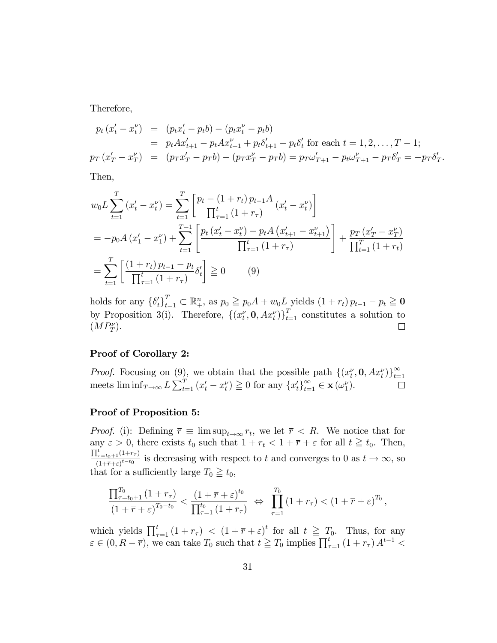Therefore,

$$
p_t (x'_t - x''_t) = (p_t x'_t - p_t b) - (p_t x''_t - p_t b)
$$
  
=  $p_t A x'_{t+1} - p_t A x''_{t+1} + p_t \delta'_{t+1} - p_t \delta'_{t}$  for each  $t = 1, 2, ..., T - 1$ ;  

$$
p_T (x'_T - x''_T) = (p_T x'_T - p_T b) - (p_T x''_T - p_T b) = p_T \omega'_{T+1} - p_t \omega''_{T+1} - p_T \delta'_{T} = -p_T \delta'_{T}.
$$

Then,

$$
w_0 L \sum_{t=1}^T (x'_t - x'_t) = \sum_{t=1}^T \left[ \frac{p_t - (1 + r_t) p_{t-1} A}{\prod_{\tau=1}^t (1 + r_\tau)} (x'_t - x''_t) \right]
$$
  
=  $-p_0 A (x'_1 - x''_1) + \sum_{t=1}^{T-1} \left[ \frac{p_t (x'_t - x''_t) - p_t A (x'_{t+1} - x''_{t+1})}{\prod_{\tau=1}^t (1 + r_\tau)} \right] + \frac{p_T (x'_T - x''_T)}{\prod_{t=1}^T (1 + r_t)}$   
=  $\sum_{t=1}^T \left[ \frac{(1 + r_t) p_{t-1} - p_t}{\prod_{\tau=1}^t (1 + r_\tau)} \delta'_t \right] \ge 0$  (9)

holds for any  $\{\delta_t'\}_{t=1}^T \subset \mathbb{R}^n_+$ , as  $p_0 \geqq p_0 A + w_0 L$  yields  $(1 + r_t) p_{t-1} - p_t \geqq 0$ by Proposition 3(i). Therefore,  $\{(x_t^{\nu}, \mathbf{0}, Ax_t^{\nu})\}_{t=1}^T$  constitutes a solution to  $(MP_T^{\nu}).$  $\Box$ 

#### Proof of Corollary 2:

*Proof.* Focusing on (9), we obtain that the possible path  $\{(x_t^{\nu}, \mathbf{0}, Ax_t^{\nu})\}_{t=1}^{\infty}$ meets  $\liminf_{T\to\infty} L \sum_{t=1}^T (x'_t - x_t^{\nu}) \ge 0$  for any  $\{x'_t\}_{t=1}^{\infty} \in \mathbf{x}(\omega_1^{\nu}).$  $\Box$ 

#### Proof of Proposition 5:

*Proof.* (i): Defining  $\overline{r} \equiv \limsup_{t \to \infty} r_t$ , we let  $\overline{r} < R$ . We notice that for any  $\varepsilon > 0$ , there exists  $t_0$  such that  $1 + r_t < 1 + \overline{r} + \varepsilon$  for all  $t \geq t_0$ . Then,  $\prod_{\tau = t_0 + 1}^{t} (1 + r_\tau)$  $\frac{(t-t_0+1)^{(1-t-t_0)}}{(1+\bar{\tau}+\varepsilon)^{t-t_0}}$  is decreasing with respect to t and converges to 0 as  $t \to \infty$ , so that for a sufficiently large  $T_0 \geq t_0$ ,

$$
\frac{\prod_{\tau=t_0+1}^{T_0} (1+r_\tau)}{\left(1+\overline{r}+\varepsilon\right)^{T_0-t_0}} < \frac{\left(1+\overline{r}+\varepsilon\right)^{t_0}}{\prod_{\tau=1}^{t_0} \left(1+r_\tau\right)} \Leftrightarrow \prod_{\tau=1}^{T_0} \left(1+r_\tau\right) < \left(1+\overline{r}+\varepsilon\right)^{T_0},
$$

which yields  $\prod_{\tau=1}^t (1 + r_\tau) < (1 + \overline{r} + \varepsilon)^t$  for all  $t \geq T_0$ . Thus, for any  $\varepsilon \in (0, R - \overline{r})$ , we can take  $T_0$  such that  $t \geq T_0$  implies  $\prod_{\tau=1}^t (1 + r_\tau) A^{t-1}$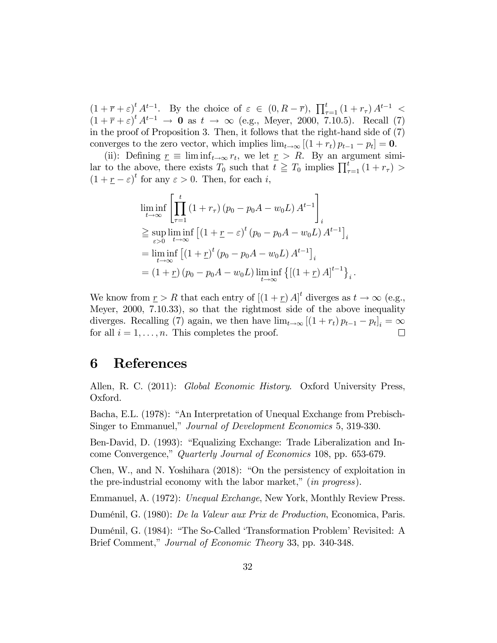$(1 + \overline{r} + \varepsilon)^t A^{t-1}$ . By the choice of  $\varepsilon \in (0, R - \overline{r})$ ,  $\prod_{\tau=1}^t (1 + r_\tau) A^{t-1}$  $(1 + \overline{r} + \varepsilon)^t A^{t-1} \rightarrow 0$  as  $t \rightarrow \infty$  (e.g., Meyer, 2000, 7.10.5). Recall (7) in the proof of Proposition 3. Then, it follows that the right-hand side of (7) converges to the zero vector, which implies  $\lim_{t\to\infty} [(1 + r_t) p_{t-1} - p_t] = 0.$ 

(ii): Defining  $\underline{r} \equiv \liminf_{t \to \infty} r_t$ , we let  $\underline{r} > R$ . By an argument similar to the above, there exists  $T_0$  such that  $t \geq T_0$  implies  $\prod_{\tau=1}^t (1 + r_\tau)$  $(1 + \underline{r} - \varepsilon)^t$  for any  $\varepsilon > 0$ . Then, for each *i*,

$$
\liminf_{t \to \infty} \left[ \prod_{\tau=1}^{t} (1 + r_{\tau}) (p_0 - p_0 A - w_0 L) A^{t-1} \right]_i
$$
\n
$$
\geq \sup_{\varepsilon > 0} \liminf_{t \to \infty} \left[ (1 + \underline{r} - \varepsilon)^t (p_0 - p_0 A - w_0 L) A^{t-1} \right]_i
$$
\n
$$
= \liminf_{t \to \infty} \left[ (1 + \underline{r})^t (p_0 - p_0 A - w_0 L) A^{t-1} \right]_i
$$
\n
$$
= (1 + \underline{r}) (p_0 - p_0 A - w_0 L) \liminf_{t \to \infty} \left\{ \left[ (1 + \underline{r}) A \right]^{t-1} \right\}_i.
$$

We know from  $\underline{r} > R$  that each entry of  $[(1 + \underline{r})A]^t$  diverges as  $t \to \infty$  (e.g., Meyer, 2000, 7.10.33), so that the rightmost side of the above inequality diverges. Recalling (7) again, we then have  $\lim_{t\to\infty} [(1 + r_t) p_{t-1} - p_t]_i = \infty$ for all  $i = 1, \ldots, n$ . This completes the proof.

## 6 References

Allen, R. C. (2011): Global Economic History. Oxford University Press, Oxford.

Bacha, E.L. (1978): "An Interpretation of Unequal Exchange from Prebisch-Singer to Emmanuel," Journal of Development Economics 5, 319-330.

Ben-David, D. (1993): "Equalizing Exchange: Trade Liberalization and Income Convergence," Quarterly Journal of Economics 108, pp. 653-679.

Chen, W., and N. Yoshihara  $(2018)$ : "On the persistency of exploitation in the pre-industrial economy with the labor market,"  $(in$  progress).

Emmanuel, A. (1972): Unequal Exchange, New York, Monthly Review Press.

DumÈnil, G. (1980): De la Valeur aux Prix de Production, Economica, Paris.

Duménil, G. (1984): "The So-Called 'Transformation Problem' Revisited: A Brief Comment," Journal of Economic Theory 33, pp. 340-348.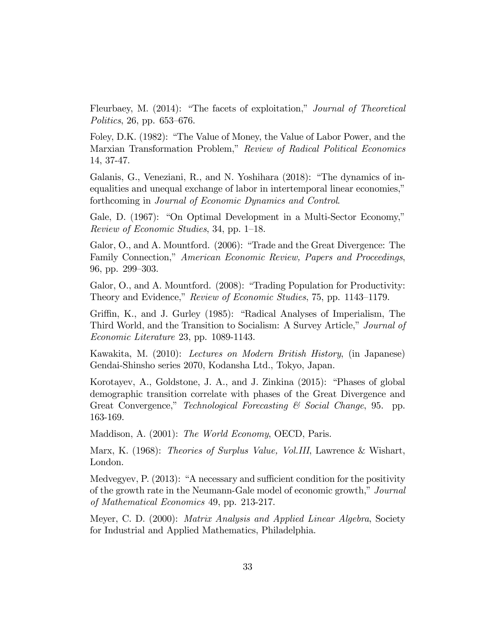Fleurbaey, M.  $(2014)$ : "The facets of exploitation," *Journal of Theoretical* Politics, 26, pp.  $653-676$ .

Foley, D.K. (1982): "The Value of Money, the Value of Labor Power, and the Marxian Transformation Problem," Review of Radical Political Economics 14, 37-47.

Galanis, G., Veneziani, R., and N. Yoshihara  $(2018)$ : "The dynamics of inequalities and unequal exchange of labor in intertemporal linear economies," forthcoming in Journal of Economic Dynamics and Control.

Gale, D. (1967): "On Optimal Development in a Multi-Sector Economy," Review of Economic Studies, 34, pp.  $1-18$ .

Galor, O., and A. Mountford. (2006): "Trade and the Great Divergence: The Family Connection," American Economic Review, Papers and Proceedings, 96, pp. 299–303.

Galor, O., and A. Mountford. (2008): "Trading Population for Productivity: Theory and Evidence," Review of Economic Studies, 75, pp. 1143–1179.

Griffin, K., and J. Gurley (1985): "Radical Analyses of Imperialism, The Third World, and the Transition to Socialism: A Survey Article," Journal of Economic Literature 23, pp. 1089-1143.

Kawakita, M. (2010): Lectures on Modern British History, (in Japanese) Gendai-Shinsho series 2070, Kodansha Ltd., Tokyo, Japan.

Korotayev, A., Goldstone, J. A., and J. Zinkina (2015): "Phases of global demographic transition correlate with phases of the Great Divergence and Great Convergence," Technological Forecasting  $\mathcal C$  Social Change, 95. pp. 163-169.

Maddison, A. (2001): *The World Economy*, OECD, Paris.

Marx, K. (1968): Theories of Surplus Value, Vol.III, Lawrence & Wishart, London.

Medvegyev, P.  $(2013)$ : "A necessary and sufficient condition for the positivity of the growth rate in the Neumann-Gale model of economic growth," Journal of Mathematical Economics 49, pp. 213-217.

Meyer, C. D. (2000): Matrix Analysis and Applied Linear Algebra, Society for Industrial and Applied Mathematics, Philadelphia.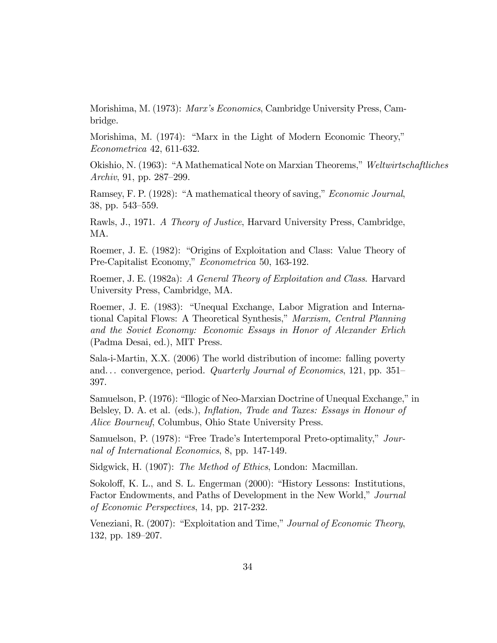Morishima, M. (1973): *Marx's Economics*, Cambridge University Press, Cambridge.

Morishima, M. (1974): "Marx in the Light of Modern Economic Theory," Econometrica 42, 611-632.

Okishio, N. (1963): "A Mathematical Note on Marxian Theorems," Weltwirtschaftliches *Archiv*, 91, pp. 287–299.

Ramsey, F. P. (1928): "A mathematical theory of saving," *Economic Journal*, 38, pp. 543-559.

Rawls, J., 1971. A Theory of Justice, Harvard University Press, Cambridge, MA.

Roemer, J. E. (1982): "Origins of Exploitation and Class: Value Theory of Pre-Capitalist Economy," Econometrica 50, 163-192.

Roemer, J. E. (1982a): A General Theory of Exploitation and Class. Harvard University Press, Cambridge, MA.

Roemer, J. E. (1983): "Unequal Exchange, Labor Migration and International Capital Flows: A Theoretical Synthesis," Marxism, Central Planning and the Soviet Economy: Economic Essays in Honor of Alexander Erlich (Padma Desai, ed.), MIT Press.

Sala-i-Martin, X.X. (2006) The world distribution of income: falling poverty and... convergence, period. Quarterly Journal of Economics, 121, pp. 351– 397.

Samuelson, P. (1976): "Illogic of Neo-Marxian Doctrine of Unequal Exchange," in Belsley, D. A. et al. (eds.), *Inflation*, *Trade and Taxes: Essays in Honour of Alice Bourneuf*, Columbus, Ohio State University Press.

Samuelson, P. (1978): "Free Trade's Intertemporal Preto-optimality," Journal of International Economics, 8, pp. 147-149.

Sidgwick, H. (1907): *The Method of Ethics*, London: Macmillan.

Sokoloff, K. L., and S. L. Engerman (2000): "History Lessons: Institutions, Factor Endowments, and Paths of Development in the New World," Journal *of Economic Perspectives*, 14, pp. 217-232.

Veneziani, R. (2007): "Exploitation and Time," Journal of Economic Theory, 132, pp. 189-207.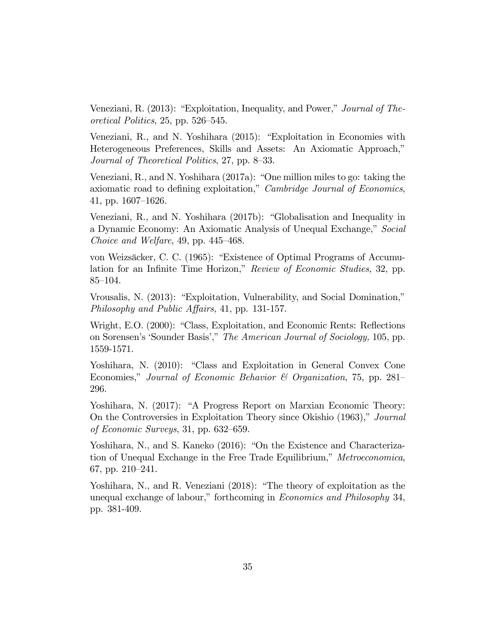Veneziani, R. (2013): "Exploitation, Inequality, and Power," Journal of Theoretical Politics,  $25$ , pp.  $526-545$ .

Veneziani, R., and N. Yoshihara (2015): "Exploitation in Economies with Heterogeneous Preferences, Skills and Assets: An Axiomatic Approach," Journal of Theoretical Politics,  $27$ , pp.  $8-33$ .

Veneziani, R., and N. Yoshihara  $(2017a)$ : "One million miles to go: taking the axiomatic road to defining exploitation," Cambridge Journal of Economics, 41, pp.  $1607-1626$ .

Veneziani, R., and N. Yoshihara  $(2017b)$ : "Globalisation and Inequality in a Dynamic Economy: An Axiomatic Analysis of Unequal Exchange," Social Choice and Welfare, 49, pp.  $445-468$ .

von Weizsäcker, C. C. (1965): "Existence of Optimal Programs of Accumulation for an Infinite Time Horizon," Review of Economic Studies, 32, pp. 85–104.

Vrousalis, N. (2013): "Exploitation, Vulnerability, and Social Domination," Philosophy and Public Affairs, 41, pp. 131-157.

Wright, E.O. (2000): "Class, Exploitation, and Economic Rents: Reflections on Sorensen's 'Sounder Basis'," The American Journal of Sociology, 105, pp. 1559-1571.

Yoshihara, N. (2010): "Class and Exploitation in General Convex Cone Economies," Journal of Economic Behavior & Organization, 75, pp. 281– 296.

Yoshihara, N. (2017): "A Progress Report on Marxian Economic Theory: On the Controversies in Exploitation Theory since Okishio  $(1963)$ ," Journal of Economic Surveys, 31, pp.  $632-659$ .

Yoshihara, N., and S. Kaneko (2016): "On the Existence and Characterization of Unequal Exchange in the Free Trade Equilibrium," Metroeconomica, 67, pp. 210-241.

Yoshihara, N., and R. Veneziani  $(2018)$ : "The theory of exploitation as the unequal exchange of labour," forthcoming in *Economics and Philosophy* 34, pp. 381-409.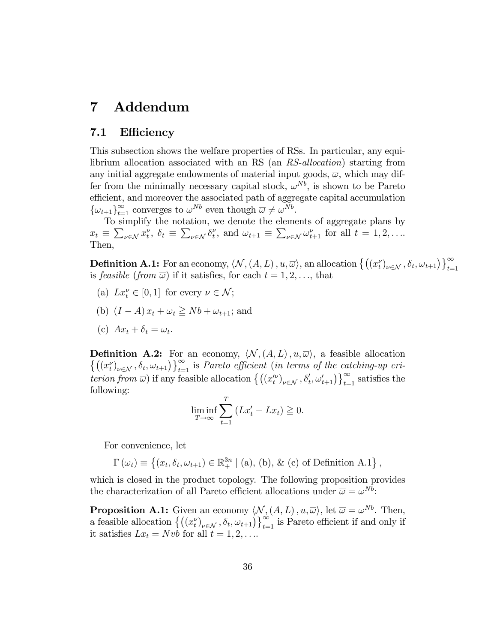#### 7  $\operatorname{Addendum}$

#### $7.1$ Efficiency

This subsection shows the welfare properties of RSs. In particular, any equilibrium allocation associated with an RS (an *RS-allocation*) starting from any initial aggregate endowments of material input goods,  $\overline{\omega}$ , which may differ from the minimally necessary capital stock,  $\omega^{Nb}$ , is shown to be Pareto efficient, and moreover the associated path of aggregate capital accumulation  $\{\omega_{t+1}\}_{t=1}^{\infty}$  converges to  $\omega^{Nb}$  even though  $\overline{\omega} \neq \omega^{Nb}$ .<br>To simplify the notation, we denote the elements of aggregate plans by

 $x_t \equiv \sum_{\nu \in \mathcal{N}} x_t^{\nu}, \ \delta_t \equiv \sum_{\nu \in \mathcal{N}} \delta_t^{\nu}, \ \text{and} \ \omega_{t+1} \equiv \sum_{\nu \in \mathcal{N}} \omega_{t+1}^{\nu} \ \text{ for all } t = 1, 2, \dots$ Then,

**Definition A.1:** For an economy,  $\langle N, (A, L), u, \overline{\omega} \rangle$ , an allocation  $\{((x_t^{\nu})_{\nu \in \mathcal{N}}, \delta_t, \omega_{t+1})\}_{t=1}^{\infty}$ is *feasible (from*  $\overline{\omega}$ *)* if it satisfies, for each  $t = 1, 2, \ldots$ , that

- (a)  $Lx_t^{\nu} \in [0,1]$  for every  $\nu \in \mathcal{N}$ ;
- (b)  $(I A)x_t + \omega_t \geq Nb + \omega_{t+1}$ ; and
- (c)  $Ax_t + \delta_t = \omega_t$ .

**Definition A.2:** For an economy,  $\langle \mathcal{N}, (A, L), u, \overline{\omega} \rangle$ , a feasible allocation  $\{((x_t^{\nu})_{\nu \in \mathcal{N}}, \delta_t, \omega_{t+1})\}_{t=1}^{\infty}$  is Pareto efficient (in terms of the catching-up criterion from  $\overline{\omega}$ ) if any feasible allocation  $\{(x_t^{\prime\prime})_{\nu\in\mathcal{N}}, \delta_t^{\prime}, \omega_{t+1}^{\prime}\}\}_{t=1}^{\infty}$  satisfies the following:

$$
\liminf_{T \to \infty} \sum_{t=1}^{T} \left( Lx'_t - Lx_t \right) \geq 0.
$$

For convenience, let

 $\Gamma(\omega_t) \equiv \{(x_t, \delta_t, \omega_{t+1}) \in \mathbb{R}^{3n}_+ \mid (a), (b), \& (c) \text{ of Definition A.1}\},$ 

which is closed in the product topology. The following proposition provides the characterization of all Pareto efficient allocations under  $\overline{\omega} = \omega^{Nb}$ :

**Proposition A.1:** Given an economy  $\langle \mathcal{N}, (A, L), u, \overline{\omega} \rangle$ , let  $\overline{\omega} = \omega^{Nb}$ . Then, a feasible allocation  $\{((x_t^{\nu})_{\nu \in \mathcal{N}}, \delta_t, \omega_{t+1})\}_{t=1}^{\infty}$  is Pareto efficient if and only if it satisfies  $Lx_t = Nvb$  for all  $t = 1, 2, ...$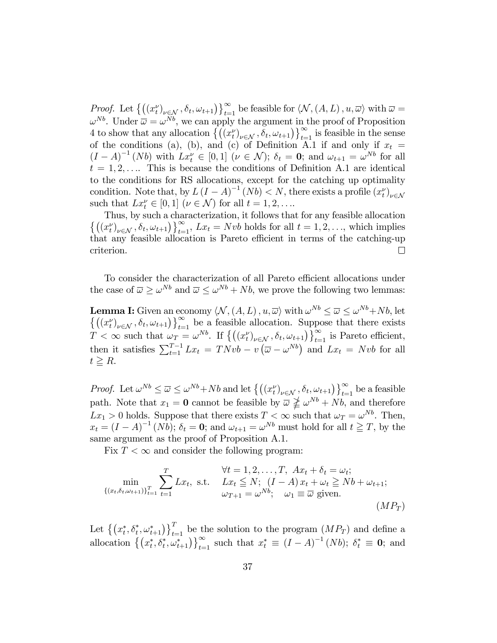Proof. Let  $\{((x_t^{\nu})_{\nu \in \mathcal{N}}, \delta_t, \omega_{t+1})\}_{t=1}^{\infty}$  be feasible for  $\langle \mathcal{N},(A,L), u, \overline{\omega} \rangle$  with  $\overline{\omega} =$  $\omega^{Nb}$ . Under  $\overline{\omega} = \omega^{Nb}$ , we can apply the argument in the proof of Proposition 4 to show that any allocation  $\{((x_t^{\nu})_{\nu \in \mathcal{N}}, \delta_t, \omega_{t+1})\}_{t=1}^{\infty}$  is feasible in the sense of the conditions (a), (b), and (c) of Definition A.1 if and only if  $x_t =$  $(I - A)^{-1} (Nb)$  with  $Lx_t^{\nu} \in [0,1]$   $(\nu \in \mathcal{N}); \delta_t = \mathbf{0};$  and  $\omega_{t+1} = \omega^{Nb}$  for all  $t = 1, 2, \ldots$  This is because the conditions of Definition A.1 are identical to the conditions for RS allocations, except for the catching up optimality condition. Note that, by  $L(I - A)^{-1}(Nb) < N$ , there exists a profile  $(x_t^{\nu})_{\nu \in \mathcal{N}}$  such that  $Lx_t^{\nu} \in [0,1]$   $(\nu \in \mathcal{N})$  for all  $t = 1,2,...$ 

Thus, by such a characterization, it follows that for any feasible allocation  $\left\{ \left( (x_t^{\nu})_{\nu \in \mathcal{N}}, \delta_t, \omega_{t+1} \right) \right\}_{t=1}^{\infty}, Lx_t = Nvb$  holds for all  $t = 1, 2, ...,$  which implies that any feasible allocation is Pareto efficient in terms of the catching-up criterion.  $\Box$ 

To consider the characterization of all Pareto efficient allocations under the case of  $\overline{\omega} \ge \omega^{Nb}$  and  $\overline{\omega} \le \omega^{Nb} + Nb$ , we prove the following two lemmas:

**Lemma I:** Given an economy  $\langle N, (A, L), u, \overline{\omega} \rangle$  with  $\omega^{Nb} \leq \overline{\omega} \leq \omega^{Nb} + Nb$ , let  $\left\{ \left( (x_t^{\nu})_{\nu \in \mathcal{N}}, \delta_t, \omega_{t+1} \right) \right\}_{t=1}^{\infty}$  be a feasible allocation. Suppose that there exists  $T < \infty$  such that  $\omega_T = \omega^{Nb}$ . If  $\left\{ ((x_t^{\nu})_{\nu \in \mathcal{N}}, \delta_t, \omega_{t+1}) \right\}_{t=1}^{\infty}$  is Pareto efficient, then it satisfies  $\sum_{t=1}^{T-1} Lx_t = TNvb - v(\overline{\omega} - \omega^{Nb})$  and  $Lx_t = Nvb$  for all  $t \geq R$ .

*Proof.* Let  $\omega^{Nb} \leq \overline{\omega} \leq \omega^{Nb} + Nb$  and let  $\left\{ ((x_t^{\nu})_{\nu \in \mathcal{N}}, \delta_t, \omega_{t+1}) \right\}_{t=1}^{\infty}$  be a feasible path. Note that  $x_1 = 0$  cannot be feasible by  $\overline{\omega} \not\geq \omega^{Nb} + Nb$ , and therefore  $Lx_1 > 0$  holds. Suppose that there exists  $T < \infty$  such that  $\omega_T = \omega^{Nb}$ . Then,  $x_t = (I - A)^{-1} (Nb)$ ;  $\delta_t = 0$ ; and  $\omega_{t+1} = \omega^{Nb}$  must hold for all  $t \geq T$ , by the same argument as the proof of Proposition A.1.

Fix  $T < \infty$  and consider the following program:

$$
\begin{aligned}\n\min_{\{(x_t, \delta_t, \omega_{t+1})\}_{t=1}^T} \sum_{t=1}^T L x_t, \text{ s.t. } & \quad L x_t \leq N; \ (I - A) \, x_t + \omega_t \geq N b + \omega_{t+1}; \\
& \quad \omega_{T+1} = \omega^{N b}; \quad \omega_1 \equiv \overline{\omega} \text{ given.} \\
& \quad (M P_T)\n\end{aligned}
$$

Let  $\{(x_t^*, \delta_t^*, \omega_{t+1}^*)\}_{t=1}^T$  be the solution to the program  $(MP_T)$  and define a allocation  $\{(x_t^*, \delta_t^*, \omega_{t+1}^*)\}_{t=1}^{\infty}$  such that  $x_t^* \equiv (I - A)^{-1} (Nb)$ ;  $\delta_t^* \equiv 0$ ; and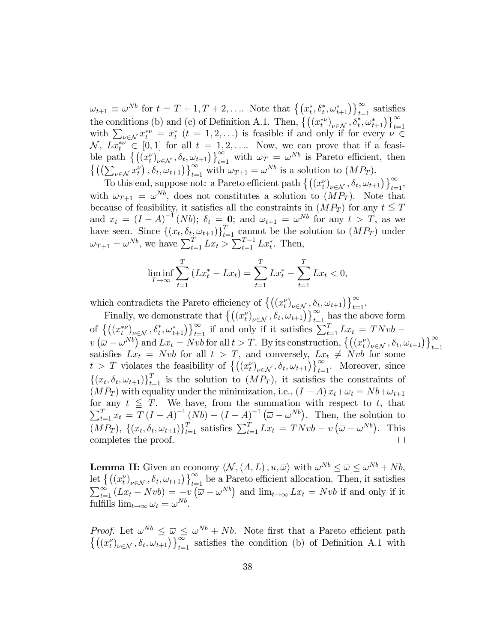$\omega_{t+1} \equiv \omega^{Nb}$  for  $t = T + 1, T + 2, \ldots$  Note that  $\left\{ (x_t^*, \delta_t^*, \omega_{t+1}^*) \right\}_{t=1}^{\infty}$  satisfies the conditions (b) and (c) of Definition A.1. Then,  $\{((x_t^{*\nu})_{\nu \in \mathcal{N}}, \delta_t^*, \omega_{t+1}^*)\}_{t=1}^{\infty}$ with  $\sum_{\nu \in \mathcal{N}} x_i^* \nu = x_i^*$   $(t = 1, 2, ...)$  is feasible if and only if for every  $\nu \in \mathbb{R}$  $\mathcal{N}, Lx_t^{*\nu} \in [0,1]$  for all  $t = 1,2,...$  Now, we can prove that if a feasible path  $\{((x_t^{\nu})_{\nu \in \mathcal{N}}, \delta_t, \omega_{t+1})\}_{t=1}^{\infty}$  with  $\omega_T = \omega^{Nb}$  is Pareto efficient, then  $\{((\sum_{\nu\in\mathcal{N}} x_t^{\nu}), \delta_t, \omega_{t+1})\}_{t=1}^{\infty}$  with  $\omega_{T+1} = \omega^{Nb}$  is a solution to  $(MP_T)$ .

To this end, suppose not: a Pareto efficient path  $\left\{ \left( (x_t^{\nu})_{\nu \in \mathcal{N}}, \delta_t, \omega_{t+1} \right) \right\}_{t=1}^{\infty}$ with  $\omega_{T+1} = \omega^{Nb}$ , does not constitutes a solution to  $(MP_T)$ . Note that because of feasibility, it satisfies all the constraints in  $(MP_T)$  for any  $t \leq T$ and  $x_t = (I - A)^{-1} (Nb)$ ;  $\delta_t = 0$ ; and  $\omega_{t+1} = \omega^{Nb}$  for any  $t > T$ , as we have seen. Since  $\{(x_t, \delta_t, \omega_{t+1})\}_{t=1}^T$  cannot be the solution to  $(MP_T)$  under  $\omega_{T+1} = \omega^{Nb}$ , we have  $\sum_{t=1}^{T} Lx_t > \sum_{t=1}^{T-1} Lx_t^*$ . Then,

$$
\liminf_{T \to \infty} \sum_{t=1}^{T} \left( Lx_t^* - Lx_t \right) = \sum_{t=1}^{T} Lx_t^* - \sum_{t=1}^{T} Lx_t < 0,
$$

which contradicts the Pareto efficiency of  $\{(x_t^{\nu})_{\nu \in \mathcal{N}}, \delta_t, \omega_{t+1}\}_{t=1}^{\infty}$ .

Finally, we demonstrate that  $\left\{ \left( (x_t^{\nu})_{\nu \in \mathcal{N}}, \delta_t, \omega_{t+1} \right) \right\}_{t=1}^{\infty}$  has the above form of  $\left\{ \left( (x_t^{\ast \nu})_{\nu \in \mathcal{N}}, \delta_t^{\ast}, \omega_{t+1}^{\ast} \right) \right\}_{t=1}^{\infty}$  if and only if it satisfies  $\sum_{t=1}^T L x_t = T N v b$  $v\left(\overline{\omega}-\omega^{Nb}\right)$  and  $Lx_t = Nvb$  for all  $t > T$ . By its construction,  $\left\{\left(\left(x_t^{\nu}\right)_{\nu \in \mathcal{N}}, \delta_t, \omega_{t+1}\right)\right\}_{t=1}^{\infty}$ satisfies  $Lx_t = Nvb$  for all  $t > T$ , and conversely,  $Lx_t \neq Nvb$  for some  $t > T$  violates the feasibility of  $\left\{ \left( (x_t^{\nu})_{\nu \in \mathcal{N}}, \delta_t, \omega_{t+1} \right) \right\}_{t=1}^{\infty}$ . Moreover, since  $\{(x_t, \delta_t, \omega_{t+1})\}_{t=1}^T$  is the solution to  $(MP_T)$ , it satisfies the constraints of  $(MP_T)$  with equality under the minimization, i.e.,  $(I - A) x_t + \omega_t = N b + \omega_{t+1}$ for any any  $t \leq T$ . We have, from the summation with respect to t, that  $T_{t=1}^T x_t = T (I - A)^{-1} (Nb) - (I - A)^{-1} (\overline{\omega} - \omega^{Nb})$ . Then, the solution to  $\sum$  $(MP_T)$ ,  $\{(x_t, \delta_t, \omega_{t+1})\}_{t=1}^T$  satisfies  $\sum_{t=1}^T Lx_t = TNvb - v(\overline{\omega} - \omega^{Nb})$ . This completes the proof.  $\Box$ 

**Lemma II:** Given an economy  $\langle N, (A, L), u, \overline{\omega} \rangle$  with  $\omega^{Nb} \leq \overline{\omega} \leq \omega^{Nb} + Nb$ , let  $\{(x_t^{\nu})_{\nu \in \mathcal{N}}, \delta_t, \omega_{t+1}\}_{t=1}^{\infty}$  be a Pareto efficient allocation. Then, it satisfies  $\sum_{t=1}^{\infty} (Lx_t - Nvb) = -v(\overline{\omega} - \omega^{Nb})$  and  $\lim_{t\to\infty} Lx_t = Nvb$  if and only if it fulfills  $\lim_{t \to \infty} \omega_t = \omega^{Nb}$ .

*Proof.* Let  $\omega^{Nb} \leq \overline{\omega} \leq \omega^{Nb} + Nb$ . Note first that a Pareto efficient path  $\{((x_t^{\nu})_{\nu \in \mathcal{N}}, \delta_t, \omega_{t+1})\}_{t=1}^{\infty}$  satisfies the condition (b) of Definition A.1 with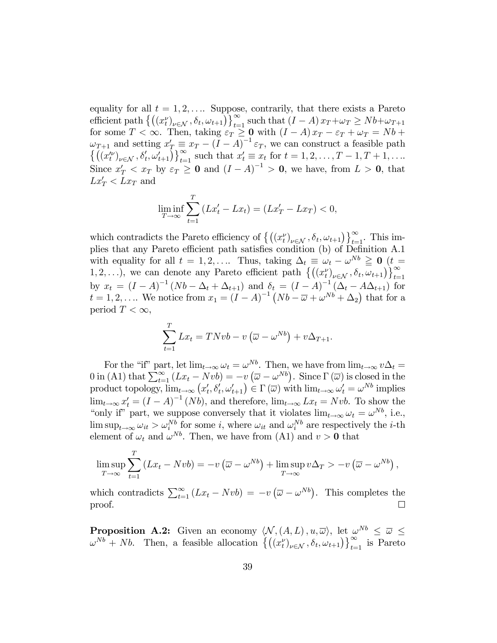equality for all  $t = 1, 2, \ldots$  Suppose, contrarily, that there exists a Pareto equality for all  $t = 1, 2, ...$  suppose, contrarity, that there exists a Fareto<br>efficient path  $\{((x_t^{\nu})_{\nu \in \mathcal{N}}, \delta_t, \omega_{t+1})\}_{t=1}^{\infty}$  such that  $(I - A) x_T + \omega_T \ge Nb + \omega_{T+1}$ <br>for some  $T < \infty$ . Then, taking  $\varepsilon_T \ge 0$  with  $(I$  $Lx'_T < Lx_T$  and

$$
\liminf_{T \to \infty} \sum_{t=1}^{T} (Lx'_t - Lx_t) = (Lx'_T - Lx_T) < 0,
$$

which contradicts the Pareto efficiency of  $\left\{((x_t^{\nu})_{\nu \in \mathcal{N}}, \delta_t, \omega_{t+1})\right\}_{t=1}^{\infty}$ . This implies that any Pareto efficient path satisfies condition (b) of Definition A.1 with equality for all  $t = 1, 2, ...$  Thus, taking  $\Delta_t \equiv \omega_t - \omega^{Nb} \geq 0$  ( $t =$ 1, 2,...), we can denote any Pareto efficient path  $\left\{((x_t^{\nu})_{\nu \in \mathcal{N}}, \delta_t, \omega_{t+1})\right\}_{t=1}^{\infty}$ by  $x_t = (I - A)^{-1} (Nb - \Delta_t + \Delta_{t+1})$  and  $\delta_t = (I - A)^{-1} (\Delta_t - A\Delta_{t+1})$  for<br>  $t = 1, 2, ...$  We notice from  $x_1 = (I - A)^{-1} (Nb - \overline{\omega} + \omega^{Nb} + \Delta_2)$  that for a period  $T < \infty$ ,

$$
\sum_{t=1}^{T} Lx_t = TNvb - v(\overline{\omega} - \omega^{Nb}) + v\Delta_{T+1}.
$$

For the "if" part, let  $\lim_{t\to\infty}\omega_t=\omega^{Nb}$ . Then, we have from  $\lim_{t\to\infty}v\Delta_t=$ 0 in (A1) that  $\sum_{t=1}^{\infty} (Lx_t - Nvb) = -v(\overline{\omega} - \omega^{Nb})$ . Since  $\Gamma(\overline{\omega})$  is closed in the product topology,  $\lim_{t\to\infty} (x'_t, \delta'_t, \omega'_{t+1}) \in \Gamma(\overline{\omega})$  with  $\lim_{t\to\infty} \omega'_t = \omega^{Nb}$  implies  $\lim_{t\to\infty} x'_t = (I - A)^{-1} (Nb)$ , and therefore,  $\lim_{t\to\infty} Lx_t = Nvb$ . To show the "only if" part, we suppose conversely that it violates  $\lim_{t\to\infty} \omega_t = \omega^{Nb}$ , i.e.,  $\limsup_{t\to\infty} \omega_{it} > \omega_i^{Nb}$  for some *i*, where  $\omega_{it}$  and  $\omega_i^{Nb}$  are respectively the *i*-th element of  $\omega_t$  and  $\omega^{Nb}$ . Then, we have from (A1) and  $v > 0$  that

$$
\limsup_{T \to \infty} \sum_{t=1}^{T} (Lx_t - Nvb) = -v(\overline{\omega} - \omega^{Nb}) + \limsup_{T \to \infty} v\Delta_T > -v(\overline{\omega} - \omega^{Nb}),
$$

which contradicts  $\sum_{t=1}^{\infty} (Lx_t - Nvb) = -v(\overline{\omega} - \omega^{Nb})$ . This completes the proof.  $\Box$ 

**Proposition A.2:** Given an economy  $\langle \mathcal{N}, (A, L), u, \overline{\omega} \rangle$ , let  $\omega^{Nb} \leq \overline{\omega} \leq$  $\omega^{Nb}$  + Nb. Then, a feasible allocation  $\left\{((x_t^{\nu})_{\nu \in \mathcal{N}}, \delta_t, \omega_{t+1})\right\}_{t=1}^{\infty}$  is Pareto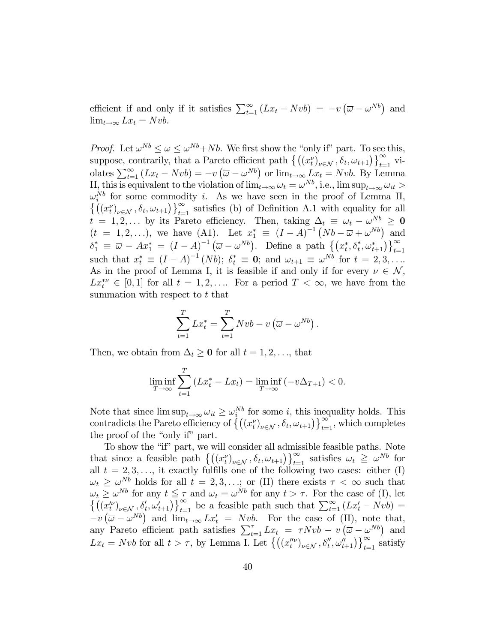efficient if and only if it satisfies  $\sum_{t=1}^{\infty} (Lx_t - Nvb) = -v(\overline{\omega} - \omega^{Nb})$  and  $\lim_{t\to\infty} Lx_t = Nvb.$ 

*Proof.* Let  $\omega^{Nb} \leq \overline{\omega} \leq \omega^{Nb} + Nb$ . We first show the "only if" part. To see this, suppose, contrarily, that a Pareto efficient path  $\{((x_t^{\nu})_{\nu \in \mathcal{N}}, \delta_t, \omega_{t+1})\}_{t=1}^{\infty}$  violates  $\sum_{t=1}^{\infty} (Lx_t - Nvb) = -v(\overline{\omega} - \omega^{Nb})$  or  $\lim_{t\to\infty} Lx_t = Nvb$ . By Lemma II, this is equivalent to the violation of  $\lim_{t\to\infty} \omega_t = \omega^{Nb}$ , i.e.,  $\limsup_{t\to\infty} \omega_{it} >$  $\omega_i^{Nb}$  for some commodity *i*. As we have seen in the proof of Lemma II,  $\{((x_t^{\nu})_{\nu \in \mathcal{N}}, \delta_t, \omega_{t+1})\}_{t=1}^{\infty}$  satisfies (b) of Definition A.1 with equality for all  $t = 1, 2, ...$  by its Pareto efficiency. Then, taking  $\Delta_t \equiv \omega_t - \omega^{Nb} \geq 0$  $(t = 1, 2, ...)$ , we have (A1). Let  $x_1^* \equiv (I - A)^{-1} (Nb - \bar{\omega} + \omega^{Nb})$  and<br>  $\delta_1^* \equiv \bar{\omega} - Ax_1^* = (I - A)^{-1} (\bar{\omega} - \omega^{Nb})$ . Define a path  $\{(x_t^*, \delta_t^*, \omega_{t+1}^*)\}_{t=1}^{\infty}$ such that  $x_t^* \equiv (I - A)^{-1}(Nb)$ ;  $\delta_t^* \equiv 0$ ; and  $\omega_{t+1} \equiv \omega^{Nb}$  for  $t = 2, 3, ...$ As in the proof of Lemma I, it is feasible if and only if for every  $\nu \in \mathcal{N}$ ,  $Lx_t^{*\nu} \in [0,1]$  for all  $t = 1,2,...$  For a period  $T < \infty$ , we have from the summation with respect to t that

$$
\sum_{t=1}^{T} Lx_t^* = \sum_{t=1}^{T} Nvb - v(\overline{\omega} - \omega^{Nb}).
$$

Then, we obtain from  $\Delta_t \geq 0$  for all  $t = 1, 2, \ldots$ , that

$$
\liminf_{T \to \infty} \sum_{t=1}^{T} \left( Lx_t^* - Lx_t \right) = \liminf_{T \to \infty} \left( -v \Delta_{T+1} \right) < 0.
$$

Note that since  $\limsup_{t\to\infty} \omega_{it} \geq \omega_i^{Nb}$  for some *i*, this inequality holds. This contradicts the Pareto efficiency of  $\{(x_t^{\nu})_{\nu \in \mathcal{N}}, \delta_t, \omega_{t+1}\}_{t=1}^{\infty}$ , which completes the proof of the "only if" part.

To show the "if" part, we will consider all admissible feasible paths. Note that since a feasible path  $\{((x_t^{\nu})_{\nu \in \mathcal{N}}, \delta_t, \omega_{t+1})\}_{t=1}^{\infty}$  satisfies  $\omega_t \geq \omega^{Nb}$  for all  $t = 2, 3, \dots$ , it exactly fulfills one of the following two cases: either (I)  $\omega_t \geq \omega^{Nb}$  holds for all  $t = 2, 3, ...$ ; or (II) there exists  $\tau < \infty$  such that<br>  $\omega_t \geq \omega^{Nb}$  for any  $t \leq \tau$  and  $\omega_t = \omega^{Nb}$  for any  $t > \tau$ . For the case of (I), let  $\{((x_t^{\prime\prime})_{\nu \in \mathcal{N}}, \delta_t^{\prime}, \omega_{t+1}^{\prime})\}_{t=1}^{\in$  $-v(\overline{\omega}-\omega^{Nb})$  and  $\lim_{t\to\infty} Lx'_t = Nvb$ . For the case of (II), note that, any Pareto efficient path satisfies  $\sum_{t=1}^{\tau} Lx_t = \tau N v b - v (\overline{\omega} - \omega^{Nb})$  and  $Lx_t = Nvb$  for all  $t > \tau$ , by Lemma I. Let  $\left\{ \left( (x_t''^{\nu})_{\nu \in \mathcal{N}}, \delta_t'', \omega_{t+1}'' \right) \right\}_{t=1}^{\infty}$  satisfy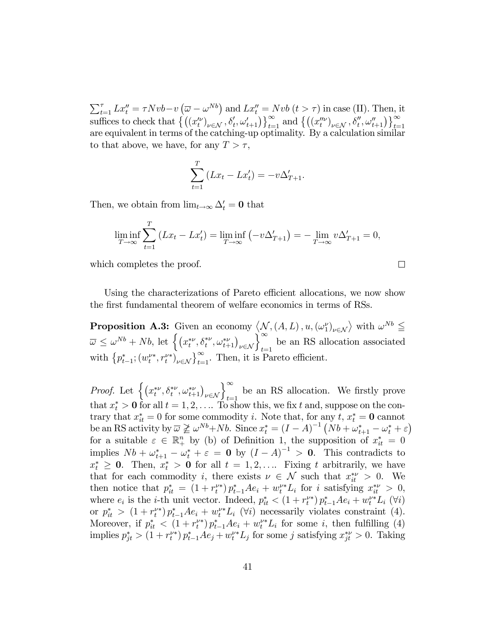$\begin{array}{l} \sum_{t=1}^{\tau} Lx_t''=\tau N v b-v\left(\overline{\omega}-\omega^{Nb}\right)\text{ and }Lx_t''= N v b\left(t>\tau\right) \text{ in case (II)}. \ \text{Then, it} \\ \text{suffixes to check that } \left\{\left(\left(x_t''\right)_{\nu\in\mathcal{N}},\delta_t',\omega_{t+1}'\right)\right\}_{t=1}^{\infty} \text{ and } \left\{\left(\left(x_t''^{\nu}\right)_{\nu\in\mathcal{N}},\delta_t'',\omega_{t+1}''\right)\right\}_{t=1}^{\infty} \end{array}$ are equivalent in terms of the catching-up optimality. By a calculation similar to that above, we have, for any  $T > \tau$ ,

$$
\sum_{t=1}^{T} (Lx_t - Lx'_t) = -v\Delta'_{T+1}.
$$

Then, we obtain from  $\lim_{t\to\infty} \Delta'_t = 0$  that

$$
\liminf_{T \to \infty} \sum_{t=1}^{T} \left( Lx_t - Lx'_t \right) = \liminf_{T \to \infty} \left( -v \Delta'_{T+1} \right) = -\lim_{T \to \infty} v \Delta'_{T+1} = 0,
$$

 $\Box$ 

which completes the proof.

Using the characterizations of Pareto efficient allocations, we now show the first fundamental theorem of welfare economics in terms of RSs.

**Proposition A.3:** Given an economy  $\langle \mathcal{N}, (A, L), u, (\omega_1^{\nu})_{\nu \in \mathcal{N}} \rangle$  with  $\omega^{Nb} \leq \overline{\omega} \leq \omega^{Nb} + Nb$ , let  $\left\{ (x_t^{*\nu}, \delta_t^{*\nu}, \omega_{t+1}^{*\nu})_{\nu \in \mathcal{N}} \right\}_{t=1}^{\infty}$  be an RS allocation associated with  $\{p_{t-1}^*; (w_t^{\nu*}, r_t^{\nu*})_{\nu \in \mathcal{N}}\}_{t=1}^{\infty}$ . Then, it is Pareto efficient.

*Proof.* Let  $\left\{ (x_t^{*\nu}, \delta_t^{*\nu}, \omega_{t+1}^{*\nu})_{\nu \in \mathcal{N}} \right\}_{t=1}^{\infty}$  be an RS allocation. We firstly prove that  $x_t^* > 0$  for all  $t = 1, 2, \ldots$  To show this, we fix t and, suppose on the contrary that  $x_{it}^* = 0$  for some commodity *i*. Note that, for any *t*,  $x_t^* = 0$  cannot be an RS activity by  $\overline{\omega} \not\geq \omega^{Nb} + Nb$ . Since  $x_t^* = (I - A)^{-1} (Nb + \omega_{t+1}^* - \omega_t^* + \varepsilon)$ <br>for a suitable  $\varepsilon \in \mathbb{R}_+^n$  by (b) of Definition 1, the supposition of  $x_{it}^* = 0$ <br>implies  $Nb + \omega_{t+1}^* - \omega_t^* + \varepsilon = 0$  by  $(I - A)^{$  $x_t^* \geq 0$ . Then,  $x_t^* > 0$  for all  $t = 1, 2, \ldots$  Fixing t arbitrarily, we have that for each commodity i, there exists  $\nu \in \mathcal{N}$  such that  $x_{it}^{*\nu} > 0$ . We then notice that  $p_{it}^* = (1 + r_t^{\nu*}) p_{t-1}^* A e_i + w_t^{\nu*} L_i$  for *i* satisfying  $x_{it}^{*\nu} > 0$ , where  $e_i$  is the *i*-th unit vector. Indeed,  $p_{it}^* < (1 + r_t^{\nu*}) p_{t-1}^* A e_i + w_t^{\nu*} L_i$  ( $\forall i$ ) or  $p_{it}^* > (1 + r_t^{\nu*}) p_{t-1}^* A e_i + w_t^{\nu*} L_i$  ( $\forall i$ ) necessarily violates constraint (4). Moreover, if  $p_{it}^* < (1 + r_t^{\nu*}) p_{t-1}^* A e_i + w_t^{\nu*} L_i$  for some *i*, then fulfilling (4) implies  $p_{jt}^* > (1 + r_t^{\nu*}) p_{t-1}^* A e_j + w_t^{\nu*} L_j$  for some j satisfying  $x_{jt}^{*\nu} > 0$ . Taking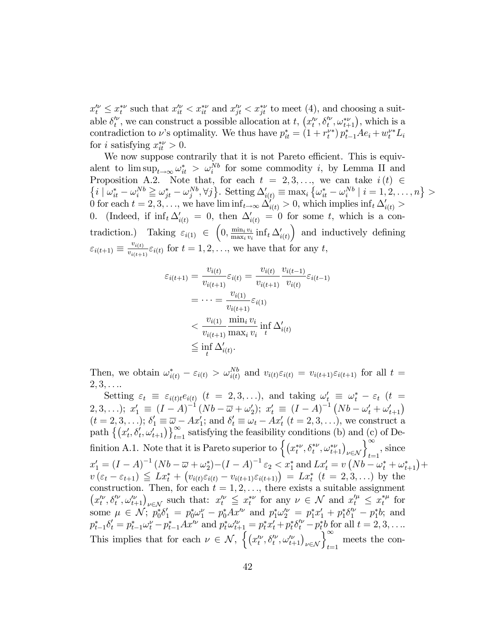$x_t^{\prime \nu} \leq x_t^{*\nu}$  such that  $x_{it}^{\prime \nu} < x_{it}^{*\nu}$  and  $x_{jt}^{\prime \nu} < x_{jt}^{*\nu}$  to meet (4), and choosing a suitable  $\delta_t^{\prime\nu}$ , we can construct a possible allocation at t,  $(x_t^{\prime\nu}, \delta_t^{\prime\nu}, \omega_{t+1}^{*\nu})$ , which is a contradiction to v's optimality. We thus have  $p_{it}^* = (1 + r_t^{\nu*}) p_{t-1}^* A e_i + w_t^{\nu*} L_i$ for *i* satisfying  $x_{it}^{*\nu} > 0$ .

We now suppose contrarily that it is not Pareto efficient. This is equivalent to  $\limsup_{t\to\infty} \omega_{it}^* > \omega_i^{Nb}$  for some commodity i, by Lemma II and Proposition A.2. Note that, for each  $t = 2, 3, ...,$  we can take  $i(t) \in$  $\{i \mid \omega_{it}^* - \omega_{i}^{Nb} \geqq \omega_{jt}^* - \omega_{j}^{Nb}, \forall j\}.$  Setting  $\Delta'_{i(t)} \equiv \max_{i} {\omega_{it}^* - \omega_{i}^{Nb} \mid i = 1, 2, ..., n} > 0$  for each  $t = 2, 3, ...,$  we have  $\liminf_{t \to \infty} \Delta'_{i(t)} > 0$ , which implies  $\inf_{t} \Delta'_{i(t)} > 0$ 0. (Indeed, if  $\inf_t \Delta'_{i(t)} = 0$ , then  $\Delta'_{i(t)} = 0$  for some t, which is a contradiction.) Taking  $\varepsilon_{i(1)} \in (0, \frac{\min_i v_i}{\max_i v_i} \inf_t \Delta'_{i(t)})$  and inductively defining  $\varepsilon_{i(t+1)} \equiv \frac{v_{i(t)}}{v_{i(t+1)}} \varepsilon_{i(t)}$  for  $t = 1, 2, \ldots$ , we have that for any t,

$$
\varepsilon_{i(t+1)} = \frac{v_{i(t)}}{v_{i(t+1)}} \varepsilon_{i(t)} = \frac{v_{i(t)}}{v_{i(t+1)}} \frac{v_{i(t-1)}}{v_{i(t)}} \varepsilon_{i(t-1)}
$$
\n
$$
= \dots = \frac{v_{i(1)}}{v_{i(t+1)}} \varepsilon_{i(1)}
$$
\n
$$
< \frac{v_{i(1)}}{v_{i(t+1)}} \frac{\min_i v_i}{\max_i v_i} \inf_t \Delta'_{i(t)}
$$
\n
$$
\leq \inf_t \Delta'_{i(t)}.
$$

Then, we obtain  $\omega_{i(t)}^* - \varepsilon_{i(t)} > \omega_{i(t)}^{Nb}$  and  $v_{i(t)}\varepsilon_{i(t)} = v_{i(t+1)}\varepsilon_{i(t+1)}$  for all  $t =$  $2,3,\ldots$ 

Setting  $\varepsilon_t \equiv \varepsilon_{i(t)t} e_{i(t)}$   $(t = 2, 3, ...)$ , and taking  $\omega'_t \equiv \omega_t^* - \varepsilon_t$   $(t =$ 2, 3, ...);  $x'_1 \equiv (I - A)^{-1} (Nb - \overline{\omega} + \omega'_2); x'_t \equiv (I - A)^{-1} (Nb - \omega'_t + \omega'_{t+1})$  $(t = 2, 3, ...); \delta'_1 \equiv \overline{\omega} - Ax'_1$ ; and  $\delta'_t \equiv \omega'_t - Ax'_t$   $(t = 2, 3, ...),$  we construct a path  $\{(x'_t, \delta'_t, \omega'_{t+1})\}_{t=1}^{\infty}$  satisfying the feasibility conditions (b) and (c) of Definition A.1. Note that it is Pareto superior to  $\left\{ (x_t^{* \nu}, \delta_t^{* \nu}, \omega_{t+1}^{* \nu})_{\nu \in \mathcal{N}} \right\}_{t=1}^{\infty}$ , since  $x'_1 = (I - A)^{-1} (Nb - \overline{\omega} + \omega_2^*) - (I - A)^{-1} \varepsilon_2 < x_1^*$  and  $Lx'_t = v (Nb - \omega_t^* + \omega_{t+1}^*) +$ <br>  $v(\varepsilon_t - \varepsilon_{t+1}) \leq Lx_t^* + (v_{i(t)}\varepsilon_{i(t)} - v_{i(t+1)}\varepsilon_{i(t+1)}) = Lx_t^*$   $(t = 2, 3, ...)$  by the construction. Then, for each  $t = 1, 2, \ldots$ , there exists a suitable assignment  $(x_t^{\prime\nu},\delta_t^{\prime\nu},\omega_{t+1}^{\prime\nu})_{\nu\in\mathcal{N}}$  such that:  $x_t^{\prime\nu} \leq x_t^{*\nu}$  for any  $\nu \in \mathcal{N}$  and  $x_t^{\prime\mu} \leq x_t^{*\mu}$  for some  $\mu \in \mathcal{N}$ ;  $p_0^* \delta_1' = p_0^* \omega_1^{\nu} - p_0^* A x^{\prime \nu}$  and  $p_1^* \omega_2^{\prime \nu} = p_1^* x_1' + p_1^* \delta_1^{\prime \nu} - p_1^* b$ ; and  $p_{t-1}^* \delta_t' = p_{t-1}^* \omega_t^{\nu} - p_{t-1}^* A x^{\prime \nu}$  and  $p_t^* \omega_{t+1}^{\prime \nu} = p_t^* x_t' + p_t^* \delta_t^{\prime \nu} - p_t^* b$  f This implies that for each  $\nu \in \mathcal{N}$ ,  $\left\{ (x_t^{\prime\nu}, \delta_t^{\prime\nu}, \omega_{t+1}^{\prime\nu})_{\nu \in \mathcal{N}} \right\}_{t=1}^{\infty}$  meets the con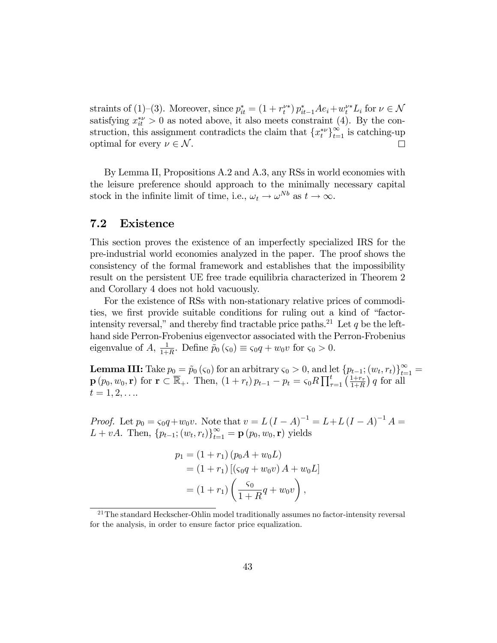straints of (1)–(3). Moreover, since  $p_{it}^* = (1 + r_t^{\nu *}) p_{it-1}^* A e_i + w_t^{\nu *} L_i$  for  $\nu \in \mathcal{N}$ satisfying  $x_{it}^{*\nu} > 0$  as noted above, it also meets constraint (4). By the construction, this assignment contradicts the claim that  $\{x_t^{*\nu}\}_{t=1}^{\infty}$  is catching-up optimal for every  $\nu \in \mathcal{N}$ .  $\Box$ 

By Lemma II, Propositions A.2 and A.3, any RSs in world economies with the leisure preference should approach to the minimally necessary capital stock in the infinite limit of time, i.e.,  $\omega_t \to \omega^{Nb}$  as  $t \to \infty$ .

#### $7.2$ Existence

This section proves the existence of an imperfectly specialized IRS for the pre-industrial world economies analyzed in the paper. The proof shows the consistency of the formal framework and establishes that the impossibility result on the persistent UE free trade equilibria characterized in Theorem 2 and Corollary 4 does not hold vacuously.

For the existence of RSs with non-stationary relative prices of commodities, we first provide suitable conditions for ruling out a kind of "factorintensity reversal," and thereby find tractable price paths.<sup>21</sup> Let q be the lefthand side Perron-Frobenius eigenvector associated with the Perron-Frobenius eigenvalue of A,  $\frac{1}{1+R}$ . Define  $\tilde{p}_0(\varsigma_0) \equiv \varsigma_0 q + w_0 v$  for  $\varsigma_0 > 0$ .

**Lemma III:** Take  $p_0 = \tilde{p}_0(\varsigma_0)$  for an arbitrary  $\varsigma_0 > 0$ , and let  $\{p_{t-1}; (w_t, r_t)\}_{t=1}^{\infty}$  $\mathbf{p}(p_0, w_0, \mathbf{r})$  for  $\mathbf{r} \subset \overline{\mathbb{R}}_+$ . Then,  $(1 + r_t)p_{t-1} - p_t = \varsigma_0 R \prod_{\tau=1}^t \left(\frac{1+r_{\tau}}{1+R}\right) q$  for all  $t = 1, 2, \ldots$ 

*Proof.* Let  $p_0 = \varsigma_0 q + w_0 v$ . Note that  $v = L (I - A)^{-1} = L + L (I - A)^{-1} A =$  $L + vA$ . Then,  $\{p_{t-1}; (w_t, r_t)\}_{t=1}^{\infty} = \mathbf{p}(p_0, w_0, \mathbf{r})$  yields

$$
p_1 = (1 + r_1) (p_0 A + w_0 L)
$$
  
= (1 + r\_1) [(s\_0 q + w\_0 v) A + w\_0 L]  
= (1 + r\_1) \left( \frac{s\_0}{1 + R} q + w\_0 v \right),

 $21$ The standard Heckscher-Ohlin model traditionally assumes no factor-intensity reversal for the analysis, in order to ensure factor price equalization.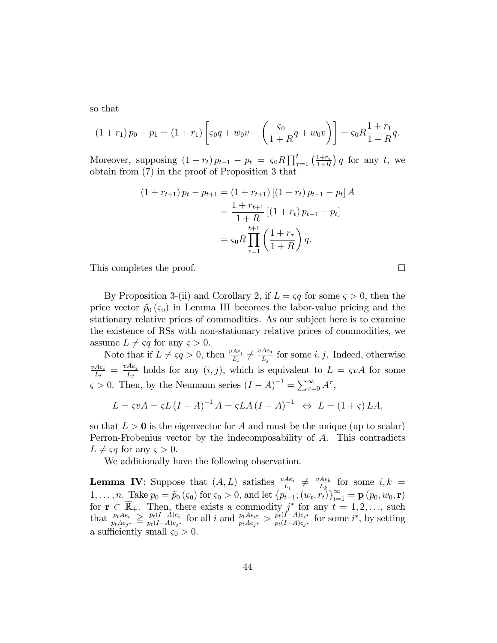so that

$$
(1+r_1) p_0 - p_1 = (1+r_1) \left[ \varsigma_0 q + w_0 v - \left( \frac{\varsigma_0}{1+R} q + w_0 v \right) \right] = \varsigma_0 R \frac{1+r_1}{1+R} q.
$$

Moreover, supposing  $(1 + r_t) p_{t-1} - p_t = \varsigma_0 R \prod_{\tau=1}^t \left( \frac{1 + r_{\tau}}{1 + R} \right)$  $\frac{1+r_{\tau}}{1+R}$  q for any t, we obtain from (7) in the proof of Proposition 3 that

$$
(1 + r_{t+1}) p_t - p_{t+1} = (1 + r_{t+1}) [(1 + r_t) p_{t-1} - p_t] A
$$
  
= 
$$
\frac{1 + r_{t+1}}{1 + R} [(1 + r_t) p_{t-1} - p_t]
$$
  
= 
$$
\varsigma_0 R \prod_{\tau=1}^{t+1} \left( \frac{1 + r_\tau}{1 + R} \right) q.
$$

This completes the proof.

By Proposition 3-(ii) and Corollary 2, if  $L = \varsigma q$  for some  $\varsigma > 0$ , then the price vector  $\tilde{p}_0(\varsigma_0)$  in Lemma III becomes the labor-value pricing and the stationary relative prices of commodities. As our subject here is to examine the existence of RSs with non-stationary relative prices of commodities, we assume  $L \neq \varsigma q$  for any  $\varsigma > 0$ .

Note that if  $L \neq \varsigma q > 0$ , then  $\frac{vAe_i}{L_i} \neq \frac{vAe_j}{L_j}$  $\frac{Ae_j}{L_j}$  for some *i*, *j*. Indeed, otherwise  $\underline{vAe_i}$  $\frac{Ae_i}{L_i} = \frac{vAe_j}{L_j}$  $\frac{Ae_j}{L_j}$  holds for any  $(i, j)$ , which is equivalent to  $L = \varsigma v A$  for some  $\varsigma > 0$ . Then, by the Neumann series  $(I - A)^{-1} = \sum_{\tau=0}^{\infty} A^{\tau}$ ,

$$
L = \varsigma v A = \varsigma L (I - A)^{-1} A = \varsigma L A (I - A)^{-1} \Leftrightarrow L = (1 + \varsigma) LA,
$$

so that  $L > 0$  is the eigenvector for A and must be the unique (up to scalar) Perron-Frobenius vector by the indecomposability of A. This contradicts  $L \neq \varsigma q$  for any  $\varsigma > 0$ .

We additionally have the following observation.

**Lemma IV:** Suppose that  $(A, L)$  satisfies  $\frac{vAe_i}{L_i} \neq \frac{vAe_k}{L_k}$  $\frac{Ae_k}{L_k}$  for some  $i, k =$  $1, \ldots, n.$  Take  $p_0 = \tilde{p}_0(\varsigma_0)$  for  $\varsigma_0 > 0$ , and let  $\{p_{t-1}; (w_t, r_t)\}_{t=1}^{\infty} = \mathbf{p}(p_0, w_0, \mathbf{r})$ for  $\mathbf{r} \subset \mathbb{R}_+$ . Then, there exists a commodity  $j^*$  for any  $t = 1, 2, \ldots$ , such that  $\frac{p_t A e_i}{p_t A e_{j^*}} \geq \frac{p_t (I - A) e_i}{p_t (I - A) e_{j^*}}$  $\frac{p_t(I-A)e_i}{p_t(I-A)e_{j^*}}$  for all i and  $\frac{p_tAe_{i^*}}{p_tAe_{j^*}} > \frac{p_t(I-A)e_{i^*}}{p_t(I-A)e_{j^*}}$  $\frac{p_t(1-A)e_{i^*}}{p_t(1-A)e_{j^*}}$  for some  $i^*$ , by setting a sufficiently small  $\varsigma_0 > 0$ .

 $\Box$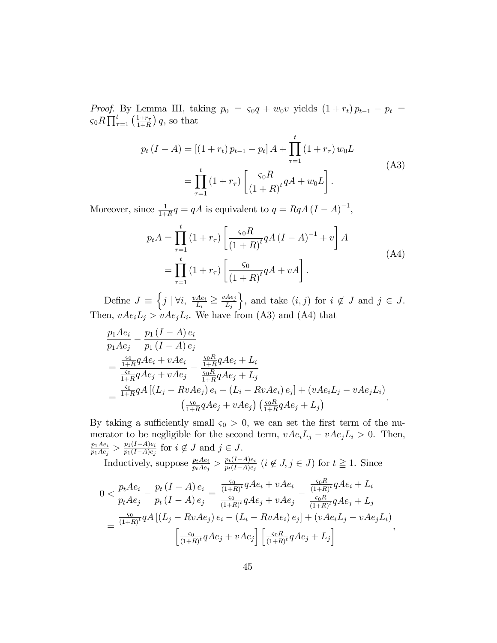*Proof.* By Lemma III, taking  $p_0 = s_0 q + w_0 v$  yields  $(1 + r_t) p_{t-1} - p_t =$  $\varsigma_0 R \prod_{\tau=1}^t \left( \frac{1+r_\tau}{1+R} \right)$  $\frac{1+r_{\tau}}{1+R}$  q, so that

$$
p_t (I - A) = [(1 + r_t) p_{t-1} - p_t] A + \prod_{\tau=1}^t (1 + r_\tau) w_0 L
$$
  
= 
$$
\prod_{\tau=1}^t (1 + r_\tau) \left[ \frac{\varsigma_0 R}{(1 + R)^t} q A + w_0 L \right].
$$
 (A3)

Moreover, since  $\frac{1}{1+R}q = qA$  is equivalent to  $q = RqA (I - A)^{-1}$ ,

$$
p_t A = \prod_{\tau=1}^t (1 + r_\tau) \left[ \frac{\varsigma_0 R}{(1 + R)^t} q A (I - A)^{-1} + v \right] A
$$
  
= 
$$
\prod_{\tau=1}^t (1 + r_\tau) \left[ \frac{\varsigma_0}{(1 + R)^t} q A + v A \right].
$$
 (A4)

Define  $J \equiv \left\{ j \mid \forall i, \frac{vAe_i}{L_i} \geq \frac{vAe_j}{L_j} \right\}$  $L_j$ }, and take  $(i, j)$  for  $i \notin J$  and  $j \in J$ . Then,  $vAe_iL_j > vAe_jL_i$ . We have from (A3) and (A4) that

$$
\frac{p_1 A e_i}{p_1 A e_j} - \frac{p_1 (I - A) e_i}{p_1 (I - A) e_j} \n= \frac{\frac{S_0}{1 + R} q A e_i + v A e_i}{\frac{S_0}{1 + R} q A e_j + v A e_j} - \frac{\frac{S_0 R}{1 + R} q A e_i + L_i}{\frac{S_0 R}{1 + R} q A e_j + L_j} \n= \frac{\frac{S_0}{1 + R} q A [(L_j - R v A e_j) e_i - (L_i - R v A e_i) e_j] + (v A e_i L_j - v A e_j L_i)}{(\frac{S_0}{1 + R} q A e_j + v A e_j) (\frac{S_0 R}{1 + R} q A e_j + L_j)}.
$$

By taking a sufficiently small  $\varsigma_0 > 0$ , we can set the first term of the numerator to be negligible for the second term,  $vAe_iL_j - vAe_jL_i > 0$ . Then,  $p_1Ae_i$  $\frac{p_1Ae_i}{p_1Ae_j} > \frac{p_1(I-A)e_i}{p_1(I-A)e_j}$  $\frac{p_1(1-A)e_i}{p_1(1-A)e_j}$  for  $i \notin J$  and  $j \in J$ .

Inductively, suppose  $\frac{p_t A e_i}{p_t A e_j} > \frac{p_t (I - A) e_i}{p_t (I - A) e_j}$  $\frac{p_t(1-A)e_i}{p_t(1-A)e_j}$   $(i \notin J, j \in J)$  for  $t \ge 1$ . Since

$$
0 < \frac{p_t A e_i}{p_t A e_j} - \frac{p_t (I - A) e_i}{p_t (I - A) e_j} = \frac{\frac{S_0}{(1 + R)^t} q A e_i + v A e_i}{\frac{S_0}{(1 + R)^t} q A e_j + v A e_j} - \frac{\frac{S_0 R}{(1 + R)^t} q A e_i + L_i}{\frac{S_0 R}{(1 + R)^t} q A e_j + L_j}
$$
\n
$$
= \frac{\frac{S_0}{(1 + R)^t} q A \left[ (L_j - R v A e_j) e_i - (L_i - R v A e_i) e_j \right] + (v A e_i L_j - v A e_j L_i)}{\left[ \frac{S_0}{(1 + R)^t} q A e_j + v A e_j \right] \left[ \frac{S_0 R}{(1 + R)^t} q A e_j + L_j \right]},
$$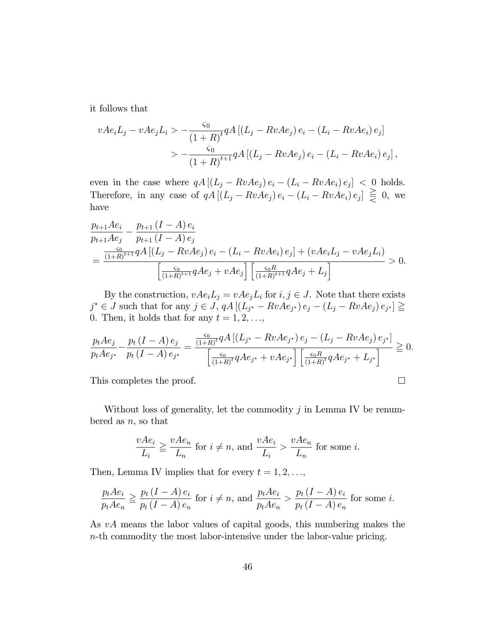it follows that

$$
vAe_iL_j - vAe_jL_i > -\frac{\varsigma_0}{(1+R)^t} qA [(L_j - RvAe_j) e_i - (L_i - RvAe_i) e_j]
$$
  
> 
$$
-\frac{\varsigma_0}{(1+R)^{t+1}} qA [(L_j - RvAe_j) e_i - (L_i - RvAe_i) e_j],
$$

even in the case where  $qA [(L_j - RvAe_j) e_i - (L_i - RvAe_i) e_j] < 0$  holds. Therefore, in any case of  $qA [(L_j - RvAe_j) e_i - (L_i - RvAe_i) e_j] \equiv 0$ , we have

$$
\frac{p_{t+1}Ae_i}{p_{t+1}Ae_j} - \frac{p_{t+1} (I - A) e_i}{p_{t+1} (I - A) e_j} \n= \frac{\frac{S_0}{(1+R)^{t+1}} q A \left[ (L_j - RvAe_j) e_i - (L_i - RvAe_i) e_j \right] + (vAe_iL_j - vAe_jL_i)}{\left[ \frac{S_0}{(1+R)^{t+1}} qAe_j + vAe_j \right] \left[ \frac{S_0R}{(1+R)^{t+1}} qAe_j + L_j \right]} > 0.
$$

By the construction,  $vAe_iL_j = vAe_jL_i$  for  $i, j \in J$ . Note that there exists  $j^* \in J$  such that for any  $j \in J$ ,  $qA \left[ (L_{j^*} - RvAe_{j^*}) e_j - (L_j - RvAe_j) e_{j^*} \right] \ge$ 0. Then, it holds that for any  $t = 1, 2, \ldots,$ 

$$
\frac{p_t A e_j}{p_t A e_{j^*}} - \frac{p_t (I - A) e_j}{p_t (I - A) e_{j^*}} = \frac{\frac{c_0}{(1 + R)^t} q A \left[ (L_{j^*} - R v A e_{j^*}) e_j - (L_j - R v A e_j) e_{j^*} \right]}{\left[ \frac{c_0}{(1 + R)^t} q A e_{j^*} + v A e_{j^*} \right] \left[ \frac{c_0 R}{(1 + R)^t} q A e_{j^*} + L_{j^*} \right]} \ge 0.
$$
\nThis completes the proof.

This completes the proof.

Without loss of generality, let the commodity  $j$  in Lemma IV be renumbered as  $n$ , so that

$$
\frac{vAe_i}{L_i} \ge \frac{vAe_n}{L_n}
$$
 for  $i \ne n$ , and  $\frac{vAe_i}{L_i} > \frac{vAe_n}{L_n}$  for some i.

Then, Lemma IV implies that for every  $t = 1, 2, \ldots$ ,

$$
\frac{p_t Ae_i}{p_t Ae_n} \ge \frac{p_t (I - A) e_i}{p_t (I - A) e_n}
$$
 for  $i \ne n$ , and  $\frac{p_t Ae_i}{p_t Ae_n} > \frac{p_t (I - A) e_i}{p_t (I - A) e_n}$  for some *i*.

As vA means the labor values of capital goods, this numbering makes the n-th commodity the most labor-intensive under the labor-value pricing.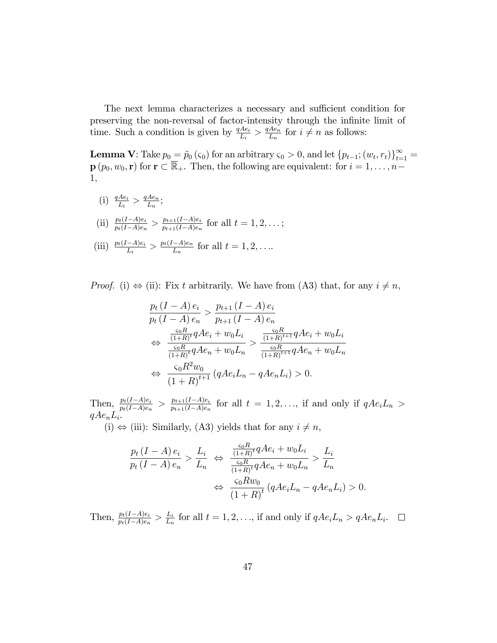The next lemma characterizes a necessary and sufficient condition for preserving the non-reversal of factor-intensity through the infinite limit of time. Such a condition is given by  $\frac{qAe_i}{L_i} > \frac{qAe_n}{L_n}$  $\frac{Ae_n}{L_n}$  for  $i \neq n$  as follows:

**Lemma V**: Take  $p_0 = \tilde{p}_0(\varsigma_0)$  for an arbitrary  $\varsigma_0 > 0$ , and let  $\{p_{t-1}; (w_t, r_t)\}_{t=1}^{\infty}$  $\mathbf{p}$   $(p_0, w_0, \mathbf{r})$  for  $\mathbf{r} \subset \overline{\mathbb{R}}_+$ . Then, the following are equivalent: for  $i = 1, \ldots, n-1$ 1,

- (i)  $\frac{qAe_i}{L_i} > \frac{qAe_n}{L_n}$  $\frac{Ae_n}{L_n};$
- (ii)  $\frac{p_t(I-A)e_i}{p_t(I-A)e_n} > \frac{p_{t+1}(I-A)e_i}{p_{t+1}(I-A)e_n}$  $\frac{p_{t+1}(I-A)e_i}{p_{t+1}(I-A)e_n}$  for all  $t=1,2,\ldots;$
- (iii)  $\frac{p_t(I-A)e_i}{L_i} > \frac{p_t(I-A)e_n}{L_n}$  for all  $t = 1, 2, \ldots$

*Proof.* (i)  $\Leftrightarrow$  (ii): Fix t arbitrarily. We have from (A3) that, for any  $i \neq n$ ,

$$
\frac{p_t (I - A) e_i}{p_t (I - A) e_n} > \frac{p_{t+1} (I - A) e_i}{p_{t+1} (I - A) e_n}
$$
\n
$$
\Leftrightarrow \frac{\frac{S_0 R}{(1+R)^t} q A e_i + w_0 L_i}{\frac{S_0 R}{(1+R)^t} q A e_n + w_0 L_n} > \frac{\frac{S_0 R}{(1+R)^{t+1}} q A e_i + w_0 L_i}{\frac{S_0 R}{(1+R)^{t+1}} q A e_n + w_0 L_n}
$$
\n
$$
\Leftrightarrow \frac{S_0 R^2 w_0}{(1+R)^{t+1}} (q A e_i L_n - q A e_n L_i) > 0.
$$

 $\text{Then, } \frac{p_t(I-A)e_i}{p_t(I-A)e_n} > \frac{p_{t+1}(I-A)e_i}{p_{t+1}(I-A)e_n}$  $\frac{p_{t+1}(I-A)e_i}{p_{t+1}(I-A)e_n}$  for all  $t = 1, 2, \ldots$ , if and only if  $qAe_iL_n >$  $qAe_nL_i.$ 

(i)  $\Leftrightarrow$  (iii): Similarly, (A3) yields that for any  $i \neq n$ ,

$$
\frac{p_t (I - A) e_i}{p_t (I - A) e_n} > \frac{L_i}{L_n} \Leftrightarrow \frac{\frac{\varsigma_0 R}{(1 + R)^t} q A e_i + w_0 L_i}{\frac{\varsigma_0 R}{(1 + R)^t} q A e_n + w_0 L_n} > \frac{L_i}{L_n}
$$

$$
\Leftrightarrow \frac{\varsigma_0 R w_0}{(1 + R)^t} (q A e_i L_n - q A e_n L_i) > 0.
$$

Then,  $\frac{p_t(I-A)e_i}{p_t(I-A)e_n} > \frac{L_i}{L_n}$  $\frac{L_i}{L_n}$  for all  $t = 1, 2, \ldots$ , if and only if  $qAe_iL_n > qAe_nL_i$ .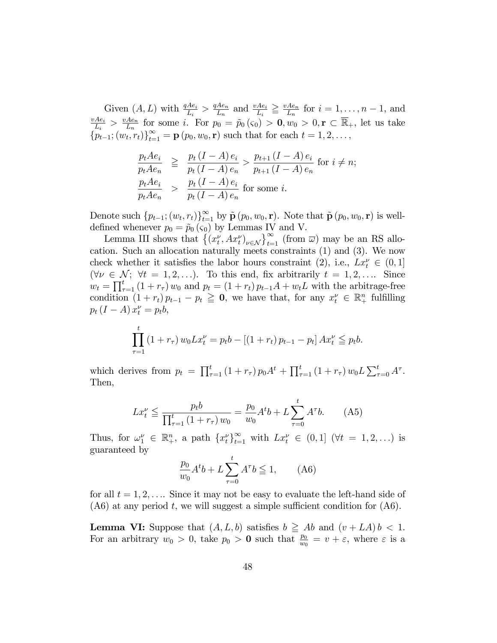Given  $(A, L)$  with  $\frac{qAe_i}{L_i} > \frac{qAe_n}{L_n}$  $\frac{Ae_n}{L_n}$  and  $\frac{vAe_i}{L_i} \geq \frac{vAe_n}{L_n}$ Given  $(A, L)$  with  $\frac{qAe_i}{L_i} > \frac{qAe_n}{L_n}$  and  $\frac{vAe_i}{L_i} \geq \frac{vAe_n}{L_n}$  for  $i = 1, ..., n-1$ , and  $\frac{vAe_i}{L_i} > \frac{vAe_n}{L_n}$  for some i. For  $n_0 = \tilde{n}_0(G) > 0$ ,  $v \in \mathbb{R}$ . Let us take  $\frac{Ae_i}{L_i} > \frac{vAe_n}{L_n}$  $\frac{Ae_n}{L_n}$  for some *i*. For  $p_0 = \tilde{p}_0(\varsigma_0) > \mathbf{0}, w_0 > 0, \mathbf{r} \subset \mathbb{R}_+$ , let us take  ${p_{t-1}}; (w_t, r_t)_{t=1}^{\infty} = \mathbf{p} (p_0, w_0, \mathbf{r})$  such that for each  $t = 1, 2, ...,$ 

$$
\frac{p_t Ae_i}{p_t Ae_n} \ge \frac{p_t (I - A) e_i}{p_t (I - A) e_n} > \frac{p_{t+1} (I - A) e_i}{p_{t+1} (I - A) e_n} \text{ for } i \ne n;
$$
\n
$$
\frac{p_t Ae_i}{p_t Ae_n} > \frac{p_t (I - A) e_i}{p_t (I - A) e_n} \text{ for some } i.
$$

Denote such  $\{p_{t-1}; (w_t, r_t)\}_{t=1}^{\infty}$  by  $\tilde{\mathbf{p}}(p_0, w_0, \mathbf{r})$ . Note that  $\tilde{\mathbf{p}}(p_0, w_0, \mathbf{r})$  is welldefined whenever  $p_0 = \tilde{p}_0 (\varsigma_0)$  by Lemmas IV and V.

Lemma III shows that  $\{(x_t^{\nu}, Ax_t^{\nu})_{\nu \in \mathcal{N}}\}_{t=1}^{\infty}$  (from  $\overline{\omega}$ ) may be an RS allocation. Such an allocation naturally meets constraints (1) and (3). We now check whether it satisfies the labor hours constraint (2), i.e.,  $Lx_t^{\nu} \in (0,1]$  $(\forall \nu \in \mathcal{N}; \ \forall t = 1, 2, \ldots).$  To this end, fix arbitrarily  $t = 1, 2, \ldots$  Since  $w_t = \prod_{\tau=1}^t (1 + r_\tau) w_0$  and  $p_t = (1 + r_t) p_{t-1}A + w_tL$  with the arbitrage-free condition  $(1 + r_t) p_{t-1} - p_t \geq 0$ , we have that, for any  $x_t^{\nu} \in \mathbb{R}_+^n$  fulfilling  $p_t (I - A) x_t^{\nu} = p_t b,$ 

$$
\prod_{\tau=1}^{t} (1+r_{\tau}) w_0 L x_t^{\nu} = p_t b - [(1+r_t) p_{t-1} - p_t] A x_t^{\nu} \leqq p_t b.
$$

which derives from  $p_t = \prod_{\tau=1}^t (1 + r_\tau) p_0 A^t + \prod_{\tau=1}^t (1 + r_\tau) w_0 L \sum_{\tau=0}^t A^{\tau}$ . Then,

$$
Lx_t^{\nu} \le \frac{p_t b}{\prod_{\tau=1}^t (1 + r_\tau) w_0} = \frac{p_0}{w_0} A^t b + L \sum_{\tau=0}^t A^\tau b. \tag{A5}
$$

Thus, for  $\omega_1^{\nu} \in \mathbb{R}_+^n$ , a path  $\{x_t^{\nu}\}_{t=1}^{\infty}$  with  $Lx_t^{\nu} \in (0,1]$   $(\forall t = 1,2,...)$  is guaranteed by

$$
\frac{p_0}{w_0}A^t b + L \sum_{\tau=0}^t A^\tau b \le 1, \qquad (A6)
$$

for all  $t = 1, 2, \ldots$  Since it may not be easy to evaluate the left-hand side of  $(46)$  at any period t, we will suggest a simple sufficient condition for  $(46)$ .

**Lemma VI:** Suppose that  $(A, L, b)$  satisfies  $b \geq Ab$  and  $(v + LA) b < 1$ . For an arbitrary  $w_0 > 0$ , take  $p_0 > 0$  such that  $\frac{p_0}{w_0} = v + \varepsilon$ , where  $\varepsilon$  is a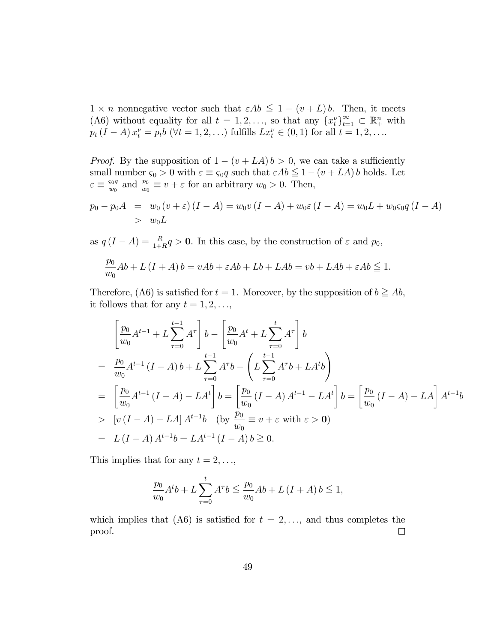$1 \times n$  nonnegative vector such that  $\varepsilon Ab \leq 1 - (v + L)b$ . Then, it meets (A6) without equality for all  $t = 1, 2, \ldots$ , so that any  $\{x_t^{\nu}\}_{t=1}^{\infty} \subset \mathbb{R}^n_+$  with  $p_t (I - A) x_t^{\nu} = p_t b \ (\forall t = 1, 2, ...) \text{ fulfills } L x_t^{\nu} \in (0, 1) \text{ for all } t = 1, 2, ...$ 

*Proof.* By the supposition of  $1 - (v + LA) b > 0$ , we can take a sufficiently small number  $\varsigma_0 > 0$  with  $\varepsilon \equiv \varsigma_0 q$  such that  $\varepsilon Ab \leq 1 - (v + LA) b$  holds. Let  $\varepsilon \equiv \frac{\varsigma_0 q}{w_0}$  $\frac{\varepsilon_0 q}{w_0}$  and  $\frac{p_0}{w_0} \equiv v + \varepsilon$  for an arbitrary  $w_0 > 0$ . Then,

$$
p_0 - p_0 A = w_0 (v + \varepsilon) (I - A) = w_0 v (I - A) + w_0 \varepsilon (I - A) = w_0 L + w_0 \varepsilon_0 q (I - A)
$$
  
>  $w_0 L$ 

as  $q(I - A) = \frac{R}{1+R}q > 0$ . In this case, by the construction of  $\varepsilon$  and  $p_0$ ,

$$
\frac{p_0}{w_0}Ab + L(I + A) b = vAb + \varepsilon Ab + Lb + LAb = vb + LAb + \varepsilon Ab \le 1.
$$

Therefore, (A6) is satisfied for  $t = 1$ . Moreover, by the supposition of  $b \geq Ab$ , it follows that for any  $t = 1, 2, \ldots,$ 

$$
\begin{aligned}\n&\left[\frac{p_0}{w_0}A^{t-1} + L\sum_{\tau=0}^{t-1} A^{\tau}\right]b - \left[\frac{p_0}{w_0}A^t + L\sum_{\tau=0}^t A^{\tau}\right]b \\
&= \frac{p_0}{w_0}A^{t-1}(I-A)b + L\sum_{\tau=0}^{t-1} A^{\tau}b - \left(L\sum_{\tau=0}^{t-1} A^{\tau}b + LA^tb\right) \\
&= \left[\frac{p_0}{w_0}A^{t-1}(I-A) - LA^t\right]b = \left[\frac{p_0}{w_0}(I-A)A^{t-1} - LA^t\right]b = \left[\frac{p_0}{w_0}(I-A) - LA\right]A^{t-1}b \\
&> [v(I-A) - LA]A^{t-1}b \quad \text{(by } \frac{p_0}{w_0} \equiv v + \varepsilon \text{ with } \varepsilon > 0) \\
&= L(I-A)A^{t-1}b = LA^{t-1}(I-A)b \geq 0.\n\end{aligned}
$$

This implies that for any  $t = 2, \ldots,$ 

$$
\frac{p_0}{w_0}A^t b + L \sum_{\tau=0}^t A^\tau b \le \frac{p_0}{w_0}Ab + L (I + A) b \le 1,
$$

which implies that (A6) is satisfied for  $t = 2, \ldots$ , and thus completes the proof.  $\Box$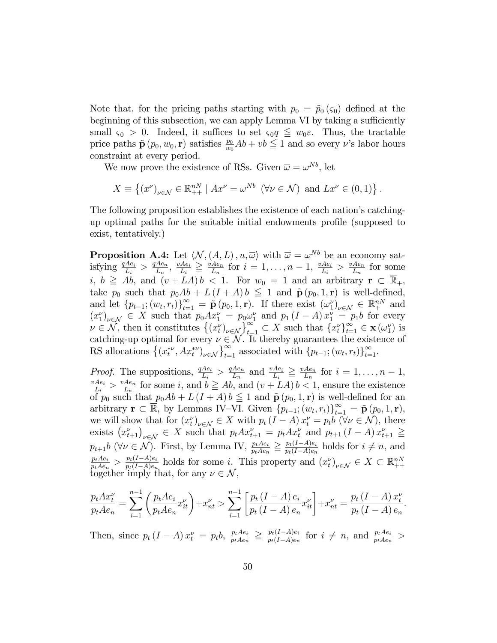Note that, for the pricing paths starting with  $p_0 = \tilde{p}_0(\varsigma_0)$  defined at the beginning of this subsection, we can apply Lemma VI by taking a sufficiently small  $\varsigma_0 > 0$ . Indeed, it suffices to set  $\varsigma_0 q \leq w_0 \varepsilon$ . Thus, the tractable price paths  $\tilde{\mathbf{p}}(p_0, w_0, \mathbf{r})$  satisfies  $\frac{p_0}{w_0}Ab + vb \leq 1$  and so every v's labor hours constraint at every period.

We now prove the existence of RSs. Given  $\overline{\omega} = \omega^{Nb}$ , let

$$
X \equiv \left\{ (x^{\nu})_{\nu \in \mathcal{N}} \in \mathbb{R}_{++}^{nN} \mid Ax^{\nu} = \omega^{Nb} \ (\forall \nu \in \mathcal{N}) \text{ and } Lx^{\nu} \in (0,1) \right\}.
$$

The following proposition establishes the existence of each nation's catchingup optimal paths for the suitable initial endowments profile (supposed to exist, tentatively.)

**Proposition A.4:** Let  $\langle N, (A, L), u, \overline{\omega} \rangle$  with  $\overline{\omega} = \omega^{Nb}$  be an economy satisfying  $\frac{qAe_i}{L_i} > \frac{qAe_n}{L_n}$ ,  $\frac{vAe_i}{L_i} \ge \frac{vAe_n}{L_n}$  for  $i = 1, ..., n-1$ ,  $\frac{vAe_i}{L_i} > \frac{vAe_n}{L_n}$  for some  $i, b \geq Ab$ , and  $(v + LA)b < 1$ . For  $w_0 = 1$  and an arbitrary  $\mathbf{r} \subset \overline{\mathbb{R}}_+$ , take  $p_0$  such that  $p_0Ab + L(I + A)b \leq 1$  and  $\tilde{\mathbf{p}}(p_0, 1, \mathbf{r})$  is well-defined, and let  $\{p_{t-1}; (w_t, r_t)\}_{t=1}^{\infty} = \tilde{\mathbf{p}}(p_0, 1, \mathbf{r})$ . If there exist  $(\omega_1^{\nu})_{\nu \in \mathcal{N}} \in \mathbb{R}^{nN}$  and  $(x_1^{\nu})_{\nu \in \mathcal{N}} \in X$  such that  $p_0 A x_1^{\nu} = p_0 \omega_1^{\nu}$  and  $p_1 (I - A) x_1^{\nu} = p_1 b$  for every  $\nu \in \mathcal{N$ 

*Proof.* The suppositions,  $\frac{qAe_i}{L_i} > \frac{qAe_n}{L_n}$  and  $\frac{vAe_i}{L_i} \geq \frac{vAe_n}{L_n}$  for  $i = 1, ..., n-1$ ,  $\frac{vAe_i}{L_i} > \frac{vAe_n}{L_n}$  for some *i*, and  $b \ge Ab$ , and  $(v + LA) b < 1$ , ensure the existence<br>of  $p_0$  such that  $p_0Ab + L(I + A) b \le 1$  and  $\tilde{\mathbf{p}}(p_0, 1, \mathbf{r})$  is well-defined for an arbitrary  $\mathbf{r} \subset \overline{\mathbb{R}}$ , by Lemmas IV-VI. Given  $\{p_{t-1}; (w_t, r_t)\}_{t=1}^{\infty} = \tilde{\mathbf{p}}(p_0, 1, \mathbf{r}),$ we will show that for  $(x_t^{\nu})_{\nu \in \mathcal{N}} \in X$  with  $p_t (I - A) x_t^{\nu} = p_t b$   $(\forall \nu \in \mathcal{N})$ , there exists  $(x_{t+1}^{\nu})_{\nu \in \mathcal{N}} \in X$  such that  $p_t A x_{t+1}^{\nu} = p_t A x_t^{\nu}$  and  $p_{t+1} (I - A) x_{t+1}^{\nu} \ge$ <br>  $p_{t+1} b \ (\forall \nu \in \mathcal{N})$ . First, by Lemma IV,  $\frac{p_t A e_i}{p_t A e_n} \geq \frac{p_t (I - A) e_i}{p_t (I - A) e_n}$  holds for  $i \neq n$ , and  $\frac{p_t Ae_i}{p_t Ae_n} > \frac{p_t(I-A)e_i}{p_t(I-A)e_n}$  holds for some *i*. This property and  $(x_t^{\nu})_{\nu \in \mathcal{N}} \in X \subset \mathbb{R}^{nN}_{++}$  together imply that, for any  $\nu \in \mathcal{N}$ ,

$$
\frac{p_t A x_t^{\nu}}{p_t A e_n} = \sum_{i=1}^{n-1} \left( \frac{p_t A e_i}{p_t A e_n} x_{it}^{\nu} \right) + x_{nt}^{\nu} > \sum_{i=1}^{n-1} \left[ \frac{p_t (I - A) e_i}{p_t (I - A) e_n} x_{it}^{\nu} \right] + x_{nt}^{\nu} = \frac{p_t (I - A) x_t^{\nu}}{p_t (I - A) e_n}
$$

Then, since  $p_t (I - A) x_t^{\nu} = p_t b$ ,  $\frac{p_t A e_i}{p_t A e_n} \geq \frac{p_t (I - A) e_i}{p_t (I - A) e_n}$  for  $i \neq n$ , and  $\frac{p_t A e_i}{p_t A e_n}$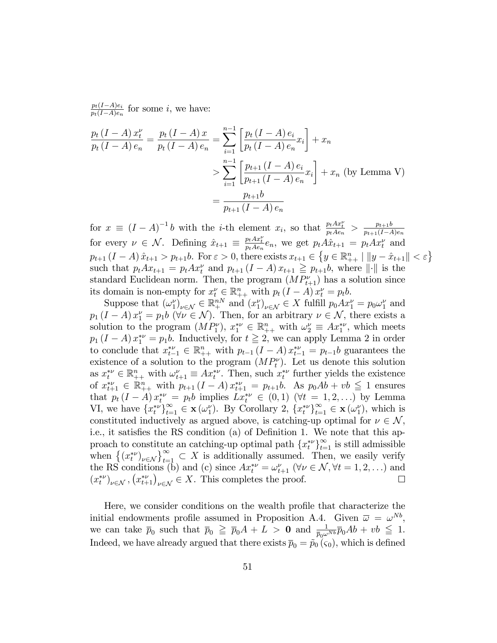$p_t(I-A)e_i$  $\frac{p_t(1-A)e_i}{p_t(1-A)e_n}$  for some *i*, we have:

$$
\frac{p_t (I - A) x_t^{\nu}}{p_t (I - A) e_n} = \frac{p_t (I - A) x}{p_t (I - A) e_n} = \sum_{i=1}^{n-1} \left[ \frac{p_t (I - A) e_i}{p_t (I - A) e_n} x_i \right] + x_n
$$
  
> 
$$
\sum_{i=1}^{n-1} \left[ \frac{p_{t+1} (I - A) e_i}{p_{t+1} (I - A) e_n} x_i \right] + x_n \text{ (by Lemma V)}
$$
  
= 
$$
\frac{p_{t+1} b}{p_{t+1} (I - A) e_n}
$$

for  $x \equiv (I - A)^{-1}b$  with the *i*-th element  $x_i$ , so that  $\frac{p_t Ax_t^{\nu}}{p_t Ae_n} > \frac{p_{t+1}b}{p_{t+1}(I-A)}$  $p_{t+1}(I-A)e_n$ for every  $\nu \in \mathcal{N}$ . Defining  $\hat{x}_{t+1} \equiv \frac{p_t A x_t^{\nu}}{p_t A e_n} e_n$ , we get  $p_t A \hat{x}_{t+1} = p_t A x_t^{\nu}$  and  $p_{t+1} (I - A) \hat{x}_{t+1} > p_{t+1} b$ . For  $\varepsilon > 0$ , there exists  $x_{t+1} \in \{y \in \mathbb{R}^n_{++} \mid ||y - \hat{x}_{t+1}|| < \varepsilon\}$ such that  $p_t A x_{t+1} = p_t A x_t^{\nu}$  and  $p_{t+1} (I - A) x_{t+1} \geq p_{t+1} b$ , where  $\|\cdot\|$  is the standard Euclidean norm. Then, the program  $(MP_{t+1}^{\nu})$  has a solution since its domain is non-empty for  $x_t^{\nu} \in \mathbb{R}_{++}^n$  with  $p_t (I - A) x_t^{\nu} = p_t b$ .

Suppose that  $(\omega_1^{\nu})_{\nu \in \mathcal{N}} \in \mathbb{R}^{nN}_{+}$  and  $(x_1^{\nu})_{\nu \in \mathcal{N}} \in X$  fulfill  $p_0 A x_1^{\nu} = p_0 \omega_1^{\nu}$  and  $p_1(I - A) x_1^{\nu} = p_1 b \ (\forall \nu \in \mathcal{N})$ . Then, for an arbitrary  $\nu \in \mathcal{N}$ , there exists a solution to the program  $(MP_1^{\nu})$ ,  $x_1^{*\nu} \in \mathbb{R}_{++}^n$  with  $\omega_2^{\nu} \equiv Ax_1^{*\nu}$ , which meets  $p_1 (I - A) x_1^{*\nu} = p_1 b$ . Inductively, for  $t \ge 2$ , we can apply Lemma 2 in order to conclude that  $x_{t-1}^{*\nu} \in \mathbb{R}_{++}^n$  with  $p_{t-1} (I - A) x_{t-1}^{*\nu} = p_{t-1} b$  guarantees the existence of a solution to the program  $(MP_t^{\nu})$ . Let us denote this solution as  $x_t^{*\nu} \in \mathbb{R}_{++}^n$  with  $\omega_{t+1}^{\nu} \equiv Ax_t^{*\nu}$ . Then, such  $x_t^{*\nu}$  further yields the existence of  $x_{t+1}^{*\nu} \in \mathbb{R}_{++}^n$  with  $p_{t+1} (I - A) x_{t+1}^{*\nu} = p_{t+1} b$ . As  $p_0 Ab + vb \leq 1$  ensures that  $p_t (I - A) x_t^{*\nu} = p_t b$  implies  $L x_t^{*\nu} \in (0, 1)$  ( $\forall t = 1, 2, \ldots$ ) by Lemma VI, we have  $\{x_t^{*\nu}\}_{t=1}^{\infty} \in \mathbf{x}(\omega_1^{\nu})$ . By Corollary 2,  $\{x_t^{*\nu}\}_{t=1}^{\infty} \in \mathbf{x}(\omega_1^{\nu})$ , which is constituted inductively as argued above, is catching-up optimal for  $\nu \in \mathcal{N}$ , i.e., it satisfies the RS condition (a) of Definition 1. We note that this approach to constitute an catching-up optimal path  $\{x_t^*\}_{t=1}^\infty$  is still admissible when  $\{(x_i^{\ast \nu})_{\nu \in \mathcal{N}}\}_{i=1}^{\infty} \subset X$  is additionally assumed. Then, we easily verify the RS conditions (b) and (c) since  $Ax_t^{*\nu} = \omega_{t+1}^{\nu}$  ( $\forall \nu \in \mathcal{N}, \forall t = 1, 2, ...$ ) and  $(x_t^{*\nu})_{\nu \in \mathcal{N}}, (x_{t+1}^{*\nu})_{\nu \in \mathcal{N}} \in X$ . This completes the proof.

Here, we consider conditions on the wealth profile that characterize the initial endowments profile assumed in Proposition A.4. Given  $\bar{\omega} = \omega^{Nb}$ , we can take  $\bar{p}_0$  such that  $\bar{p}_0 \geqq \bar{p}_0 A + L > 0$  and  $\frac{1}{\bar{p}_0 \omega^{Nb}} \bar{p}_0 Ab + vb \leqq 1$ . Indeed, we have already argued that there exists  $\bar{p}_0 = \tilde{p}_0 (\varsigma_0)$ , which is defined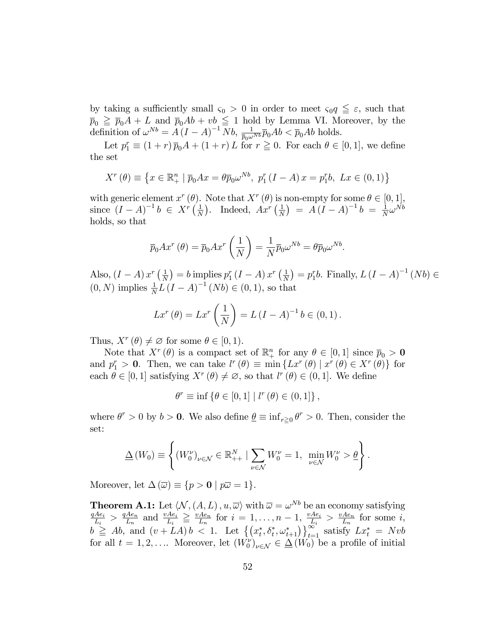by taking a sufficiently small  $\varsigma_0 > 0$  in order to meet  $\varsigma_0 q \leq \varepsilon$ , such that  $\overline{p}_0 \geqq \overline{p}_0A + L$  and  $\overline{p}_0Ab + vb \leqq 1$  hold by Lemma VI. Moreover, by the definition of  $\omega^{Nb} = A(I - A)^{-1} Nb$ ,  $\frac{1}{\bar{p}_0 \omega^{Nb}} \bar{p}_0 Ab < \bar{p}_0 Ab$  holds.

Let  $p_1^r \equiv (1+r)\,\overline{p}_0A + (1+r)\,L$  for  $r \ge 0$ . For each  $\theta \in [0,1]$ , we define the set

$$
X^{r}(\theta) \equiv \{ x \in \mathbb{R}_{+}^{n} \mid \overline{p}_{0}Ax = \theta \overline{p}_{0}\omega^{Nb}, \ p_{1}^{r}(I - A)x = p_{1}^{r}b, \ Lx \in (0, 1) \}
$$

with generic element  $x^r(\theta)$ . Note that  $X^r(\theta)$  is non-empty for some  $\theta \in [0,1]$ , since  $(I - A)^{-1} b \in X^r \left( \frac{1}{N} \right)$  $\frac{1}{N}$ ). Indeed,  $Ax^{r}$   $\left(\frac{1}{N}\right)$  $\frac{1}{N}$ ) =  $A(I - A)^{-1}b = \frac{1}{N}$  $\frac{1}{N} \omega^{Nb}$ holds, so that

$$
\overline{p}_0 A x^r \left( \theta \right) = \overline{p}_0 A x^r \left( \frac{1}{N} \right) = \frac{1}{N} \overline{p}_0 \omega^{Nb} = \theta \overline{p}_0 \omega^{Nb}.
$$

Also,  $(I - A) x^r \left(\frac{1}{N}\right)$  $\frac{1}{N}$ ) = b implies  $p_1^r(I - A) x^r \left(\frac{1}{N}\right)$  $\frac{1}{N}$  =  $p_1^r b$ . Finally,  $L (I - A)^{-1} (Nb) \in$  $(0, N)$  implies  $\frac{1}{N}L (I - A)^{-1} (Nb) \in (0, 1)$ , so that

$$
Lx^{r}(\theta) = Lx^{r}(\frac{1}{N}) = L(I - A)^{-1}b \in (0, 1).
$$

Thus,  $X^r(\theta) \neq \emptyset$  for some  $\theta \in [0, 1)$ .

Note that  $X^r(\theta)$  is a compact set of  $\mathbb{R}^n_+$  for any  $\theta \in [0,1]$  since  $\overline{p}_0 > 0$ and  $p_1^r > 0$ . Then, we can take  $l^r(\theta) \equiv \min \{ Lx^r(\theta) \mid x^r(\theta) \in X^r(\theta) \}$  for each  $\theta \in [0, 1]$  satisfying  $X^r(\theta) \neq \emptyset$ , so that  $l^r(\theta) \in (0, 1]$ . We define

$$
\theta^r \equiv \inf \{ \theta \in [0, 1] \mid l^r (\theta) \in (0, 1] \},
$$

where  $\theta^r > 0$  by  $b > 0$ . We also define  $\underline{\theta} \equiv \inf_{r \geq 0} \theta^r > 0$ . Then, consider the set:

$$
\underline{\Delta}(W_0) \equiv \left\{ (W_0^{\nu})_{\nu \in \mathcal{N}} \in \mathbb{R}_{++}^N \mid \sum_{\nu \in \mathcal{N}} W_0^{\nu} = 1, \ \min_{\nu \in \mathcal{N}} W_0^{\nu} > \underline{\theta} \right\}.
$$

Moreover, let  $\Delta(\overline{\omega}) \equiv \{p > 0 \mid p\overline{\omega} = 1\}.$ 

**Theorem A.1:** Let  $\langle N, (A, L), u, \overline{\omega} \rangle$  with  $\overline{\omega} = \omega^{Nb}$  be an economy satisfying  $qAe_i$  $\frac{Ae_i}{L_i} > \frac{qAe_n}{L_n}$  $\frac{Ae_n}{L_n}$  and  $\frac{vAe_i}{L_i} \geq \frac{vAe_n}{L_n}$  $\frac{Ae_n}{L_n}$  for  $i = 1, \ldots, n-1, \frac{vAe_i}{L_i}$  $\frac{Ae_i}{L_i} > \frac{vAe_n}{L_n}$  $\frac{Ae_n}{L_n}$  for some *i*,  $b \geq Ab$ , and  $(v + LA) b < 1$ . Let  $\{(x_t^*, \delta_t^*, \omega_{t+1}^*)\}_{t=1}^{\infty}$  satisfy  $Lx_t^* = Nvb$ for all  $t = 1, 2, \ldots$  Moreover, let  $(W_0^{\nu})_{\nu \in \mathcal{N}} \in \underline{\Delta(W_0)}$  be a profile of initial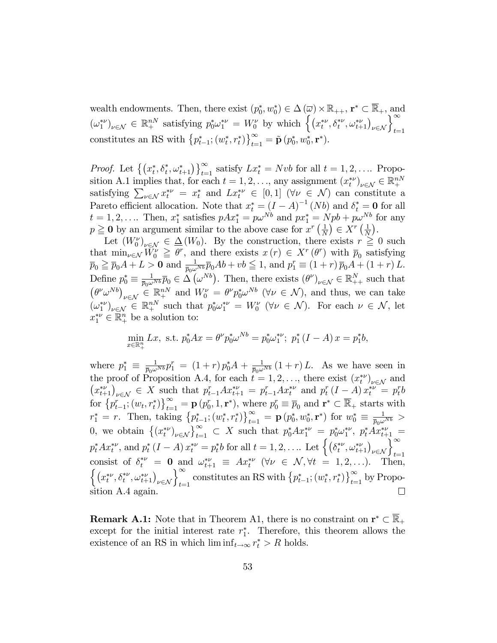wealth endowments. Then, there exist  $(p_0^*, w_0^*) \in \Delta(\overline{\omega}) \times \mathbb{R}_{++}$ ,  $\mathbf{r}^* \subset \mathbb{R}_+$ , and  $(\omega_1^{*\nu})_{\nu\in\mathcal{N}}\in\mathbb{R}^{nN}_+$  satisfying  $p_0^*\omega_1^{*\nu}=W_0^{\nu}$  by which  $\left\{\left(x_t^{*\nu},\delta_t^{*\nu},\omega_{t+1}^{*\nu}\right)_{\nu\in\mathcal{N}}\right\}_{t=1}^{\infty}$ constitutes an RS with  $\{p_{t-1}^*; (w_t^*, r_t^*)\}_{t=1}^{\infty} = \tilde{\mathbf{p}}(p_0^*, w_0^*, \mathbf{r}^*)$ .

*Proof.* Let  $\{(x_t^*, \delta_t^*, \omega_{t+1}^*)\}_{t=1}^{\infty}$  satisfy  $Lx_t^* = Nvb$  for all  $t = 1, 2, \ldots$  Proposition A.1 implies that, for each  $t = 1, 2, \ldots$ , any assignment  $(x_t^{*\nu})_{\nu \in \mathcal{N}} \in \mathbb{R}^{nN}$ satisfying  $\sum_{\nu \in \mathcal{N}} x_t^{*\nu} = x_t^*$  and  $Lx_t^{*\nu} \in [0,1]$   $(\forall \nu \in \mathcal{N})$  can constitute a Pareto efficient allocation. Note that  $x_t^* = (I - A)^{-1} (Nb)$  and  $\delta_t^* = \mathbf{0}$  for all  $t = 1, 2, \ldots$  Then,  $x_1^*$  satisfies  $pAx_1^* = p\omega^{Nb}$  and  $px_1^* = Npb + p\omega^{Nb}$  for any  $p \geq 0$  by an argument similar to the above case for  $x^r \left(\frac{1}{N}\right)$  $\frac{1}{N}$  $\Big) \in X^r \left( \frac{1}{N} \right)$  $\frac{1}{N}$ .

Let  $(W_0^{\nu})_{\nu \in \mathcal{N}} \in \underline{\Delta}(W_0)$ . By the construction, there exists  $r \geq 0$  such that  $\min_{\nu \in \mathcal{N}} W_0^{\nu} \geq \theta^r$ , and there exists  $x(r) \in X^r(\theta^r)$  with  $\overline{p}_0$  satisfying  $\overline{p}_0 \geqq \overline{p}_0 A + L > 0$  and  $\frac{1}{\overline{p}_0 \omega^{Nb}} \overline{p}_0 Ab + vb \leqq 1$ , and  $p_1^r \equiv (1+r) \overline{p}_0 A + (1+r) L$ . Define  $p_0^* \equiv \frac{1}{\bar{p}_0 \omega^{Nb}} \bar{p}_0 \in \widetilde{\Delta}(\omega^{Nb})$ . Then, there exists  $(\theta^{\nu})_{\nu \in \mathcal{N}} \in \mathbb{R}^N_{++}$  such that  $(\theta^{\nu} \omega^{Nb})_{\nu \in \mathcal{N}} \in \mathbb{R}^{nN}_{+}$  and  $W_0^{\nu} = \theta^{\nu} p_0^* \omega^{Nb}$  ( $\nu \in \mathcal{N}$ ), and thus, we can take  $(\omega_1^{*\nu})_{\nu \in \mathcal{N}} \in \mathbb{R}^{nN}_+$  such that  $p_0^*\omega_1^{*\nu} = W_0^{\nu}$  ( $\forall \nu \in \mathcal{N}$ ). For each  $\nu \in \mathcal{N}$ , let  $x_1^{*\nu} \in \mathbb{R}_+^n$  be a solution to:

$$
\min_{x \in \mathbb{R}^n_+} Lx, \text{ s.t. } p_0^* A x = \theta^{\nu} p_0^* \omega^{Nb} = p_0^* \omega_1^{*\nu}; \ p_1^* (I - A) x = p_1^* b,
$$

where  $p_1^* \equiv \frac{1}{\bar{p}_0 \omega^{Nb}} p_1^r = (1+r) p_0^* A + \frac{1}{\bar{p}_0 \omega^{Nb}} (1+r) L$ . As we have seen in the proof of Proposition A.4, for each  $t = 1, 2, \ldots$ , there exist  $(x_t^{*\nu})_{\nu \in \mathcal{N}}$  and  $(x_{t+1}^{*\nu})_{\nu \in \mathcal{N}} \in X$  such that  $p_{t-1}^r A x_{t+1}^{*\nu} = p_{t-1}^r A x_t^{*\nu}$  and  $p_t^r (I - A) x_t^{*\nu} = p_t^r b$ for  $\{p_{t-1}^r; (w_t, r_t^*)\}_{t=1}^{\infty} = \mathbf{p} (p_0^r, 1, \mathbf{r}^*)$ , where  $p_0^r \equiv \overline{p}_0$  and  $\mathbf{r}^* \subset \overline{\mathbb{R}}_+$  starts with  $r_1^* = r$ . Then, taking  $\{p_{t-1}^*; (w_t^*, r_t^*)\}_{t=1}^{\infty} = \mathbf{p} (p_0^*, w_0^*, \mathbf{r}^*)$  for  $w_0^* \equiv \frac{1}{\bar{p}_0 \omega^{Nb}} >$ 0, we obtain  $\{(x_t^{*\nu})_{\nu \in \mathcal{N}}\}_{t=1}^{\infty} \subset X$  such that  $p_0^* A x_1^{*\nu} = p_0^* \omega_1^{*\nu}$ ,  $p_t^* A x_{t+1}^{*\nu} =$  $p_t^* Ax_t^{*\nu}$ , and  $p_t^* (I - A) x_t^{*\nu} = p_t^* b$  for all  $t = 1, 2, \ldots$  Let  $\left\{ \left( \delta_t^{*\nu}, \omega_{t+1}^{*\nu} \right)_{\nu \in \mathcal{N}} \right\}_{t=1}^{\infty}$ <br>consist of  $\delta_t^{*\nu} = \mathbf{0}$  and  $\omega_{t+1}^{*\nu} \equiv Ax_t^{*\nu}$  ( $\forall \nu \in \mathcal{N}, \forall t = 1, 2, \ldots$ ). Then,  $\left\{\left(x_t^{*\nu},\delta_t^{*\nu},\omega_{t+1}^{*\nu}\right)_{\nu\in\mathcal{N}}\right\}_{t=1}^{\infty}$  constitutes an RS with  $\left\{p_{t-1}^*; (w_t^*,r_t^*)\right\}_{t=1}^{\infty}$  by Proposition A.4 again.  $\Box$ 

**Remark A.1:** Note that in Theorem A1, there is no constraint on  $\mathbf{r}^* \subset \mathbb{R}_+$ except for the initial interest rate  $r_1^*$ . Therefore, this theorem allows the existence of an RS in which  $\liminf_{t \to \infty} r_t^* > R$  holds.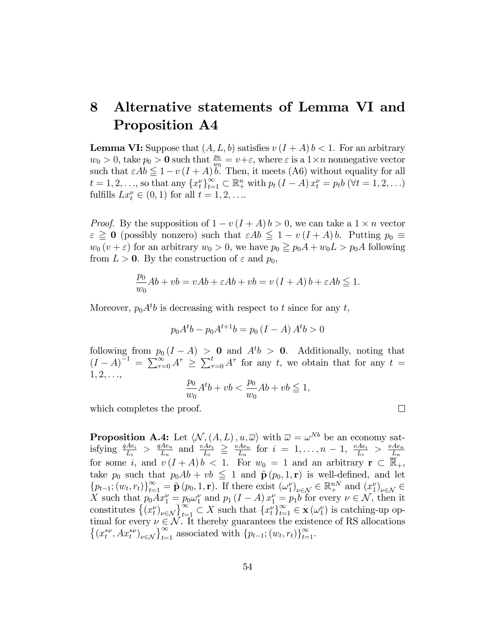# 8 Alternative statements of Lemma VI and Proposition A4

**Lemma VI:** Suppose that  $(A, L, b)$  satisfies  $v(I + A) b < 1$ . For an arbitrary  $w_0 > 0$ , take  $p_0 > 0$  such that  $\frac{p_0}{w_0} = v + \varepsilon$ , where  $\varepsilon$  is a  $1 \times n$  nonnegative vector such that  $\varepsilon Ab \leq 1-v (I + A) b$ . Then, it meets (A6) without equality for all  $t = 1, 2, ...,$  so that any  $\{x_t^{\nu}\}_{t=1}^{\infty} \subset \mathbb{R}_+^n$  with  $p_t (I - A) x_t^{\nu} = p_t b \ (\forall t = 1, 2, ...)$ fulfills  $Lx_t^{\nu} \in (0,1)$  for all  $t = 1, 2, \ldots$ .

*Proof.* By the supposition of  $1 - v(I + A) b > 0$ , we can take a  $1 \times n$  vector  $\varepsilon \geq 0$  (possibly nonzero) such that  $\varepsilon Ab \leq 1 - v (I + A) b$ . Putting  $p_0 \equiv$  $w_0 (v + \varepsilon)$  for an arbitrary  $w_0 > 0$ , we have  $p_0 \geq p_0 A + w_0 L > p_0 A$  following from  $L > 0$ . By the construction of  $\varepsilon$  and  $p_0$ ,

$$
\frac{p_0}{w_0}Ab + vb = vAb + \varepsilon Ab + vb = v(I + A)b + \varepsilon Ab \le 1.
$$

Moreover,  $p_0 A^t b$  is decreasing with respect to t since for any t,

$$
p_0 A^t b - p_0 A^{t+1} b = p_0 (I - A) A^t b > 0
$$

following from  $p_0 (I - A) > 0$  and  $A^t b > 0$ . Additionally, noting that  $(I-A)^{-1} = \sum_{\tau=0}^{\infty} A^{\tau} \geq \sum_{\tau=0}^{t} A^{\tau}$  for any t, we obtain that for any  $t =$  $1, 2, \ldots,$ 

$$
\frac{p_0}{w_0}A^tb+vb<\frac{p_0}{w_0}Ab+vb\leqq 1,
$$

 $\Box$ 

which completes the proof.

**Proposition A.4:** Let  $\langle N, (A, L), u, \overline{\omega} \rangle$  with  $\overline{\omega} = \omega^{Nb}$  be an economy satisfying  $\frac{qAe_i}{L_i} > \frac{qAe_n}{L_n}$  $\frac{Ae_n}{L_n}$  and  $\frac{vAe_i}{L_i} \geq \frac{vAe_n}{L_n}$  $\frac{Ae_n}{L_n}$  for  $i = 1, \ldots, n-1, \frac{vAe_i}{L_i}$  $\frac{Ae_i}{L_i}$  >  $\frac{vAe_n}{L_n}$  $L_n$ for some i, and  $v(I + A) b < 1$ . For  $w_0 = 1$  and an arbitrary  $\mathbf{r} \subset \overline{\mathbb{R}}_+$ , take  $p_0$  such that  $p_0Ab + vb \leq 1$  and  $\tilde{\mathbf{p}}(p_0, 1, \mathbf{r})$  is well-defined, and let  $\{p_{t-1}; (w_t, r_t)\}_{t=1}^{\infty} = \tilde{\mathbf{p}}(p_0, 1, \mathbf{r}).$  If there exist  $(\omega_1^{\nu})_{\nu \in \mathcal{N}} \in \mathbb{R}^{nN}_+$  and  $(x_1^{\nu})_{\nu \in \mathcal{N}} \in$ X such that  $p_0Ax_1^{\nu} = p_0\omega_1^{\nu}$  and  $p_1(I - A)x_1^{\nu} = p_1b$  for every  $\nu \in \mathcal{N}$ , then it constitutes  $\left\{ (x_t^{\nu})_{\nu \in \mathcal{N}} \right\}_{t=1}^{\infty} \subset X$  such that  $\left\{ x_t^{\nu} \right\}_{t=1}^{\infty} \in \mathbf{x} (\omega_1^{\nu})$  is catching-up optimal for every  $\nu \in \mathcal{N}$ . It thereby guarantees the existence of RS allocations  $\{(x_t^{*\nu}, Ax_t^{*\nu})_{\nu \in \mathcal{N}}\}_{t=1}^{\infty}$  associated with  $\{p_{t-1}; (w_t, r_t)\}_{t=1}^{\infty}$ .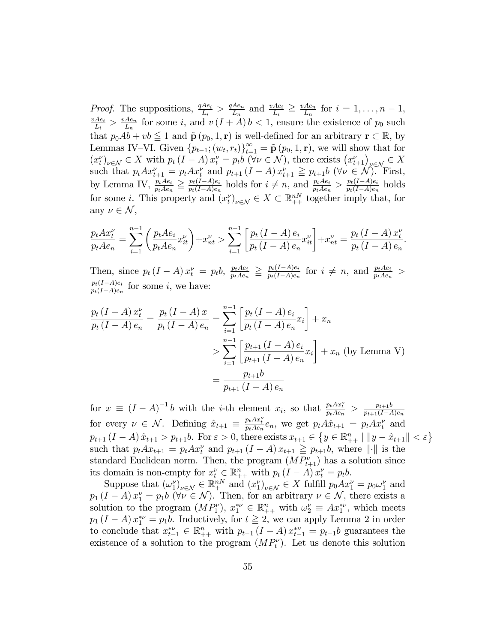*Proof.* The suppositions,  $\frac{qAe_i}{L_i} > \frac{qAe_n}{L_n}$  $\frac{Ae_n}{L_n}$  and  $\frac{vAe_i}{L_i} \geq \frac{vAe_n}{L_n}$ *Proof.* The suppositions,  $\frac{qAe_i}{L_i} > \frac{qAe_n}{L_n}$  and  $\frac{vAe_i}{L_i} \geq \frac{vAe_n}{L_n}$  for  $i = 1, ..., n-1$ ,  $\frac{vAe_i}{L_i} > \frac{vAe_n}{L_n}$  for some *i* and  $v(I + A)h < 1$  ensure the existence of *n*<sub>c</sub> such  $\frac{Ae_i}{L_i} > \frac{vAe_n}{L_n}$  $\frac{Ae_n}{L_n}$  for some *i*, and  $v(I + A) b < 1$ , ensure the existence of  $p_0$  such that  $p_0Ab + vb \leq 1$  and  $\tilde{\mathbf{p}}(p_0, 1, \mathbf{r})$  is well-defined for an arbitrary  $\mathbf{r} \subset \mathbb{R}$ , by Lemmas IV–VI. Given  $\{p_{t-1}; (w_t, r_t)\}_{t=1}^{\infty} = \tilde{\mathbf{p}}(p_0, 1, \mathbf{r})$ , we will show that for  $(x_t^{\nu})_{\nu \in \mathcal{N}} \in X$  with  $p_t (I - A) x_t^{\nu} = p_t b \ (\forall \nu \in \mathcal{N})$ , there exists  $(x_{t+1}^{\nu})_{\nu \in \mathcal{N}} \in X$ such that  $p_t Ax_{t+1}^{\nu} = p_t Ax_t^{\nu}$  and  $p_{t+1} (I - A) x_{t+1}^{\nu} \geq p_{t+1} b \ (\forall \nu \in \mathcal{N})$ . First, by Lemma IV,  $\frac{p_t A e_i}{p_t A e_n} \geq \frac{p_t (I - A) e_i}{p_t (I - A) e_n}$  $\frac{p_t(I-A)e_i}{p_t(I-A)e_n}$  holds for  $i \neq n$ , and  $\frac{p_tAe_i}{p_tAe_n} > \frac{p_t(I-A)e_n}{p_t(I-A)e_n}$  $\frac{p_t(1-A)e_i}{p_t(1-A)e_n}$  holds for some *i*. This property and  $(x_t^{\nu})_{\nu \in \mathcal{N}} \in X \subset \mathbb{R}_{++}^{nN}$  together imply that, for any  $\nu \in \mathcal{N}$ ,

$$
\frac{p_t A x_t^{\nu}}{p_t A e_n} = \sum_{i=1}^{n-1} \left( \frac{p_t A e_i}{p_t A e_n} x_{it}^{\nu} \right) + x_{nt}^{\nu} > \sum_{i=1}^{n-1} \left[ \frac{p_t (I - A) e_i}{p_t (I - A) e_n} x_{it}^{\nu} \right] + x_{nt}^{\nu} = \frac{p_t (I - A) x_t^{\nu}}{p_t (I - A) e_n}.
$$

Then, since  $p_t (I - A) x_t^{\nu} = p_t b$ ,  $\frac{p_t A e_i}{p_t A e_n}$  $\frac{p_t A e_i}{p_t A e_n} \geq \frac{p_t (I - A) e_i}{p_t (I - A) e_n}$  $\frac{p_t(I-A)e_i}{p_t(I-A)e_n}$  for  $i \neq n$ , and  $\frac{p_t Ae_i}{p_t Ae_n}$  $p_t(I-A)e_i$  $\frac{p_t(1-A)e_i}{p_t(1-A)e_n}$  for some *i*, we have:

$$
\frac{p_t (I - A) x_t^{\nu}}{p_t (I - A) e_n} = \frac{p_t (I - A) x}{p_t (I - A) e_n} = \sum_{i=1}^{n-1} \left[ \frac{p_t (I - A) e_i}{p_t (I - A) e_n} x_i \right] + x_n
$$
  
> 
$$
\sum_{i=1}^{n-1} \left[ \frac{p_{t+1} (I - A) e_i}{p_{t+1} (I - A) e_n} x_i \right] + x_n \text{ (by Lemma V)}
$$
  
= 
$$
\frac{p_{t+1} b}{p_{t+1} (I - A) e_n}
$$

for  $x \equiv (I - A)^{-1}b$  with the *i*-th element  $x_i$ , so that  $\frac{p_t Ax_t^{\nu}}{p_t Ae_n} > \frac{p_{t+1}b}{p_{t+1}(I-A)}$  $p_{t+1}(I-A)e_n$ for every  $\nu \in \mathcal{N}$ . Defining  $\hat{x}_{t+1} \equiv \frac{p_t A x_t^{\nu}}{p_t A e_n} e_n$ , we get  $p_t A \hat{x}_{t+1} = p_t A x_t^{\nu}$  and  $p_{t+1} (I - A) \hat{x}_{t+1} > p_{t+1} b$ . For  $\varepsilon > 0$ , there exists  $x_{t+1} \in \{y \in \mathbb{R}^n_{++} \mid ||y - \hat{x}_{t+1}|| < \varepsilon\}$ such that  $p_t A x_{t+1} = p_t A x_t^{\nu}$  and  $p_{t+1} (I - A) x_{t+1} \geq p_{t+1} b$ , where  $\|\cdot\|$  is the standard Euclidean norm. Then, the program  $(MP_{t+1}^{\nu})$  has a solution since its domain is non-empty for  $x_t^{\nu} \in \mathbb{R}_{++}^n$  with  $p_t (I - A) x_t^{\nu} = p_t b$ .

Suppose that  $(\omega_1^{\nu})_{\nu \in \mathcal{N}} \in \mathbb{R}^{nN}_{+}$  and  $(x_1^{\nu})_{\nu \in \mathcal{N}} \in X$  fulfill  $p_0 A x_1^{\nu} = p_0 \omega_1^{\nu}$  and  $p_1(I - A) x_1^{\nu} = p_1 b \ (\forall \nu \in \mathcal{N})$ . Then, for an arbitrary  $\nu \in \mathcal{N}$ , there exists a solution to the program  $(MP_1^{\nu})$ ,  $x_1^{*\nu} \in \mathbb{R}_{++}^n$  with  $\omega_2^{\nu} \equiv Ax_1^{*\nu}$ , which meets  $p_1 (I - A) x_1^{*\nu} = p_1 b$ . Inductively, for  $t \ge 2$ , we can apply Lemma 2 in order to conclude that  $x_{t-1}^{*\nu} \in \mathbb{R}_{++}^n$  with  $p_{t-1} (I - A) x_{t-1}^{*\nu} = p_{t-1} b$  guarantees the existence of a solution to the program  $(MP_t^{\nu})$ . Let us denote this solution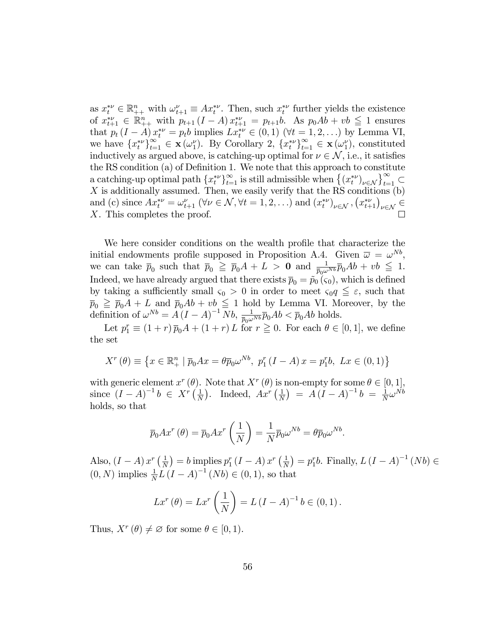as  $x_t^{*\nu} \in \mathbb{R}_{++}^n$  with  $\omega_{t+1}^{\nu} \equiv Ax_t^{*\nu}$ . Then, such  $x_t^{*\nu}$  further yields the existence of  $x_{t+1}^{*\nu} \in \mathbb{R}_{++}^n$  with  $p_{t+1} (I - A) x_{t+1}^{*\nu} = p_{t+1} b$ . As  $p_0 Ab + vb \leq 1$  ensures that  $p_t (I - A) x_t^{*\nu} = p_t b$  implies  $L x_t^{*\nu} \in (0, 1)$  ( $\forall t = 1, 2, ...$ ) by Lemma VI, we have  $\{x_t^{*\nu}\}_{t=1}^{\infty} \in \mathbf{x}(\omega_1^{\nu})$ . By Corollary 2,  $\{x_t^{*\nu}\}_{t=1}^{\infty} \in \mathbf{x}(\omega_1^{\nu})$ , constituted inductively as argued above, is catching-up optimal for  $\nu \in \mathcal{N}$ , i.e., it satisfies the RS condition (a) of Definition 1. We note that this approach to constitute a catching-up optimal path  $\{x_t^{*\nu}\}_{t=1}^\infty$  is still admissible when  $\{(x_t^{*\nu})_{\nu \in \mathcal{N}}\}_{t=1}^\infty \subset$ X is additionally assumed. Then, we easily verify that the RS conditions  $(b)$ and (c) since  $Ax_t^{*\nu} = \omega_{t+1}^{\nu}$  ( $\forall \nu \in \mathcal{N}, \forall t = 1, 2, ...$ ) and  $(x_t^{*\nu})_{\nu \in \mathcal{N}}, (x_{t+1}^{*\nu})_{\nu \in \mathcal{N}} \in$ X. This completes the proof.

We here consider conditions on the wealth profile that characterize the initial endowments profile supposed in Proposition A.4. Given  $\bar{\omega} = \omega^{Nb}$ , we can take  $\bar{p}_0$  such that  $\bar{p}_0 \geqq \bar{p}_0 A + L > 0$  and  $\frac{1}{\bar{p}_0 \omega^{Nb}} \bar{p}_0 Ab + vb \leqq 1$ . Indeed, we have already argued that there exists  $\bar{p}_0 = \tilde{p}_0 (\varsigma_0)$ , which is defined by taking a sufficiently small  $\varsigma_0 > 0$  in order to meet  $\varsigma_0 q \leq \varepsilon$ , such that  $\bar{p}_0 \geq \bar{p}_0A + L$  and  $\bar{p}_0Ab + vb \leq 1$  hold by Lemma VI. Moreover, by the definition of  $\omega^{Nb} = A(I - A)^{-1} Nb$ ,  $\frac{1}{\bar{p}_0 \omega^{Nb}} \bar{p}_0 Ab < \bar{p}_0 Ab$  holds.

Let  $p_1^r \equiv (1+r)\,\overline{p}_0A + (1+r)\,L$  for  $r \ge 0$ . For each  $\theta \in [0,1]$ , we define the set

$$
X^{r}(\theta) \equiv \left\{ x \in \mathbb{R}_{+}^{n} \mid \overline{p}_{0}Ax = \theta \overline{p}_{0}\omega^{Nb}, \ p_{1}^{r}(I - A)x = p_{1}^{r}b, \ Lx \in (0, 1) \right\}
$$

with generic element  $x^r(\theta)$ . Note that  $X^r(\theta)$  is non-empty for some  $\theta \in [0,1]$ , since  $(I-A)^{-1}b \in X^r\left(\frac{1}{N}\right)$  $\frac{1}{N}$ ). Indeed,  $Ax^{r}$   $\left(\frac{1}{N}\right)$  $\frac{1}{N}$ ) =  $A(I - A)^{-1}b = \frac{1}{N}$  $\frac{1}{N} \omega^{Nb}$ holds, so that

$$
\overline{p}_0 A x^r \left( \theta \right) = \overline{p}_0 A x^r \left( \frac{1}{N} \right) = \frac{1}{N} \overline{p}_0 \omega^{Nb} = \theta \overline{p}_0 \omega^{Nb}.
$$

Also,  $(I - A) x^r \left(\frac{1}{N}\right)$  $\frac{1}{N}$ ) = b implies  $p_1^r(I - A) x^r \left(\frac{1}{N}\right)$  $\frac{1}{N}$  =  $p_1^r b$ . Finally,  $L (I - A)^{-1} (Nb) \in$  $(0, N)$  implies  $\frac{1}{N}L(I - A)^{-1}(Nb) \in (0, 1)$ , so that

$$
Lx^{r}(\theta) = Lx^{r}(\frac{1}{N}) = L(I - A)^{-1}b \in (0, 1).
$$

Thus,  $X^r(\theta) \neq \emptyset$  for some  $\theta \in [0, 1)$ .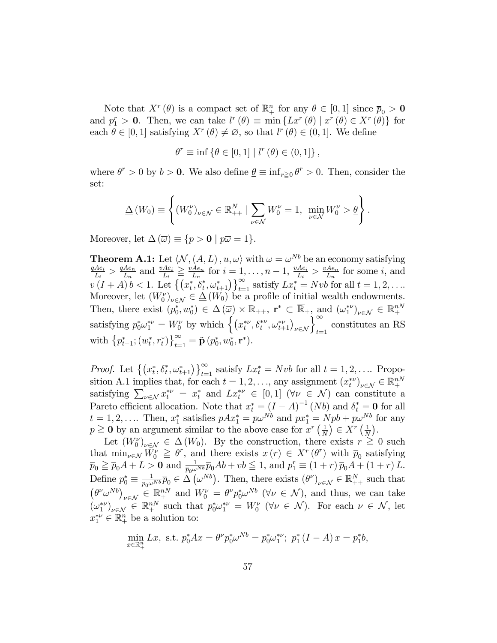Note that  $X^r(\theta)$  is a compact set of  $\mathbb{R}^n_+$  for any  $\theta \in [0,1]$  since  $\overline{p}_0 > 0$ and  $p_1^r > 0$ . Then, we can take  $l^r(\theta) \equiv \min \{ Lx^r(\theta) \mid x^r(\theta) \in X^r(\theta) \}$  for each  $\theta \in [0, 1]$  satisfying  $X^r(\theta) \neq \emptyset$ , so that  $l^r(\theta) \in (0, 1]$ . We define

$$
\theta^r \equiv \inf \{ \theta \in [0, 1] \mid l^r (\theta) \in (0, 1] \},
$$

where  $\theta^r > 0$  by  $b > 0$ . We also define  $\underline{\theta} \equiv \inf_{r \geq 0} \theta^r > 0$ . Then, consider the set:

$$
\underline{\Delta}\left(W_0\right) \equiv \left\{ \left(W_0^{\nu}\right)_{\nu \in \mathcal{N}} \in \mathbb{R}_{++}^N \mid \sum_{\nu \in \mathcal{N}} W_0^{\nu} = 1, \ \min_{\nu \in \mathcal{N}} W_0^{\nu} > \underline{\theta} \right\}.
$$

Moreover, let  $\Delta(\overline{\omega}) \equiv \{p > 0 \mid p\overline{\omega} = 1\}.$ 

**Theorem A.1:** Let  $\langle N, (A, L), u, \overline{\omega} \rangle$  with  $\overline{\omega} = \omega^{Nb}$  be an economy satisfying  $qAe_i$  $\frac{Ae_i}{L_i} > \frac{qAe_n}{L_n}$  $\frac{Ae_n}{L_n}$  and  $\frac{vAe_i}{L_i} \geq \frac{vAe_n}{L_n}$  $\frac{Ae_n}{L_n}$  for  $i = 1, \ldots, n-1$ ,  $\frac{vAe_i}{L_i}$  $\frac{Ae_i}{L_i} > \frac{vAe_n}{L_n}$  $\frac{Ae_n}{L_n}$  for some *i*, and  $v(I+A) b < 1.$  Let  $\{(x_t^*, \delta_t^*, \omega_{t+1}^*)\}_{t=1}^{\infty}$  satisfy  $Lx_t^* = Nvb$  for all  $t = 1, 2, ...$ Moreover, let  $(W_0^{\nu})_{\nu \in \mathcal{N}} \in \underline{\Delta}(W_0)$  be a profile of initial wealth endowments. Then, there exist  $(p_0^*, w_0^*) \in \Delta(\overline{\omega}) \times \mathbb{R}_{++}$ ,  $\mathbf{r}^* \subset \overline{\mathbb{R}}_+$ , and  $({\omega_1^*}^{\nu})_{\nu \in \mathcal{N}} \in \mathbb{R}^{nN}_+$ satisfying  $p_0^*\omega_1^{*\nu} = W_0^{\nu}$  by which  $\left\{ (x_t^{*\nu}, \delta_t^{*\nu}, \omega_{t+1}^{*\nu})_{\nu \in \mathcal{N}} \right\}_{t=1}^{\infty}$  constitutes an RS with  $\{p_{t-1}^*; (w_t^*, r_t^*)\}_{t=1}^{\infty} = \tilde{\mathbf{p}}(p_0^*, w_0^*, \mathbf{r}^*)$ .

*Proof.* Let  $\{(x_t^*, \delta_t^*, \omega_{t+1}^*)\}_{t=1}^{\infty}$  satisfy  $Lx_t^* = Nvb$  for all  $t = 1, 2, \ldots$  Proposition A.1 implies that, for each  $t = 1, 2, \ldots$ , any assignment  $(x_t^{*\nu})_{\nu \in \mathcal{N}} \in \mathbb{R}^{nN}$ satisfying  $\sum_{\nu \in \mathcal{N}} x_t^{*\nu} = x_t^*$  and  $Lx_t^{*\nu} \in [0,1]$   $(\forall \nu \in \mathcal{N})$  can constitute a Pareto efficient allocation. Note that  $x_t^* = (I - A)^{-1} (Nb)$  and  $\delta_t^* = \mathbf{0}$  for all  $t = 1, 2, \ldots$  Then,  $x_1^*$  satisfies  $pAx_1^* = p\omega^{Nb}$  and  $px_1^* = Npb + p\omega^{Nb}$  for any  $p \geq 0$  by an argument similar to the above case for  $x^r \left(\frac{1}{N}\right)$  $\frac{1}{N}$ )  $\in X^r$   $\left(\frac{1}{N}\right)$  $\frac{1}{N}$ .

Let  $(W_0^{\nu})_{\nu \in \mathcal{N}} \in \Delta(W_0)$ . By the construction, there exists  $r \geq 0$  such that  $\min_{\nu \in \mathcal{N}} W_0^{\nu} \geq \theta^r$ , and there exists  $x(r) \in X^r(\theta^r)$  with  $\overline{p}_0$  satisfying  $\overline{p}_0 \geqq \overline{p}_0 A + L > 0$  and  $\frac{1}{\overline{p}_0 \omega^{Nb}} \overline{p}_0 Ab + vb \leqq 1$ , and  $p_1^r \equiv (1+r) \overline{p}_0 A + (1+r) L$ . Define  $p_0^* \equiv \frac{1}{\bar{p}_0 \omega^{Nb}} \bar{p}_0 \in \widetilde{\Delta}(\omega^{Nb})$ . Then, there exists  $(\theta^{\nu})_{\nu \in \mathcal{N}} \in \mathbb{R}^N_{++}$  such that  $(\theta^{\nu} \omega^{Nb})_{\nu \in \mathcal{N}} \in \mathbb{R}^{nN}_{+}$  and  $W_0^{\nu} = \theta^{\nu} p_0^* \omega^{Nb}$  ( $\nu \in \mathcal{N}$ ), and thus, we can take  $(\omega_1^{*\nu})_{\nu \in \mathcal{N}} \in \mathbb{R}^{nN}_+$  such that  $p_0^*\omega_1^{*\nu} = W_0^{\nu}$  ( $\forall \nu \in \mathcal{N}$ ). For each  $\nu \in \mathcal{N}$ , let  $x_1^{*\nu} \in \mathbb{R}_+^n$  be a solution to:

$$
\min_{x \in \mathbb{R}^n_+} Lx, \text{ s.t. } p_0^* A x = \theta^{\nu} p_0^* \omega^{Nb} = p_0^* \omega_1^{*\nu}; \ p_1^* (I - A) x = p_1^* b,
$$